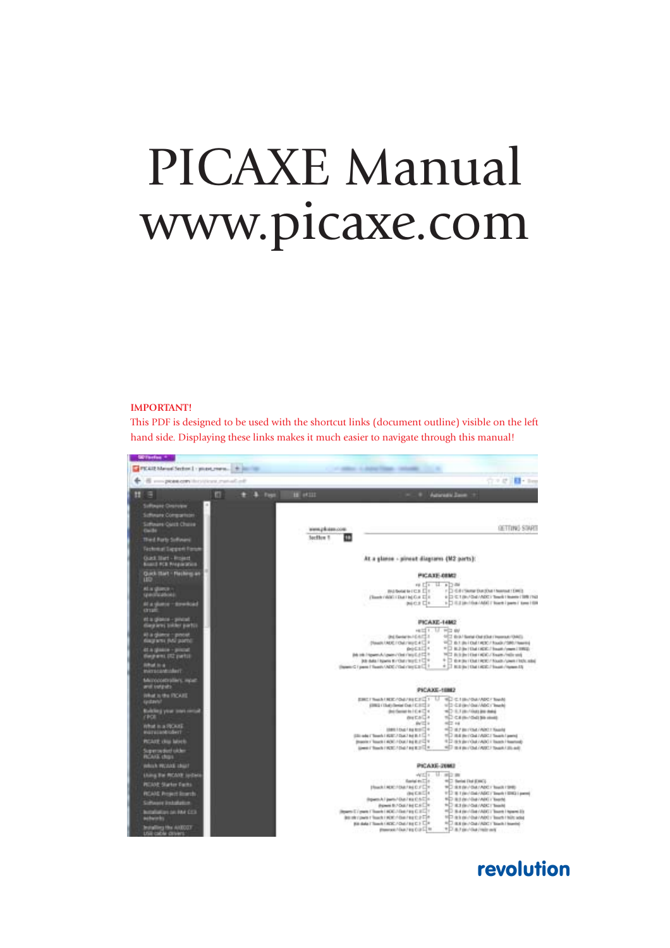# PICAXE Manual www.picaxe.com

#### **IMPORTANT!**

This PDF is designed to be used with the shortcut links (document outline) visible on the left hand side. Displaying these links makes it much easier to navigate through this manual!



## revolution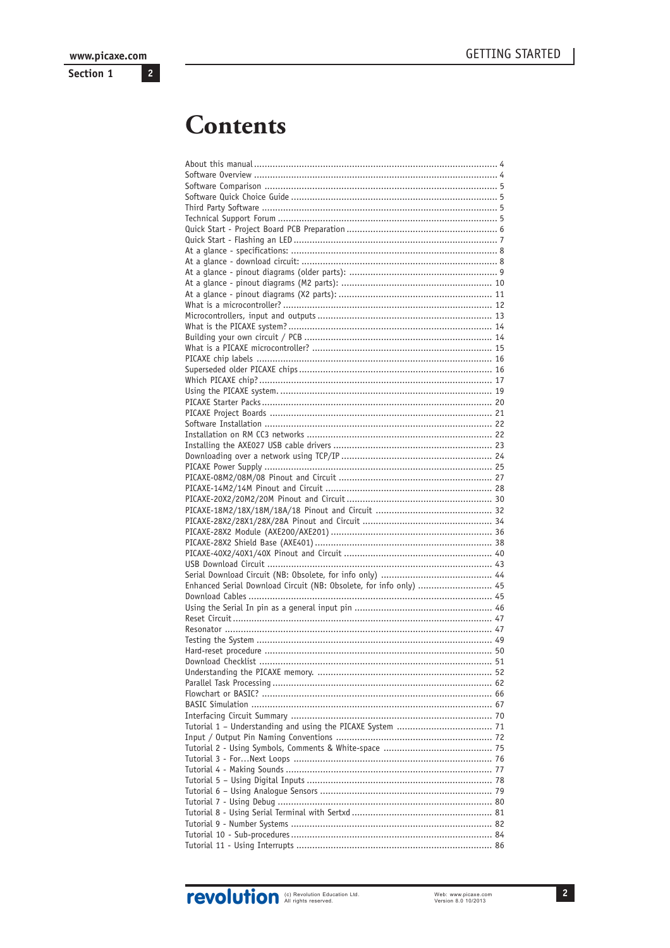Section 1

## **Contents**

| Enhanced Serial Download Circuit (NB: Obsolete, for info only)  45 |  |
|--------------------------------------------------------------------|--|
|                                                                    |  |
|                                                                    |  |
|                                                                    |  |
|                                                                    |  |
|                                                                    |  |
|                                                                    |  |
|                                                                    |  |
|                                                                    |  |
|                                                                    |  |
|                                                                    |  |
|                                                                    |  |
|                                                                    |  |
|                                                                    |  |
|                                                                    |  |
|                                                                    |  |
|                                                                    |  |
|                                                                    |  |
|                                                                    |  |
|                                                                    |  |
|                                                                    |  |
|                                                                    |  |
|                                                                    |  |
|                                                                    |  |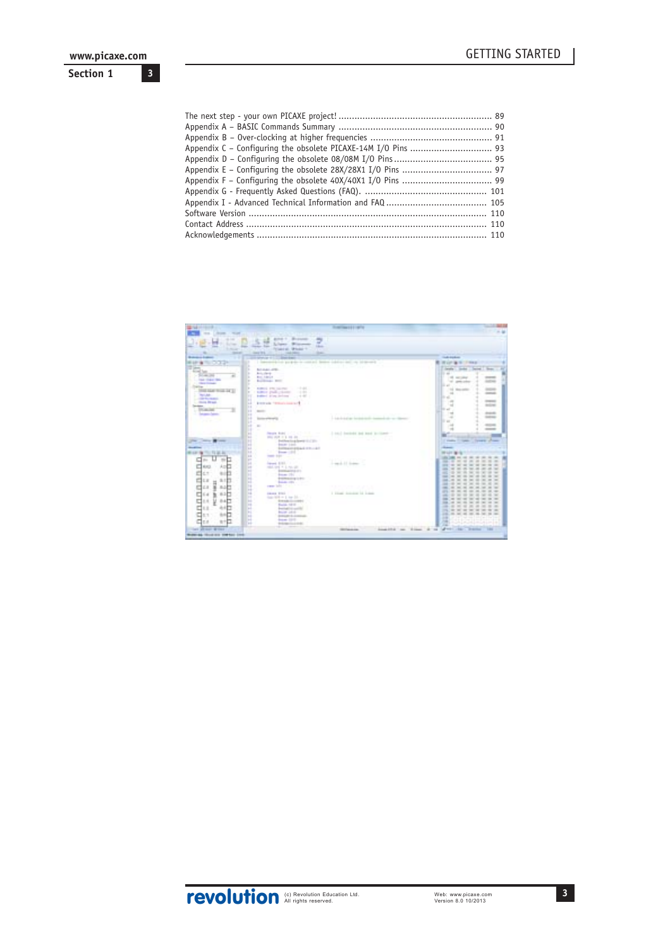**3**

### **Section 1**

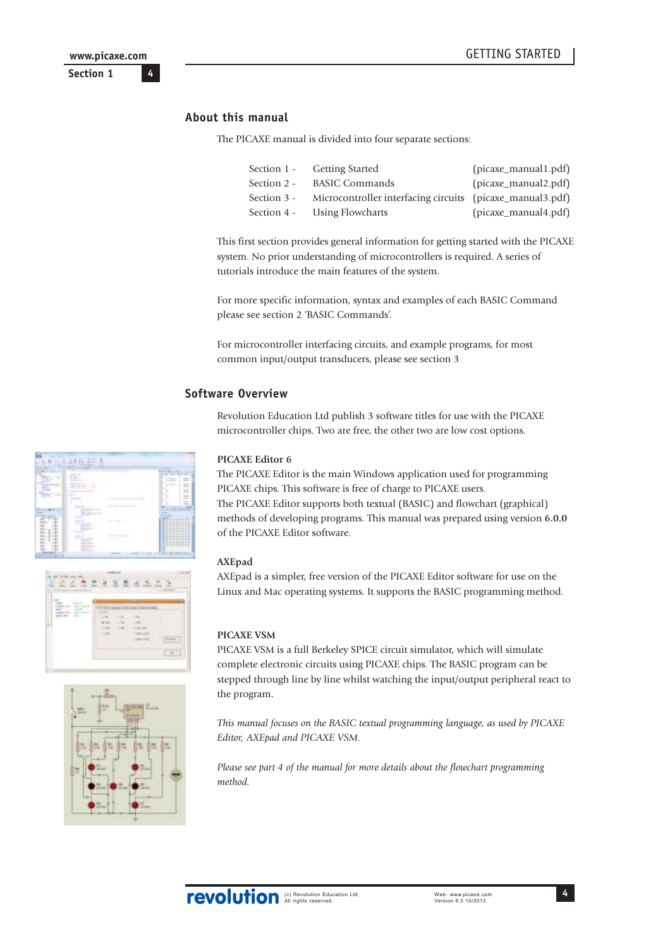## <span id="page-3-0"></span>**About this manual**

The PICAXE manual is divided into four separate sections:

|             | Section 1 - Getting Started                               | (picaxe_manual1.pdf) |
|-------------|-----------------------------------------------------------|----------------------|
| Section 2 - | <b>BASIC Commands</b>                                     | (picaxe_manual2.pdf) |
| Section 3 - | Microcontroller interfacing circuits (picaxe_manual3.pdf) |                      |
|             | Section 4 - Using Flowcharts                              | (picaxe_manual4.pdf) |

This first section provides general information for getting started with the PICAXE system. No prior understanding of microcontrollers is required. A series of tutorials introduce the main features of the system.

For more specific information, syntax and examples of each BASIC Command please see section 2 'BASIC Commands'.

For microcontroller interfacing circuits, and example programs, for most common input/output transducers, please see section 3

#### **Software Overview**

Revolution Education Ltd publish 3 software titles for use with the PICAXE microcontroller chips. Two are free, the other two are low cost options.

#### **PICAXE Editor 6**

The PICAXE Editor is the main Windows application used for programming PICAXE chips. This software is free of charge to PICAXE users. The PICAXE Editor supports both textual (BASIC) and flowchart (graphical) methods of developing programs. This manual was prepared using version **6.0.0** of the PICAXE Editor software.

#### **AXEpad**

AXEpad is a simpler, free version of the PICAXE Editor software for use on the Linux and Mac operating systems. It supports the BASIC programming method.

#### **PICAXE VSM**

PICAXE VSM is a full Berkeley SPICE circuit simulator, which will simulate complete electronic circuits using PICAXE chips. The BASIC program can be stepped through line by line whilst watching the input/output peripheral react to the program.

*This manual focuses on the BASIC textual programming language, as used by PICAXE Editor, AXEpad and PICAXE VSM.*

*Please see part 4 of the manual for more details about the flowchart programming method.*







**4**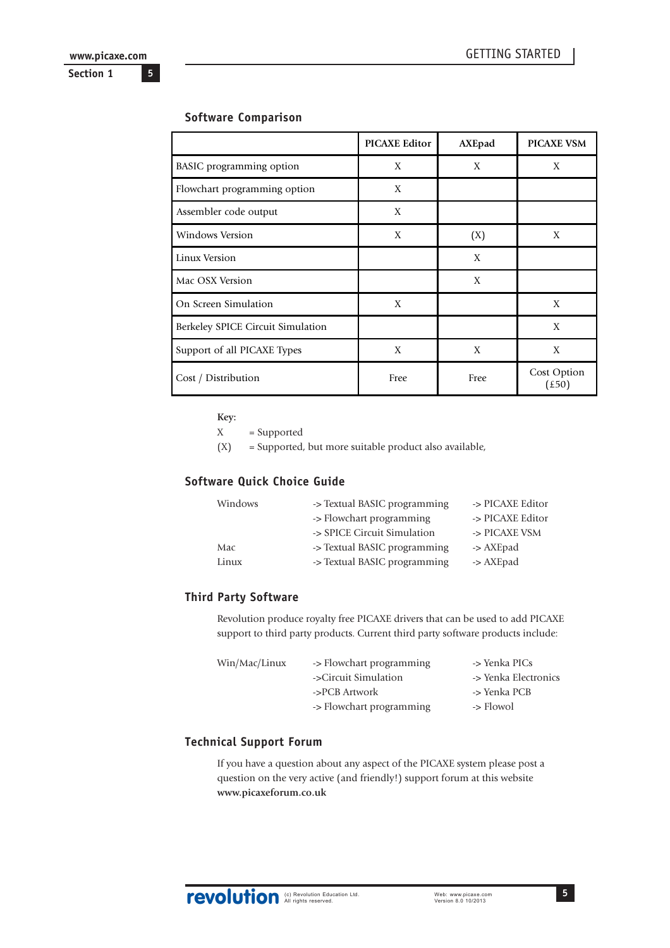**5**

<span id="page-4-0"></span>**Section 1**

## **Software Comparison**

|                                   | <b>PICAXE Editor</b> | AXEpad | <b>PICAXE VSM</b>                   |
|-----------------------------------|----------------------|--------|-------------------------------------|
| <b>BASIC</b> programming option   | X                    | X      | X                                   |
| Flowchart programming option      | X                    |        |                                     |
| Assembler code output             | X                    |        |                                     |
| <b>Windows Version</b>            | X                    | (X)    | X                                   |
| Linux Version                     |                      | X      |                                     |
| Mac OSX Version                   |                      | X      |                                     |
| On Screen Simulation              | X                    |        | X                                   |
| Berkeley SPICE Circuit Simulation |                      |        | X                                   |
| Support of all PICAXE Types       | X                    | X      | X                                   |
| Cost / Distribution               | Free                 | Free   | Cost Option<br>$(\text{\pounds}50)$ |

**Key:**

X = Supported

(X) = Supported, but more suitable product also available,

## **Software Quick Choice Guide**

| Windows | -> Textual BASIC programming | -> PICAXE Editor |
|---------|------------------------------|------------------|
|         | -> Flowchart programming     | -> PICAXE Editor |
|         | -> SPICE Circuit Simulation  | -> PICAXE VSM    |
| Mac     | -> Textual BASIC programming | -> AXEpad        |
| Linux   | -> Textual BASIC programming | -> AXEpad        |
|         |                              |                  |

## **Third Party Software**

Revolution produce royalty free PICAXE drivers that can be used to add PICAXE support to third party products. Current third party software products include:

| Win/Mac/Linux | -> Flowchart programming | -> Yenka PICs        |
|---------------|--------------------------|----------------------|
|               | ->Circuit Simulation     | -> Yenka Electronics |
|               | ->PCB Artwork            | -> Yenka PCB         |
|               | -> Flowchart programming | -> Flowol            |

## **Technical Support Forum**

If you have a question about any aspect of the PICAXE system please post a question on the very active (and friendly!) support forum at this website **www.picaxeforum.co.uk**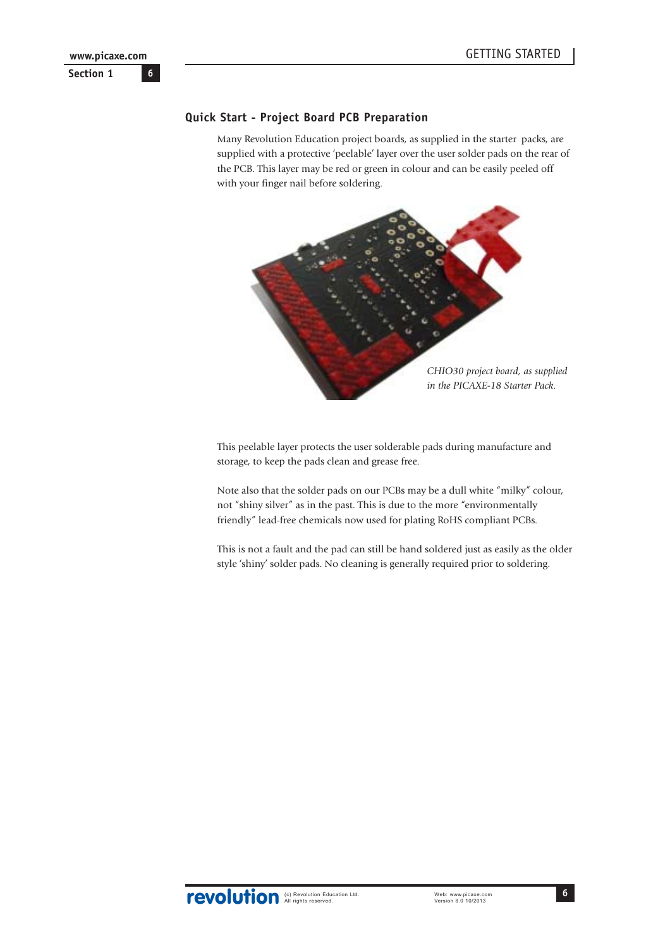## <span id="page-5-0"></span>**Quick Start - Project Board PCB Preparation**

Many Revolution Education project boards, as supplied in the starter packs, are supplied with a protective 'peelable' layer over the user solder pads on the rear of the PCB. This layer may be red or green in colour and can be easily peeled off with your finger nail before soldering.



This peelable layer protects the user solderable pads during manufacture and storage, to keep the pads clean and grease free.

Note also that the solder pads on our PCBs may be a dull white "milky" colour, not "shiny silver" as in the past. This is due to the more "environmentally friendly" lead-free chemicals now used for plating RoHS compliant PCBs.

This is not a fault and the pad can still be hand soldered just as easily as the older style 'shiny' solder pads. No cleaning is generally required prior to soldering.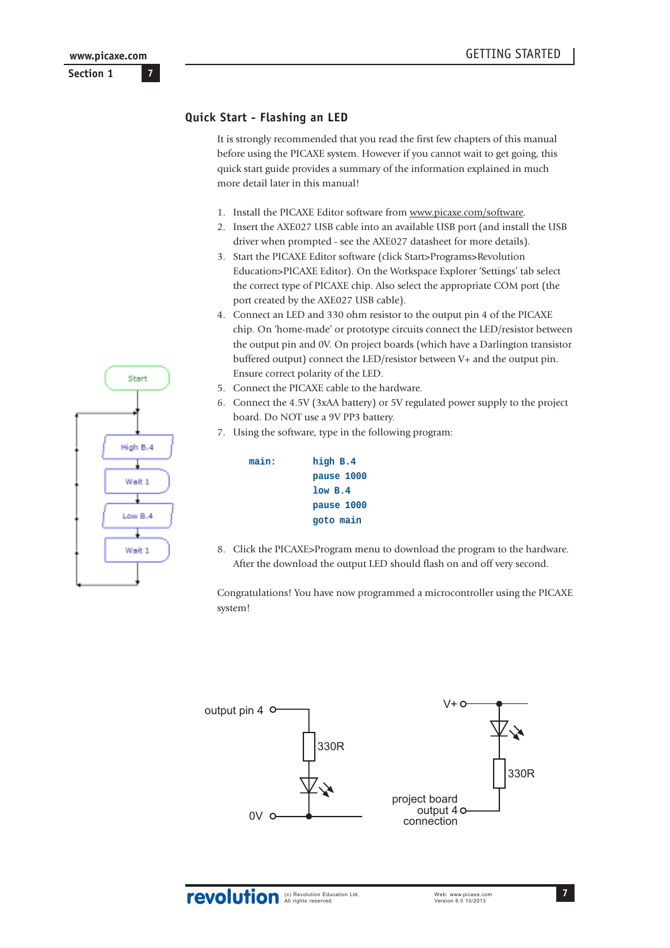## <span id="page-6-0"></span>**Quick Start - Flashing an LED**

It is strongly recommended that you read the first few chapters of this manual before using the PICAXE system. However if you cannot wait to get going, this quick start guide provides a summary of the information explained in much more detail later in this manual!

- 1. Install the PICAXE Editor software from www.picaxe.com/software.
- 2. Insert the AXE027 USB cable into an available USB port (and install the USB driver when prompted - see the AXE027 datasheet for more details).
- 3. Start the PICAXE Editor software (click Start>Programs>Revolution Education>PICAXE Editor). On the Workspace Explorer 'Settings' tab select the correct type of PICAXE chip. Also select the appropriate COM port (the port created by the AXE027 USB cable).
- 4. Connect an LED and 330 ohm resistor to the output pin 4 of the PICAXE chip. On 'home-made' or prototype circuits connect the LED/resistor between the output pin and 0V. On project boards (which have a Darlington transistor buffered output) connect the LED/resistor between V+ and the output pin. Ensure correct polarity of the LED.
- 5. Connect the PICAXE cable to the hardware.
- 6. Connect the 4.5V (3xAA battery) or 5V regulated power supply to the project board. Do NOT use a 9V PP3 battery.
- 7. Using the software, type in the following program:

| main: | high B.4   |
|-------|------------|
|       | pause 1000 |
|       | 1ow B.4    |
|       | pause 1000 |
|       | goto main  |
|       |            |

8. Click the PICAXE>Program menu to download the program to the hardware. After the download the output LED should flash on and off very second.

Congratulations! You have now programmed a microcontroller using the PICAXE system!



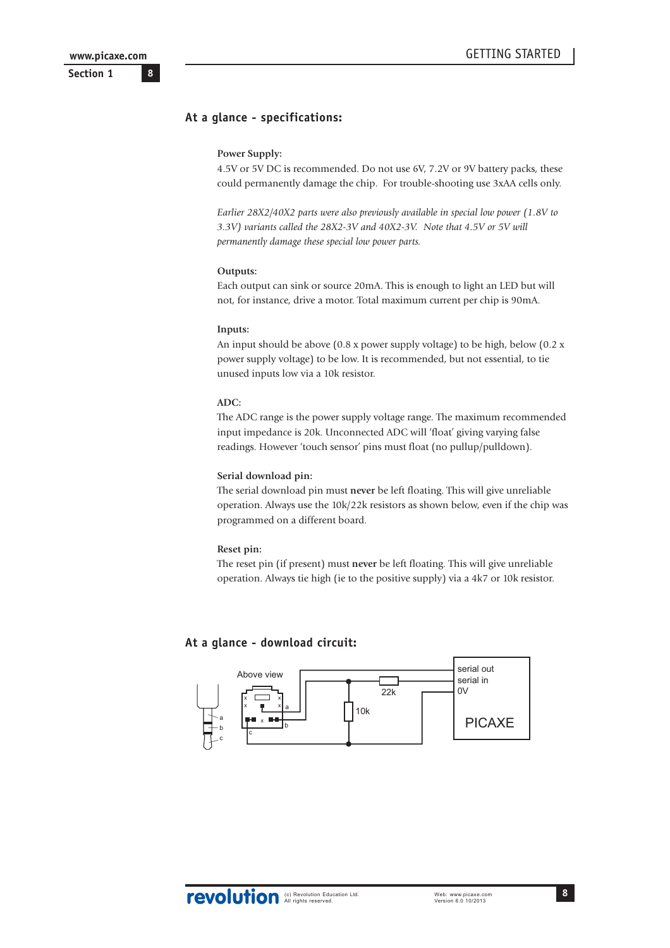**8**

<span id="page-7-0"></span>**Section 1**

## **At a glance - specifications:**

#### **Power Supply:**

4.5V or 5V DC is recommended. Do not use 6V, 7.2V or 9V battery packs, these could permanently damage the chip. For trouble-shooting use 3xAA cells only.

*Earlier 28X2/40X2 parts were also previously available in special low power (1.8V to 3.3V) variants called the 28X2-3V and 40X2-3V. Note that 4.5V or 5V will permanently damage these special low power parts.*

#### **Outputs:**

Each output can sink or source 20mA. This is enough to light an LED but will not, for instance, drive a motor. Total maximum current per chip is 90mA.

#### **Inputs:**

An input should be above (0.8 x power supply voltage) to be high, below (0.2 x power supply voltage) to be low. It is recommended, but not essential, to tie unused inputs low via a 10k resistor.

#### **ADC:**

The ADC range is the power supply voltage range. The maximum recommended input impedance is 20k. Unconnected ADC will 'float' giving varying false readings. However 'touch sensor' pins must float (no pullup/pulldown).

#### **Serial download pin:**

The serial download pin must **never** be left floating. This will give unreliable operation. Always use the 10k/22k resistors as shown below, even if the chip was programmed on a different board.

#### **Reset pin:**

The reset pin (if present) must **never** be left floating. This will give unreliable operation. Always tie high (ie to the positive supply) via a 4k7 or 10k resistor.

#### **At a glance - download circuit:**

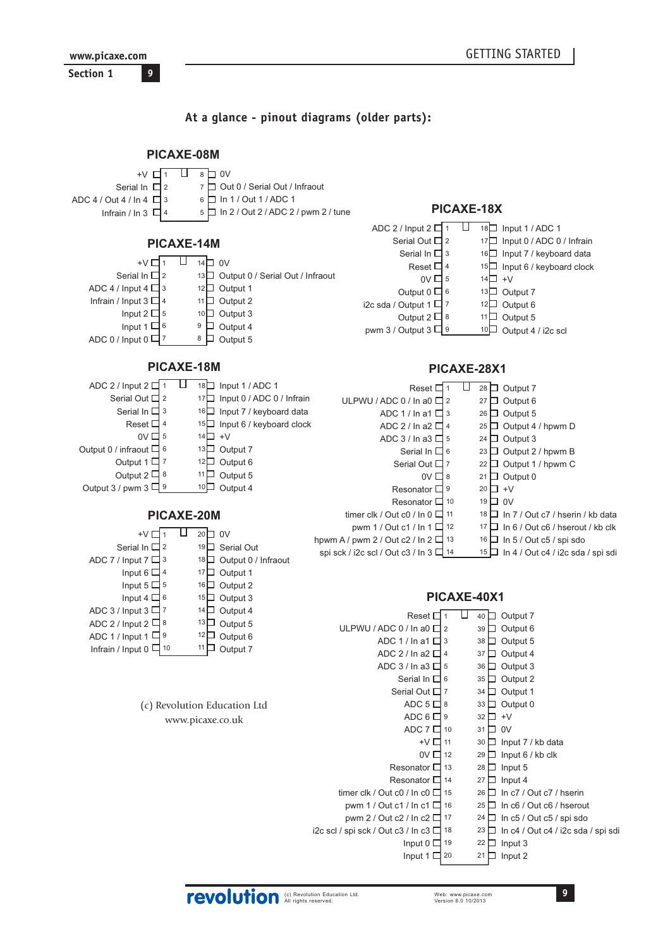<span id="page-8-0"></span>www.picaxe.com Section 1  $\overline{9}$ 

## At a glance - pinout diagrams (older parts):

#### PICAXE-08M U  $8$  D OV  $+V \Box 1$ 7 Out 0 / Serial Out / Infraout Serial In  $\Box$  2 6 | In 1 / Out 1 / ADC 1 ADC 4 / Out 4 / In 4  $\Box$  3 PICAXE-18X  $5 \Box$  In 2 / Out 2 / ADC 2 / pwm 2 / tune Infrain / In 3  $\Box$  4 ADC 2 / Input  $2\sqrt{1}$  $\Box$ 18 Input 1 / ADC 1 Serial Out  $\Box$  2 17 Input 0 / ADC 0 / Infrain PICAXE-14M Serial In  $\Box$  3 16 Input 7 / keyboard data  $+V\Box$ 1  $\Box$ 14 $\Box$ 0V Reset  $\Box$  4 15 Input 6 / keyboard clock Serial In  $\Box$  2 13 Output 0 / Serial Out / Infraout  $0V\Box$  5  $14\Box$  +V ADC 4 / Input 4  $\Box$  3  $12$  Output 1 Output  $0 \Box 6$ 13 Output 7 11□ Output 2 Infrain / Input  $3 \Box 4$ i2c sda / Output 1  $\Box$  7  $12\Box$  Output 6 Input  $2 \Box$  5  $10\Box$  Output 3  $11\Box$  Output 5 Output  $2 \Box 8$ Input 1  $\Box$  6  $9\Box$  Output 4  $10\Box$  Output 4 / i2c scl pwm 3 / Output  $3\Box$ <sup>9</sup> ADC 0 / Input  $0$   $\Box$  7 8 D Output 5 PICAXE-18M PICAXE-28X1 ADC 2 / Input  $2\Box 1$   $\Box$  18  $\Box$  Input 1 / ADC 1 Reset  $\boxed{1}$   $\boxed{1}$  28  $\boxed{}$  Output 7 Serial Out  $\Box$  2 17 Input 0 / ADC 0 / Infrain  $27$  Output 6 ULPWU / ADC 0 / In a0  $\Box$  2 Serial In  $\Box$  3 16 Input 7 / keyboard data  $26$  Output 5 ADC 1 / In a1  $\Box$  3 Reset  $\Box$  4 15 Input 6 / keyboard clock ADC 2 / In a2  $\Box$  4 25  $\Box$  Output 4 / hpwm D  $0V \Box$  5  $14\Box$  +V ADC 3 / In a 3  $\Box$  5 24  $\Box$  Output 3 13 Output 7 Output 0 / infraout  $\square$  $6\overline{6}$ Serial In  $\Box$  6 23  $\Box$  Output 2 / hpwm B Output 1  $\vert$  7  $12$  Output 6 Serial Out  $\Box$  7 22 □ Output 1 / hpwm C Output 2 $\square$  $11\Box$  Output 5  $0V\Box$ 8  $|8$ 21  $\Box$  Output 0 Output 3 / pwm 3  $\Box$  $10$  Output 4 Resonator  $\Box$  9  $20 \Box +V$  $19$  D OV Resonator  $\Box$  10 timer clk / Out c0 / In  $0 \Box$  11 18 <u>□</u> In 7 / Out c7 / hserin / kb data PICAXE-20M pwm 1 / Out c1 / In 1  $\Box$  12  $17\Box$  In 6 / Out c6 / hserout / kb clk π  $+V\Box$ 1  $20\Box$  OV hpwm A / pwm 2 / Out c2 / In  $2 \Box$  13  $16$  In 5 / Out c5 / spi sdo 19 Serial Out Serial In  $\Box$  2 spi sck / i2c scl / Out c3 / In  $3\Box$  14  $15 \Box$  In 4 / Out c4 / i2c sda / spi sdi ADC 7 / Input  $7 \square$  3 18 Output 0 / Infraout Input 6  $\Box$  4  $17\Box$  Output 1 Input  $5\Box$  5  $16$  Output 2 PICAXE-40X1 Input 4  $\Box$  6 15 Output 3 ADC 3 / Input  $3\Box$  7  $14$  Output 4 Reset  $\Box$  1  $\Box$  40  $\Box$  Output 7 ADC 2 / Input  $2 \Box 8$  $13\Box$  Output 5 ULPWU / ADC 0 / In a0  $\Box$  2 39  $\Box$  Output 6 ADC 1 / Input 1  $\Box$ <sup>9</sup>  $12\Box$  Output 6 ADC 1 / In a1  $\Box$  3 38 Output 5 11  $\Box$  Output 7 Infrain / Input 0  $\Box$  10 ADC 2 / In a2  $\Box$  4 37  $\Box$  Output 4 ADC 3 / In a3  $\Box$  5  $36 \Box$  Output 3 Serial In  $\Box$  6  $35$  Output 2 Serial Out  $\Box$  7  $34$   $\Box$  Output 1 ADC  $5 \Box 8$  $33 \Box$  Output 0 (c) Revolution Education Ltd

www.picaxe.co.uk

 $32 \Box +V$ 

 $31 \Box 0V$ 

 $28$   $\Box$  Input 5

 $27$  Input 4

 $22$  Input 3

 $21$  Input 2

 $30$  Input 7 / kb data

 $29$  Input 6 / kb clk

 $26$  In c7 / Out c7 / hserin

 $25$  In c6 / Out c6 / hserout

 $24$  In c5 / Out c5 / spi sdo

23 In c4 / Out c4 / i2c sda / spi sdi

 $ADC 6 \Box 9$ 

ADC  $7 \Box$  10

Resonator  $\Box$  13

Resonator  $\Box$  14

Input  $0 \Box$  19

Input  $1 \square$  20

timer clk / Out c0 / In c0  $\Box$  15

pwm 1 / Out c1 / In c1  $\Box$  16

pwm 2 / Out c2 / In c2  $\Box$  17

i2c scl / spi sck / Out c3 / In c3  $\Box$  18

 $+V\Box$  11

 $0V\Box$  12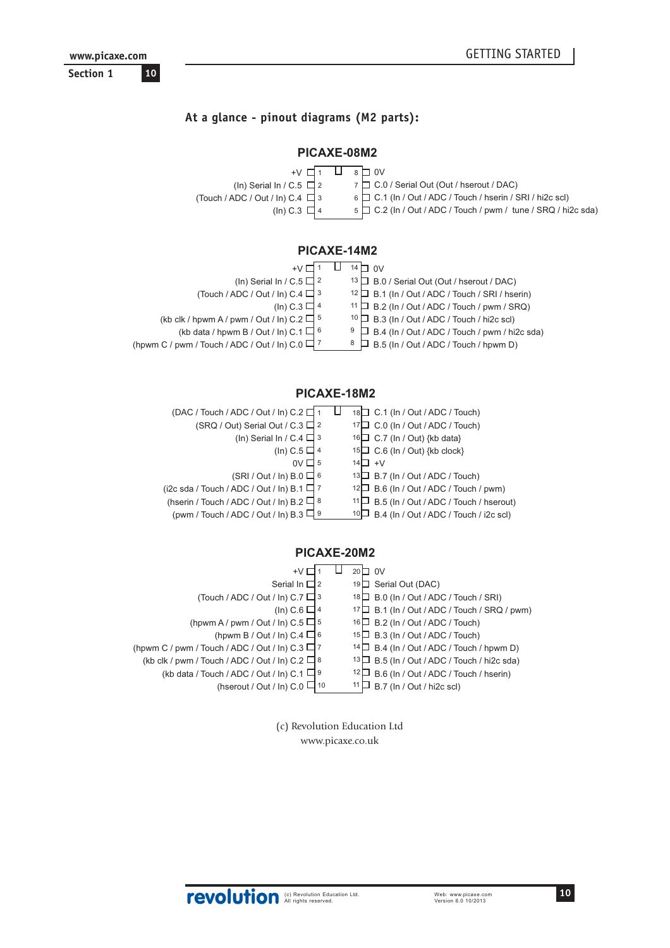## <span id="page-9-0"></span>**At a glance - pinout diagrams (M2 parts):**

## **PICAXE-08M2**

| $+V$ $\Box$ 1                         | $8 \Box 0V$                                                         |
|---------------------------------------|---------------------------------------------------------------------|
| (In) Serial In / C.5 $\Box$ 2         | 7 O.0 / Serial Out (Out / hserout / DAC)                            |
| (Touch / ADC / Out / In) C.4 $\Box$ 3 | 6 [ C.1 (In / Out / ADC / Touch / hserin / SRI / hi2c scl)          |
| (In) C.3 $\Box$ 4                     | $5 \Box C.2$ (In / Out / ADC / Touch / pwm / tune / SRQ / hi2c sda) |
|                                       |                                                                     |

## **PICAXE-14M2**

|                                                                 | nv<br>14 $\Box$                                       |
|-----------------------------------------------------------------|-------------------------------------------------------|
| (In) Serial In / C.5 $\Box$ 2                                   | 13 D B.0 / Serial Out (Out / hserout / DAC)           |
| (Touch / ADC / Out / In) $C.4 \Box$ 3                           | $12 \Box$ B.1 (In / Out / ADC / Touch / SRI / hserin) |
| (In) C.3 $\Box$ 4                                               | $11 \Box$ B.2 (In / Out / ADC / Touch / pwm / SRQ)    |
| (kb clk / hpwm A / pwm / Out / ln) C.2 $\Box$ 5                 | $10$ $\Box$ B.3 (In / Out / ADC / Touch / hi2c scl)   |
| (kb data / hpwm B / Out / ln) C.1 $\Box$ 6                      | $\Box$ B.4 (In / Out / ADC / Touch / pwm / hi2c sda)  |
| (hpwm C / pwm / Touch / ADC / Out / In) C.0 $\Box$ <sup>7</sup> | $\Box$ B.5 (In / Out / ADC / Touch / hpwm D)<br>8     |

## **PICAXE-18M2**

| (DAC / Touch / ADC / Out / In) C.2              | 18 C.1 (In / Out / ADC / Touch)                 |
|-------------------------------------------------|-------------------------------------------------|
| (SRQ / Out) Serial Out / C.3 $\Box$ 2           | $17 \square$ C.0 (In / Out / ADC / Touch)       |
| (In) Serial In / C.4 $\Box$ 3                   | 16 C.7 (In / Out) {kb data}                     |
| (In) C.5 $\Box$ 4                               | $15\Box$ C.6 (In / Out) {kb clock}              |
| 0V                                              | $14 \square +V$                                 |
| $(SRI / Out / In) B.0 \square 6$                | $13\Box$ B.7 (In / Out / ADC / Touch)           |
| (i2c sda / Touch / ADC / Out / In) B.1 $\Box$ 7 | $12\Box$ B.6 (In / Out / ADC / Touch / pwm)     |
| (hserin / Touch / ADC / Out / In) B.2 $\Box$ 8  | 11□ B.5 (In / Out / ADC / Touch / hserout)      |
| (pwm / Touch / ADC / Out / In) B.3 $\Box$ 9     | $10\Box$ B.4 (In / Out / ADC / Touch / i2c scl) |

## **PICAXE-20M2**

| +V                                                      | $20\Box$ OV                                      |
|---------------------------------------------------------|--------------------------------------------------|
| Serial In $\Box$ 2                                      | 19□ Serial Out (DAC)                             |
| (Touch / ADC / Out / In) C.7 $\Box$ 3                   | $18 \Box$ B.0 (In / Out / ADC / Touch / SRI)     |
| (In) C.6 $\Box$ 4                                       | 17   B.1 (In / Out / ADC / Touch / SRQ / pwm)    |
| (hpwm A / pwm / Out / ln) C.5 $\Box$ 5                  | $16 \Box$ B.2 (In / Out / ADC / Touch)           |
| (hpwm B / Out / In) C.4 $\Box$ 6                        | $15\Box$ B.3 (In / Out / ADC / Touch)            |
| (hpwm C / pwm / Touch / ADC / Out / In) $C.3 \square$ 7 | 14 B.4 (In / Out / ADC / Touch / hpwm D)         |
| (kb clk / pwm / Touch / ADC / Out / In) C.2 $\Box$ 8    | $13\Box$ B.5 (In / Out / ADC / Touch / hi2c sda) |
| (kb data / Touch / ADC / Out / In) C.1 $\Box$ 9         | $\Box$ B.6 (In / Out / ADC / Touch / hserin)     |
| (hserout / Out / In) C.0 $\Box$ 10                      | B.7 (In / Out / hi2c scl)                        |
|                                                         |                                                  |

(c) Revolution Education Ltd www.picaxe.co.uk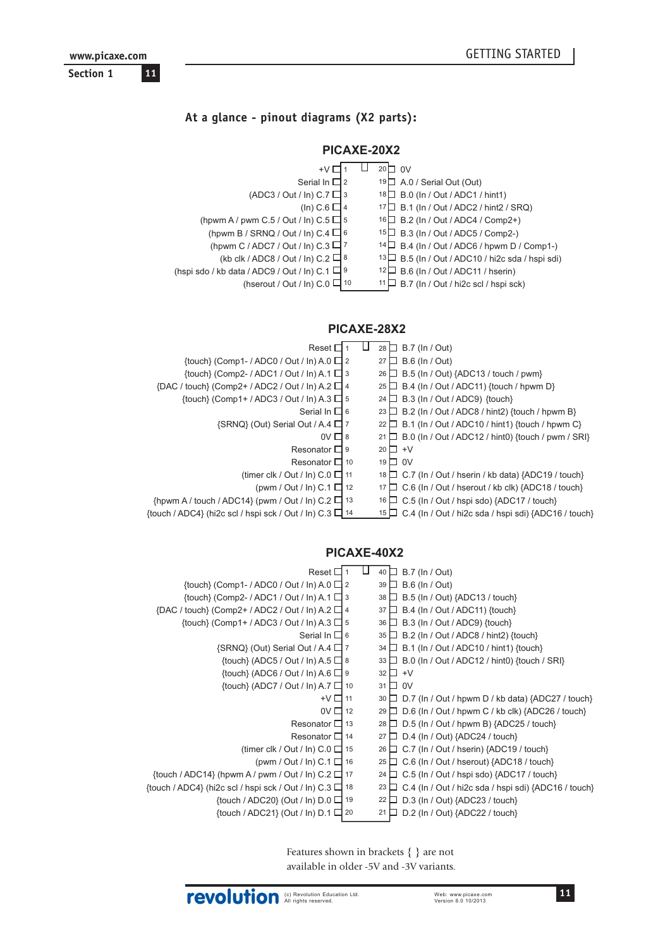## <span id="page-10-0"></span>At a glance - pinout diagrams (X2 parts):

## PICAXE-20X2

| $+V$                                                | $20\Box$ OV                                       |
|-----------------------------------------------------|---------------------------------------------------|
| Serial In $\Box$ 2                                  | 19 $\Box$ A.0 / Serial Out (Out)                  |
| $(ADC3 / Out / In) C.7 \square$ 3                   | 18 B.0 (In / Out / ADC1 / hint1)                  |
| (In) C.6 $\Box$ 4                                   | 17 B.1 (In / Out / ADC2 / hint2 / SRQ)            |
| (hpwm A / pwm C.5 / Out / In) C.5 $\Box$ 5          | 16 B.2 (In / Out / ADC4 / Comp2+)                 |
| (hpwm B / SRNQ / Out / ln) C.4 $\Box$ 6             | 15 B.3 (In / Out / ADC5 / Comp2-)                 |
| (hpwm C / ADC7 / Out / In) C.3 $\Box$ 7             | 14 B.4 (In / Out / ADC6 / hpwm D / Comp1-)        |
| (kb clk / ADC8 / Out / In) C.2 $\Box$ 8             | 13 D B.5 (In / Out / ADC10 / hi2c sda / hspi sdi) |
| (hspi sdo / kb data / ADC9 / Out / ln) C.1 $\Box$ 9 | B.6 (In / Out / ADC11 / hserin)                   |
| (hserout / Out / In) C.0 $\Box$ <sup>10</sup>       | B.7 (In / Out / hi2c scl / hspi sck)              |

### PICAXE-28X2

| Reset D                                                         | 28 $\Box$ B.7 (ln / Out)                                       |
|-----------------------------------------------------------------|----------------------------------------------------------------|
| {touch} (Comp1-/ADC0/Out/In) A.0 $\Box$ 2                       | $\Box$ B.6 (In / Out)<br>27 <sup>1</sup>                       |
| {touch} (Comp2- / ADC1 / Out / In) A.1 $\Box$ 3                 | 26 □ B.5 (In / Out) {ADC13 / touch / pwm}                      |
| ${DAC / touch} (Comp2+ / ADC2 / Out / In) A.2 \square 4$        | $25 \Box$ B.4 (In / Out / ADC11) {touch / hpwm D}              |
| $\{$ fouch $\}$ (Comp1+ / ADC3 / Out / In) A.3 $\Box$ 5         | 24 $\Box$ B.3 (In / Out / ADC9) {touch}                        |
| Serial In $\Box$ 6                                              | 23 $\Box$ B.2 (In / Out / ADC8 / hint2) {touch / hpwm B}       |
| $\{SRNQ\}$ (Out) Serial Out / A.4 $\Box$ 7                      | $22 \Box$ B.1 (In / Out / ADC10 / hint1) {touch / hpwm C}      |
| $0V \Box 8$                                                     | 21 $\Box$ B.0 (In / Out / ADC12 / hint0) {touch / pwm / SRI}   |
| Resonator $\Box$ 9                                              | $20 \Box +V$                                                   |
| Resonator $\Box$ 10                                             | $19\Box$ OV                                                    |
| (timer clk / Out / In) $C.0 \Box$ 11                            | $18 \Box$ C.7 (In / Out / hserin / kb data) {ADC19 / touch}    |
| (pwm / Out / In) C.1 $\Box$ 12                                  | $17 \Box$ C.6 (In / Out / hserout / kb clk) {ADC18 / touch}    |
| $\{$ hpwm A / touch / ADC14 $\}$ (pwm / Out / ln) C.2 $\Box$ 13 | $\Box$ C.5 (In / Out / hspi sdo) {ADC17 / touch}<br>16 I       |
| {touch / ADC4} (hi2c scl / hspi sck / Out / ln) C.3 $\Box$ 14   | $15 \Box$ C.4 (In / Out / hi2c sda / hspi sdi) {ADC16 / touch} |
|                                                                 |                                                                |

## PICAXE-40X2

| Reset $\square$                                                       | B.7 (In / Out)<br>40 □                                          |
|-----------------------------------------------------------------------|-----------------------------------------------------------------|
| {touch} (Comp1-/ADC0/Out/In) A.0 $\Box$ 2                             | <b>B.6 (In / Out)</b><br>39                                     |
| $\{$ fouch $\}$ (Comp2- / ADC1 / Out / ln) A.1 $\Box$ 3               | B.5 (In / Out) {ADC13 / touch}<br>38                            |
| ${DAC / touch} (Comp2 + / ADC2 / Out / In) A.2 \square 4$             | B.4 (In / Out / ADC11) {touch}<br>37                            |
| {touch} (Comp1+ / ADC3 / Out / In) A.3 $\Box$ 5                       | B.3 (In / Out / ADC9) {touch}<br>36                             |
| Serial In $\Box$ 6                                                    | B.2 (In / Out / ADC8 / hint2) {touch}<br>35                     |
| $\{SRNQ\}$ (Out) Serial Out / A.4 $\Box$ 7                            | B.1 (In / Out / ADC10 / hint1) {touch}<br>$34+$                 |
| $\{$ touch $\}$ (ADC5 / Out / In) A.5 $\Box$ 8                        | B.0 (In / Out / ADC12 / hint0) {touch / SRI}<br>33 <sup>1</sup> |
| $\{$ touch $\}$ (ADC6 / Out / In) A.6 $\Box$ 9                        | $32 \Box$<br>$+V$                                               |
| $\{$ touch $\}$ (ADC7 / Out / In) A.7 $\Box$ 10                       | 0V<br>$31\Box$                                                  |
| $+V\Box$ 11                                                           | D.7 (In / Out / hpwm D / kb data) {ADC27 / touch}<br>30         |
| $0V \square$ 12                                                       | D.6 (In / Out / hpwm C / kb clk) {ADC26 / touch}<br>29          |
| Resonator $\Box$ 13                                                   | D.5 (In / Out / hpwm B) {ADC25 / touch}<br>28                   |
| Resonator $\Box$ 14                                                   | D.4 (In / Out) {ADC24 / touch}<br>27                            |
| (timer clk / Out / In) $C.0 \Box$ 15                                  | C.7 (In / Out / hserin) {ADC19 / touch}<br>26                   |
| (pwm / Out / In) C.1 $\Box$ 16                                        | C.6 (In / Out / hserout) {ADC18 / touch}<br>25                  |
| {touch / ADC14} (hpwm A / pwm / Out / ln) C.2 $\Box$ 17               | C.5 (In / Out / hspi sdo) {ADC17 / touch}<br>24                 |
| $\{$ touch / ADC4 $\}$ (hi2c scl / hspi sck / Out / ln) C.3 $\Box$ 18 | C.4 (In / Out / hi2c sda / hspi sdi) {ADC16 / touch}<br>23      |
| {touch / ADC20} (Out / In) $D.0 \Box$ 19                              | D.3 (In / Out) {ADC23 / touch}<br>22                            |
| {touch / ADC21} (Out / In) $D.1 \square 20$                           | D.2 (In / Out) {ADC22 / touch}<br>21                            |
|                                                                       |                                                                 |

Features shown in brackets { } are not available in older -5V and -3V variants.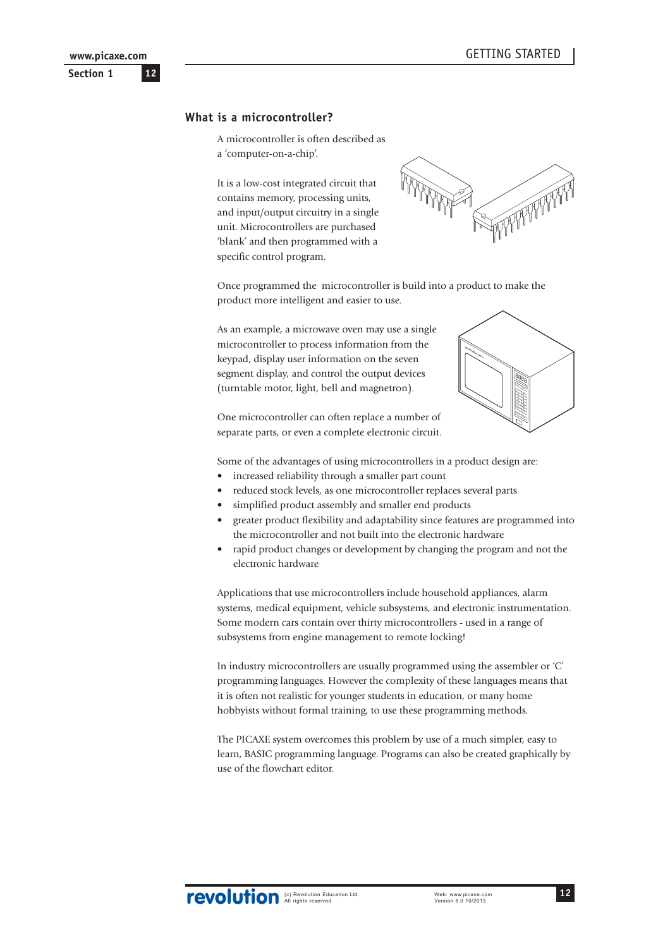## <span id="page-11-0"></span>**What is a microcontroller?**

A microcontroller is often described as a 'computer-on-a-chip'.

It is a low-cost integrated circuit that contains memory, processing units, and input/output circuitry in a single unit. Microcontrollers are purchased 'blank' and then programmed with a specific control program.



Once programmed the microcontroller is build into a product to make the product more intelligent and easier to use.

As an example, a microwave oven may use a single microcontroller to process information from the keypad, display user information on the seven segment display, and control the output devices (turntable motor, light, bell and magnetron).

One microcontroller can often replace a number of separate parts, or even a complete electronic circuit.

Some of the advantages of using microcontrollers in a product design are:

- increased reliability through a smaller part count
- reduced stock levels, as one microcontroller replaces several parts
- simplified product assembly and smaller end products
- greater product flexibility and adaptability since features are programmed into the microcontroller and not built into the electronic hardware
- rapid product changes or development by changing the program and not the electronic hardware

Applications that use microcontrollers include household appliances, alarm systems, medical equipment, vehicle subsystems, and electronic instrumentation. Some modern cars contain over thirty microcontrollers - used in a range of subsystems from engine management to remote locking!

In industry microcontrollers are usually programmed using the assembler or 'C' programming languages. However the complexity of these languages means that it is often not realistic for younger students in education, or many home hobbyists without formal training, to use these programming methods.

The PICAXE system overcomes this problem by use of a much simpler, easy to learn, BASIC programming language. Programs can also be created graphically by use of the flowchart editor.

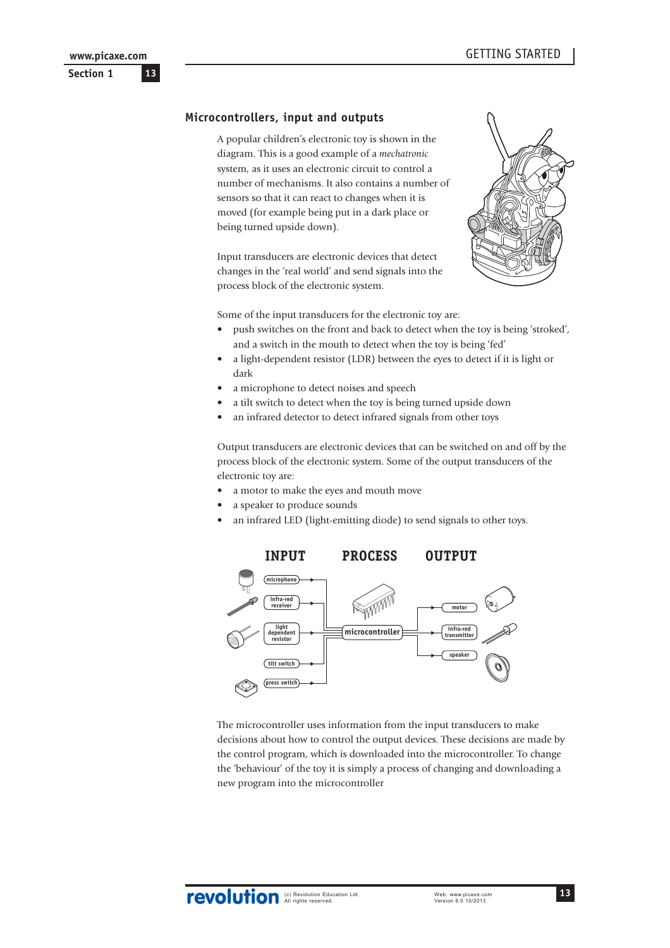### <span id="page-12-0"></span>**Section 1**

#### **Microcontrollers, input and outputs**

A popular children's electronic toy is shown in the diagram. This is a good example of a *mechatronic* system, as it uses an electronic circuit to control a number of mechanisms. It also contains a number of sensors so that it can react to changes when it is moved (for example being put in a dark place or being turned upside down).

Input transducers are electronic devices that detect changes in the 'real world' and send signals into the process block of the electronic system.



Some of the input transducers for the electronic toy are:

- push switches on the front and back to detect when the toy is being 'stroked', and a switch in the mouth to detect when the toy is being 'fed'
- a light-dependent resistor (LDR) between the eyes to detect if it is light or dark
- a microphone to detect noises and speech
- a tilt switch to detect when the toy is being turned upside down
- an infrared detector to detect infrared signals from other toys

Output transducers are electronic devices that can be switched on and off by the process block of the electronic system. Some of the output transducers of the electronic toy are:

- a motor to make the eyes and mouth move
- a speaker to produce sounds
- an infrared LED (light-emitting diode) to send signals to other toys.



The microcontroller uses information from the input transducers to make decisions about how to control the output devices. These decisions are made by the control program, which is downloaded into the microcontroller. To change the 'behaviour' of the toy it is simply a process of changing and downloading a new program into the microcontroller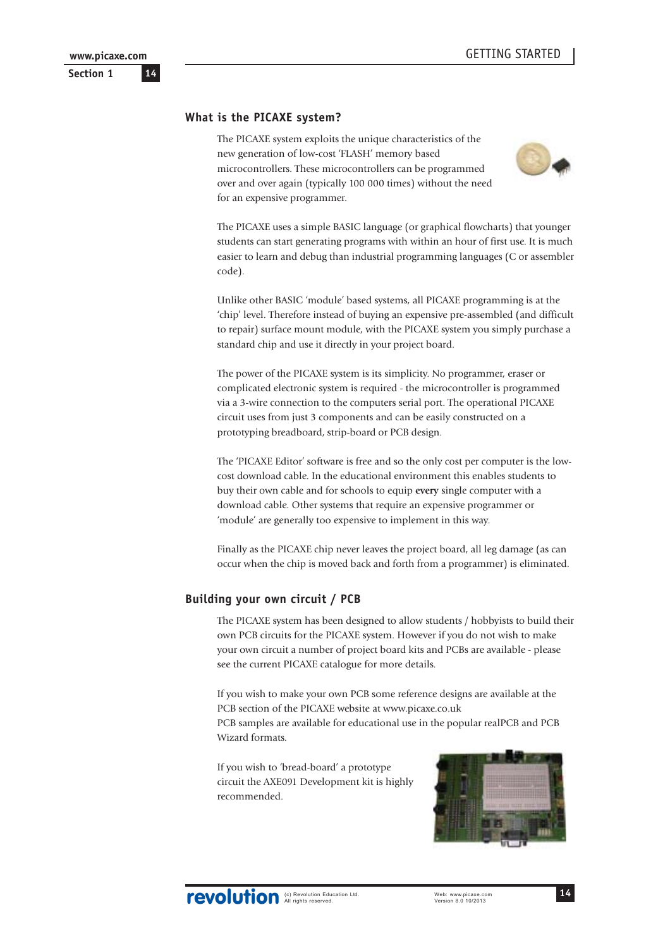## <span id="page-13-0"></span>**What is the PICAXE system?**

The PICAXE system exploits the unique characteristics of the new generation of low-cost 'FLASH' memory based microcontrollers. These microcontrollers can be programmed over and over again (typically 100 000 times) without the need for an expensive programmer.



The PICAXE uses a simple BASIC language (or graphical flowcharts) that younger students can start generating programs with within an hour of first use. It is much easier to learn and debug than industrial programming languages (C or assembler code).

Unlike other BASIC 'module' based systems, all PICAXE programming is at the 'chip' level. Therefore instead of buying an expensive pre-assembled (and difficult to repair) surface mount module, with the PICAXE system you simply purchase a standard chip and use it directly in your project board.

The power of the PICAXE system is its simplicity. No programmer, eraser or complicated electronic system is required - the microcontroller is programmed via a 3-wire connection to the computers serial port. The operational PICAXE circuit uses from just 3 components and can be easily constructed on a prototyping breadboard, strip-board or PCB design.

The 'PICAXE Editor' software is free and so the only cost per computer is the lowcost download cable. In the educational environment this enables students to buy their own cable and for schools to equip **every** single computer with a download cable. Other systems that require an expensive programmer or 'module' are generally too expensive to implement in this way.

Finally as the PICAXE chip never leaves the project board, all leg damage (as can occur when the chip is moved back and forth from a programmer) is eliminated.

## **Building your own circuit / PCB**

The PICAXE system has been designed to allow students / hobbyists to build their own PCB circuits for the PICAXE system. However if you do not wish to make your own circuit a number of project board kits and PCBs are available - please see the current PICAXE catalogue for more details.

If you wish to make your own PCB some reference designs are available at the PCB section of the PICAXE website at www.picaxe.co.uk

PCB samples are available for educational use in the popular realPCB and PCB Wizard formats.

If you wish to 'bread-board' a prototype circuit the AXE091 Development kit is highly recommended.

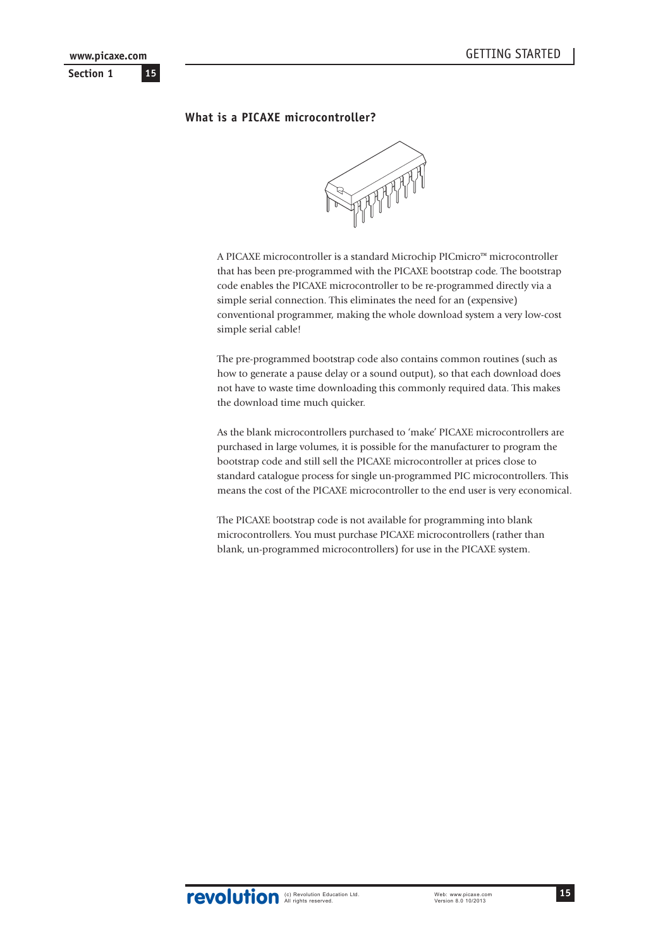<span id="page-14-0"></span>**Section 1 15 www.picaxe.com**

## **What is a PICAXE microcontroller?**



A PICAXE microcontroller is a standard Microchip PICmicro™ microcontroller that has been pre-programmed with the PICAXE bootstrap code. The bootstrap code enables the PICAXE microcontroller to be re-programmed directly via a simple serial connection. This eliminates the need for an (expensive) conventional programmer, making the whole download system a very low-cost simple serial cable!

The pre-programmed bootstrap code also contains common routines (such as how to generate a pause delay or a sound output), so that each download does not have to waste time downloading this commonly required data. This makes the download time much quicker.

As the blank microcontrollers purchased to 'make' PICAXE microcontrollers are purchased in large volumes, it is possible for the manufacturer to program the bootstrap code and still sell the PICAXE microcontroller at prices close to standard catalogue process for single un-programmed PIC microcontrollers. This means the cost of the PICAXE microcontroller to the end user is very economical.

The PICAXE bootstrap code is not available for programming into blank microcontrollers. You must purchase PICAXE microcontrollers (rather than blank, un-programmed microcontrollers) for use in the PICAXE system.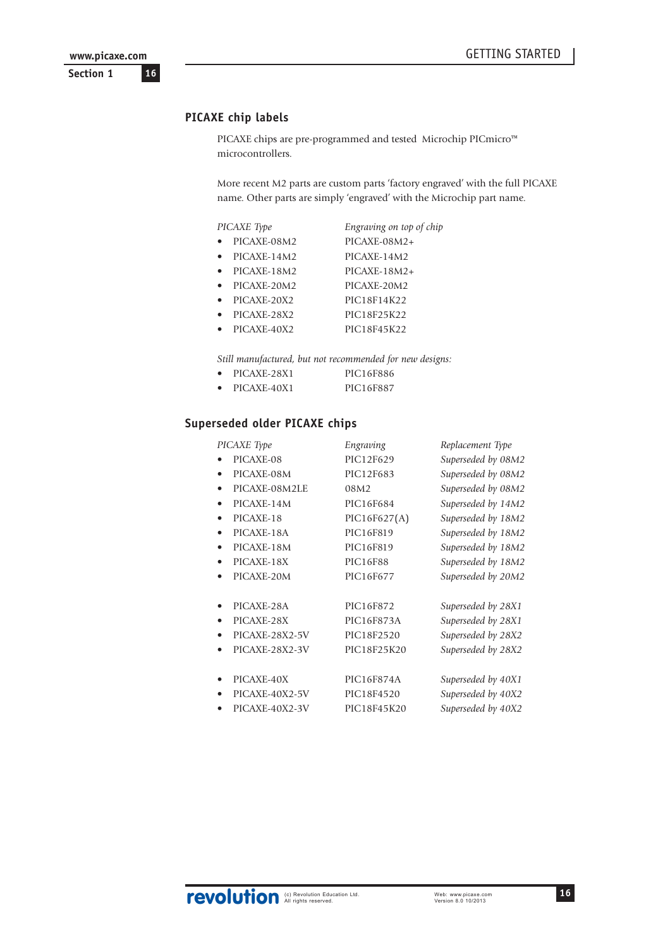<span id="page-15-0"></span>**Section 1**

## **PICAXE chip labels**

PICAXE chips are pre-programmed and tested Microchip PICmicro™ microcontrollers.

More recent M2 parts are custom parts 'factory engraved' with the full PICAXE name. Other parts are simply 'engraved' with the Microchip part name.

| PICAXE Type | Engraving on top of chip |
|-------------|--------------------------|
| PICAXE-08M2 | PICAXE-08M2+             |
| PICAXE-14M2 | PICAXE-14M2              |
| PICAXE-18M2 | $PICAXE-18M2+$           |
| PICAXE-20M2 | PICAXE-20M2              |
| PICAXE-20X2 | PIC18F14K22              |
| PICAXE-28X2 | PIC18F25K22              |
| PICAXE-40X2 | PIC18F45K22              |

*Still manufactured, but not recommended for new designs:*

| PICAXE-28X1 | PIC16F886 |
|-------------|-----------|
| PICAXE-40X1 | PIC16F887 |

## **Superseded older PICAXE chips**

| PICAXE Type    | Engraving       | Replacement Type   |
|----------------|-----------------|--------------------|
| PICAXE-08      | PIC12F629       | Superseded by 08M2 |
| PICAXE-08M     | PIC12F683       | Superseded by 08M2 |
| PICAXE-08M2LE  | 08M2            | Superseded by 08M2 |
| PICAXE-14M     | PIC16F684       | Superseded by 14M2 |
| PICAXE-18      | PIC16F627(A)    | Superseded by 18M2 |
| PICAXE-18A     | PIC16F819       | Superseded by 18M2 |
| PICAXE-18M     | PIC16F819       | Superseded by 18M2 |
| PICAXE-18X     | <b>PIC16F88</b> | Superseded by 18M2 |
| PICAXE-20M     | PIC16F677       | Superseded by 20M2 |
| PICAXE-28A     | PIC16F872       | Superseded by 28X1 |
| PICAXE-28X     | PIC16F873A      | Superseded by 28X1 |
| PICAXE-28X2-5V | PIC18F2520      | Superseded by 28X2 |
| PICAXE-28X2-3V | PIC18F25K20     | Superseded by 28X2 |
| PICAXE-40X     | PIC16F874A      | Superseded by 40X1 |
| PICAXE-40X2-5V | PIC18F4520      | Superseded by 40X2 |
| PICAXE-40X2-3V | PIC18F45K20     | Superseded by 40X2 |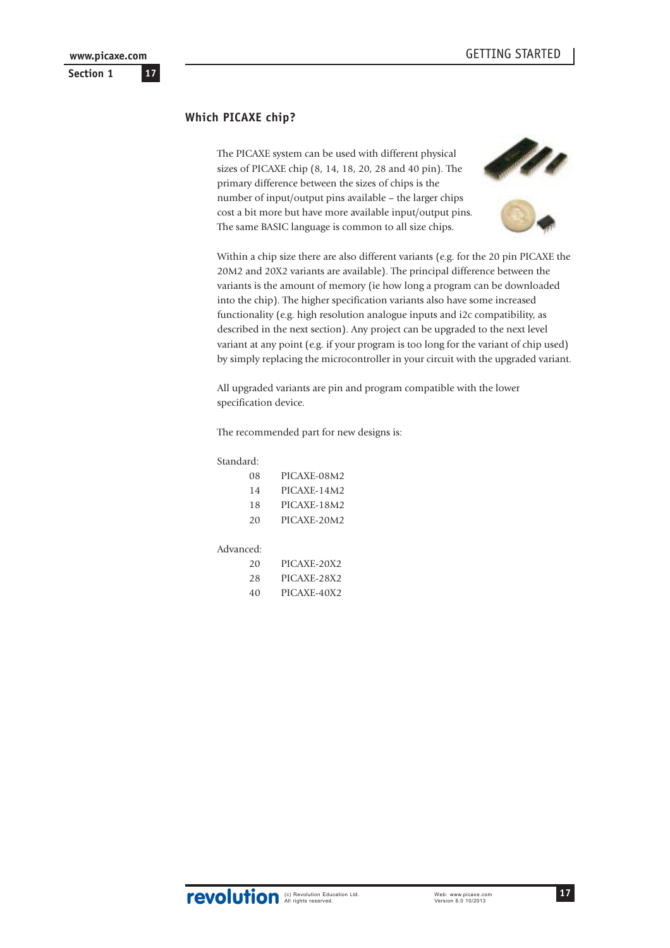## <span id="page-16-0"></span>**Which PICAXE chip?**

The PICAXE system can be used with different physical sizes of PICAXE chip (8, 14, 18, 20, 28 and 40 pin). The primary difference between the sizes of chips is the number of input/output pins available – the larger chips cost a bit more but have more available input/output pins. The same BASIC language is common to all size chips.





Within a chip size there are also different variants (e.g. for the 20 pin PICAXE the 20M2 and 20X2 variants are available). The principal difference between the variants is the amount of memory (ie how long a program can be downloaded into the chip). The higher specification variants also have some increased functionality (e.g. high resolution analogue inputs and i2c compatibility, as described in the next section). Any project can be upgraded to the next level variant at any point (e.g. if your program is too long for the variant of chip used) by simply replacing the microcontroller in your circuit with the upgraded variant.

All upgraded variants are pin and program compatible with the lower specification device.

#### The recommended part for new designs is:

#### Standard:

| 08 | PICAXE-08M2 |
|----|-------------|
| 14 | PICAXE-14M2 |
| 18 | PICAXE-18M2 |
| 20 | PICAXE-20M2 |

#### Advanced:

| 20 | PICAXE-20X2 |
|----|-------------|
| 28 | PICAXE-28X2 |
| 40 | PICAXE-40X2 |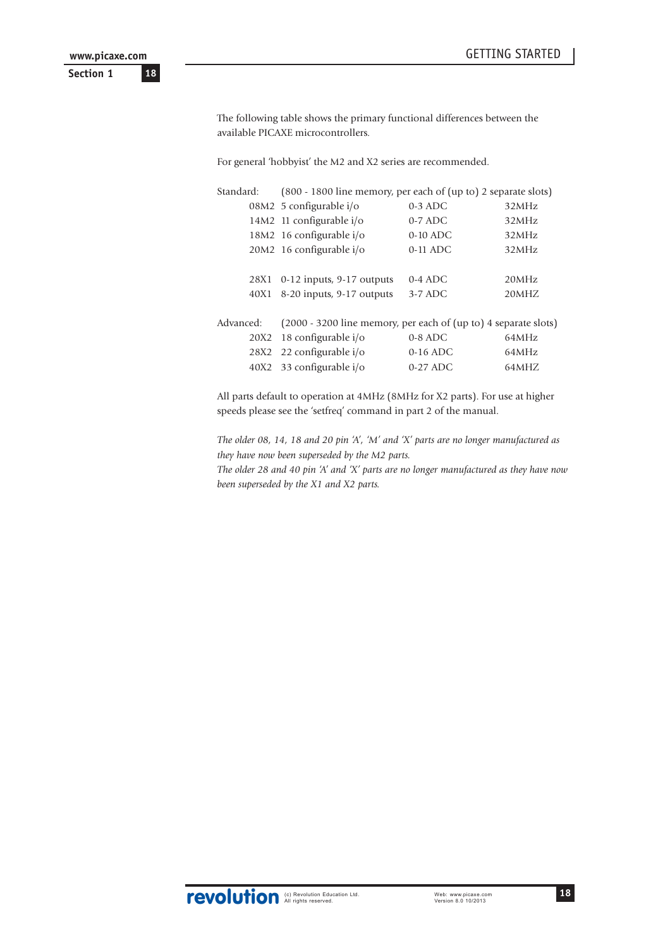**Section 1**

The following table shows the primary functional differences between the available PICAXE microcontrollers.

For general 'hobbyist' the M2 and X2 series are recommended.

| Standard: | (800 - 1800 line memory, per each of (up to) 2 separate slots)  |            |       |
|-----------|-----------------------------------------------------------------|------------|-------|
|           | 08M2 5 configurable i/o                                         | $0-3$ ADC  | 32MHz |
|           | 14M2 11 configurable i/o                                        | $0-7$ ADC  | 32MHz |
|           | 18M2 16 configurable i/o                                        | $0-10$ ADC | 32MHz |
|           | 20M2 16 configurable i/o                                        | $0-11$ ADC | 32MHz |
|           |                                                                 |            |       |
| 28X1      | $0-12$ inputs, 9-17 outputs                                     | $0-4$ ADC  | 20MHz |
| 40X1      | 8-20 inputs, 9-17 outputs                                       | $3-7$ ADC  | 20MHZ |
|           |                                                                 |            |       |
| Advanced: | (2000 - 3200 line memory, per each of (up to) 4 separate slots) |            |       |
| 20X2      | 18 configurable i/o                                             | $0-8$ ADC  | 64MHz |
| 28X2      | 22 configurable i/o                                             | $0-16$ ADC | 64MHz |
| 40X2      | 33 configurable i/o                                             | $0-27$ ADC | 64MHZ |

All parts default to operation at 4MHz (8MHz for X2 parts). For use at higher speeds please see the 'setfreq' command in part 2 of the manual.

*The older 08, 14, 18 and 20 pin 'A', 'M' and 'X' parts are no longer manufactured as they have now been superseded by the M2 parts.*

*The older 28 and 40 pin 'A' and 'X' parts are no longer manufactured as they have now been superseded by the X1 and X2 parts.*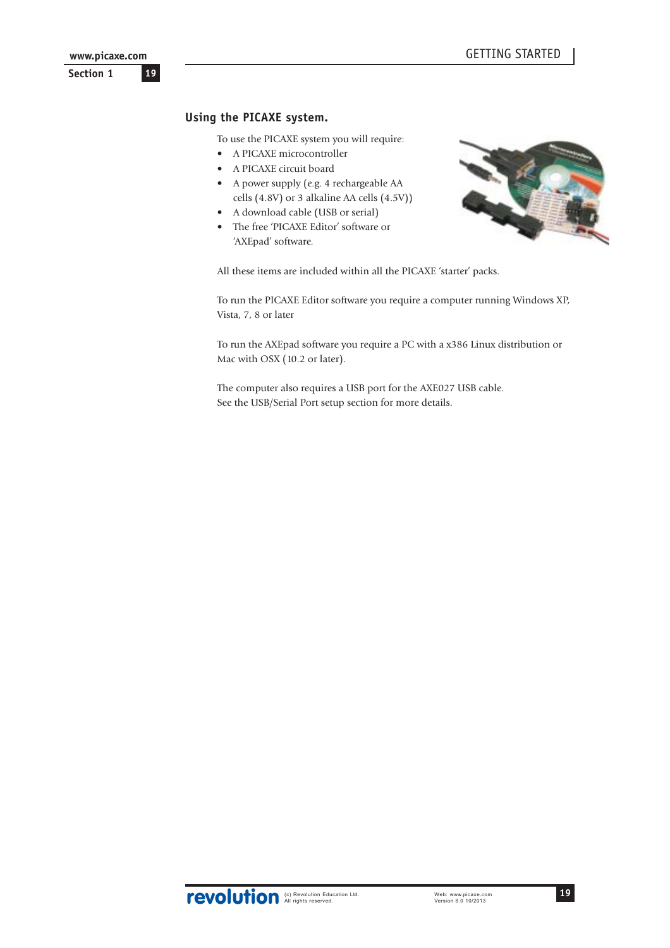## <span id="page-18-0"></span>**Using the PICAXE system.**

To use the PICAXE system you will require:

- A PICAXE microcontroller
- A PICAXE circuit board
- A power supply (e.g. 4 rechargeable AA cells (4.8V) or 3 alkaline AA cells (4.5V))
- A download cable (USB or serial)
- The free 'PICAXE Editor' software or 'AXEpad' software.



All these items are included within all the PICAXE 'starter' packs.

To run the PICAXE Editor software you require a computer running Windows XP, Vista, 7, 8 or later

To run the AXEpad software you require a PC with a x386 Linux distribution or Mac with OSX (10.2 or later).

The computer also requires a USB port for the AXE027 USB cable. See the USB/Serial Port setup section for more details.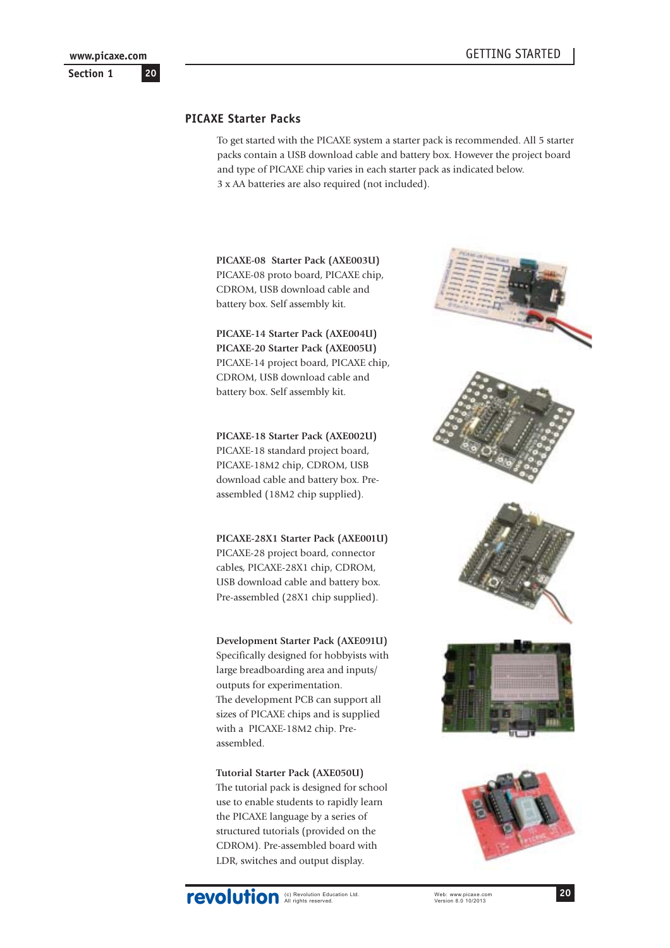## <span id="page-19-0"></span>**PICAXE Starter Packs**

To get started with the PICAXE system a starter pack is recommended. All 5 starter packs contain a USB download cable and battery box. However the project board and type of PICAXE chip varies in each starter pack as indicated below. 3 x AA batteries are also required (not included).

**PICAXE-08 Starter Pack (AXE003U)** PICAXE-08 proto board, PICAXE chip, CDROM, USB download cable and battery box. Self assembly kit.

**PICAXE-14 Starter Pack (AXE004U) PICAXE-20 Starter Pack (AXE005U)** PICAXE-14 project board, PICAXE chip, CDROM, USB download cable and battery box. Self assembly kit.

**PICAXE-18 Starter Pack (AXE002U)** PICAXE-18 standard project board, PICAXE-18M2 chip, CDROM, USB download cable and battery box. Preassembled (18M2 chip supplied).

**PICAXE-28X1 Starter Pack (AXE001U)** PICAXE-28 project board, connector cables, PICAXE-28X1 chip, CDROM, USB download cable and battery box. Pre-assembled (28X1 chip supplied).

**Development Starter Pack (AXE091U)**

Specifically designed for hobbyists with large breadboarding area and inputs/ outputs for experimentation. The development PCB can support all sizes of PICAXE chips and is supplied with a PICAXE-18M2 chip. Preassembled.

**Tutorial Starter Pack (AXE050U)** The tutorial pack is designed for school use to enable students to rapidly learn the PICAXE language by a series of structured tutorials (provided on the CDROM). Pre-assembled board with LDR, switches and output display.



**20**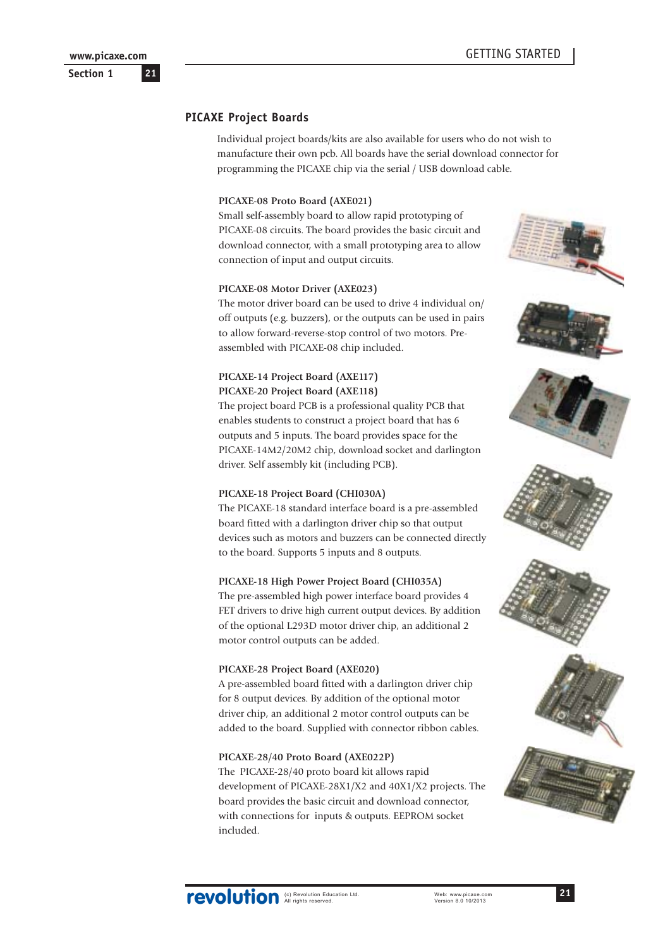<span id="page-20-0"></span>**Section 1**

## **PICAXE Project Boards**

Individual project boards/kits are also available for users who do not wish to manufacture their own pcb. All boards have the serial download connector for programming the PICAXE chip via the serial / USB download cable.

#### **PICAXE-08 Proto Board (AXE021)**

Small self-assembly board to allow rapid prototyping of PICAXE-08 circuits. The board provides the basic circuit and download connector, with a small prototyping area to allow connection of input and output circuits.

#### **PICAXE-08 Motor Driver (AXE023)**

The motor driver board can be used to drive 4 individual on/ off outputs (e.g. buzzers), or the outputs can be used in pairs to allow forward-reverse-stop control of two motors. Preassembled with PICAXE-08 chip included.

### **PICAXE-14 Project Board (AXE117) PICAXE-20 Project Board (AXE118)**

The project board PCB is a professional quality PCB that enables students to construct a project board that has 6 outputs and 5 inputs. The board provides space for the PICAXE-14M2/20M2 chip, download socket and darlington driver. Self assembly kit (including PCB).

#### **PICAXE-18 Project Board (CHI030A)**

The PICAXE-18 standard interface board is a pre-assembled board fitted with a darlington driver chip so that output devices such as motors and buzzers can be connected directly to the board. Supports 5 inputs and 8 outputs.

#### **PICAXE-18 High Power Project Board (CHI035A)**

The pre-assembled high power interface board provides 4 FET drivers to drive high current output devices. By addition of the optional L293D motor driver chip, an additional 2 motor control outputs can be added.

#### **PICAXE-28 Project Board (AXE020)**

A pre-assembled board fitted with a darlington driver chip for 8 output devices. By addition of the optional motor driver chip, an additional 2 motor control outputs can be added to the board. Supplied with connector ribbon cables.

#### **PICAXE-28/40 Proto Board (AXE022P)**

The PICAXE-28/40 proto board kit allows rapid development of PICAXE-28X1/X2 and 40X1/X2 projects. The board provides the basic circuit and download connector, with connections for inputs & outputs. EEPROM socket included.











**21**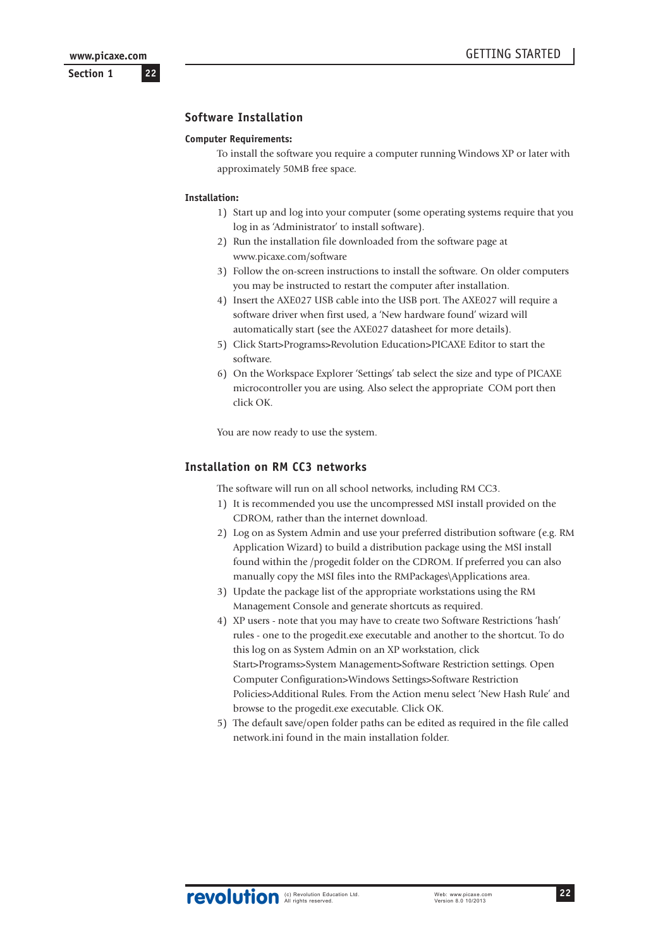**22**

<span id="page-21-0"></span>**Section 1**

#### **Software Installation**

#### **Computer Requirements:**

To install the software you require a computer running Windows XP or later with approximately 50MB free space.

#### **Installation:**

- 1) Start up and log into your computer (some operating systems require that you log in as 'Administrator' to install software).
- 2) Run the installation file downloaded from the software page at www.picaxe.com/software
- 3) Follow the on-screen instructions to install the software. On older computers you may be instructed to restart the computer after installation.
- 4) Insert the AXE027 USB cable into the USB port. The AXE027 will require a software driver when first used, a 'New hardware found' wizard will automatically start (see the AXE027 datasheet for more details).
- 5) Click Start>Programs>Revolution Education>PICAXE Editor to start the software.
- 6) On the Workspace Explorer 'Settings' tab select the size and type of PICAXE microcontroller you are using. Also select the appropriate COM port then click OK.

You are now ready to use the system.

### **Installation on RM CC3 networks**

The software will run on all school networks, including RM CC3.

- 1) It is recommended you use the uncompressed MSI install provided on the CDROM, rather than the internet download.
- 2) Log on as System Admin and use your preferred distribution software (e.g. RM Application Wizard) to build a distribution package using the MSI install found within the /progedit folder on the CDROM. If preferred you can also manually copy the MSI files into the RMPackages\Applications area.
- 3) Update the package list of the appropriate workstations using the RM Management Console and generate shortcuts as required.
- 4) XP users note that you may have to create two Software Restrictions 'hash' rules - one to the progedit.exe executable and another to the shortcut. To do this log on as System Admin on an XP workstation, click Start>Programs>System Management>Software Restriction settings. Open Computer Configuration>Windows Settings>Software Restriction Policies>Additional Rules. From the Action menu select 'New Hash Rule' and browse to the progedit.exe executable. Click OK.
- 5) The default save/open folder paths can be edited as required in the file called network.ini found in the main installation folder.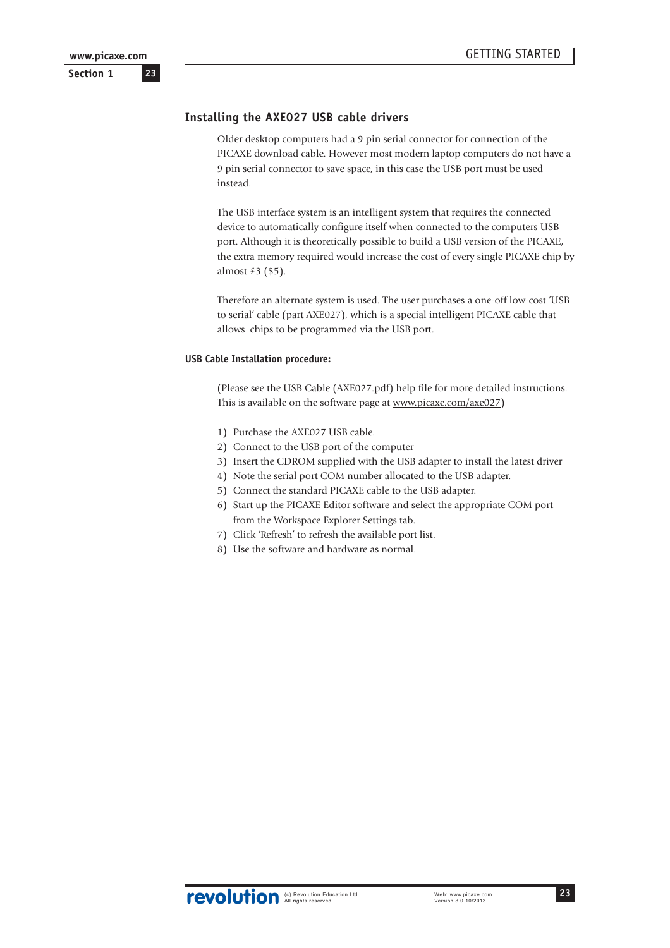## <span id="page-22-0"></span>**Installing the AXE027 USB cable drivers**

Older desktop computers had a 9 pin serial connector for connection of the PICAXE download cable. However most modern laptop computers do not have a 9 pin serial connector to save space, in this case the USB port must be used instead.

The USB interface system is an intelligent system that requires the connected device to automatically configure itself when connected to the computers USB port. Although it is theoretically possible to build a USB version of the PICAXE, the extra memory required would increase the cost of every single PICAXE chip by almost £3 (\$5).

Therefore an alternate system is used. The user purchases a one-off low-cost 'USB to serial' cable (part AXE027), which is a special intelligent PICAXE cable that allows chips to be programmed via the USB port.

#### **USB Cable Installation procedure:**

(Please see the USB Cable (AXE027.pdf) help file for more detailed instructions. This is available on the software page at www.picaxe.com/axe027)

- 1) Purchase the AXE027 USB cable.
- 2) Connect to the USB port of the computer
- 3) Insert the CDROM supplied with the USB adapter to install the latest driver
- 4) Note the serial port COM number allocated to the USB adapter.
- 5) Connect the standard PICAXE cable to the USB adapter.
- 6) Start up the PICAXE Editor software and select the appropriate COM port from the Workspace Explorer Settings tab.
- 7) Click 'Refresh' to refresh the available port list.
- 8) Use the software and hardware as normal.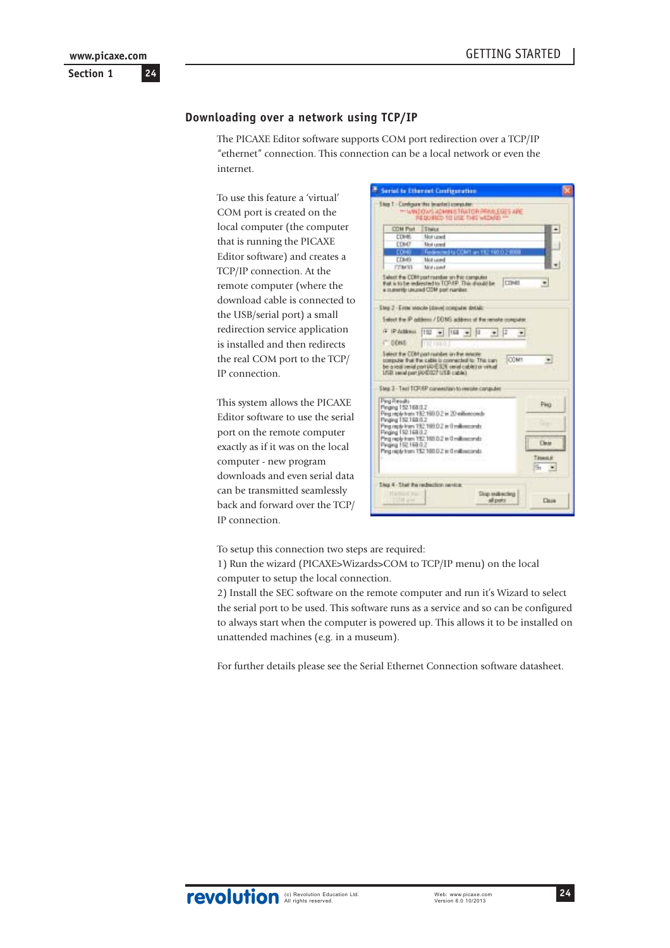<span id="page-23-0"></span>**Section 1 24 www.picaxe.com**

#### **Downloading over a network using TCP/IP**

The PICAXE Editor software supports COM port redirection over a TCP/IP "ethernet" connection. This connection can be a local network or even the internet.

To use this feature a 'virtual' COM port is created on the local computer (the computer that is running the PICAXE Editor software) and creates a TCP/IP connection. At the remote computer (where the download cable is connected to the USB/serial port) a small redirection service application is installed and then redirects the real COM port to the TCP/ IP connection.

This system allows the PICAXE Editor software to use the serial port on the remote computer exactly as if it was on the local computer - new program downloads and even serial data can be transmitted seamlessly back and forward over the TCP/ IP connection.

|                                                                                                               | Serial to Etheraet Configuration                                                                                                                                                                       |                                                  |
|---------------------------------------------------------------------------------------------------------------|--------------------------------------------------------------------------------------------------------------------------------------------------------------------------------------------------------|--------------------------------------------------|
|                                                                                                               | Slog 1 Configure the Imaginal computer:<br>THE BASIC TO A REPORT ON THE WAY OF THE REAL PROPERTY.                                                                                                      |                                                  |
| COM Port                                                                                                      | Steps:                                                                                                                                                                                                 |                                                  |
| <b>COMBS</b>                                                                                                  | Mot upset                                                                                                                                                                                              |                                                  |
| <b>COMP</b>                                                                                                   | Mot career                                                                                                                                                                                             |                                                  |
| <b>COHO</b>                                                                                                   | Redescript to COM1 an 192.199.0.2 6988                                                                                                                                                                 |                                                  |
| <b>COMG</b>                                                                                                   | Mot caused                                                                                                                                                                                             |                                                  |
| <b>FEMAN</b>                                                                                                  | Mint could:                                                                                                                                                                                            |                                                  |
|                                                                                                               | Select the CDM post namber on thic computer<br>that is to be redeemed to TOP/EP. This should be [COME]<br>a currently unused COM port number.                                                          |                                                  |
|                                                                                                               | Sing 2 - Errier stands (dave) computer distall:                                                                                                                                                        |                                                  |
|                                                                                                               | Eatost the IP addens / DOMS address of the remote computer.                                                                                                                                            |                                                  |
| IT DONE                                                                                                       | (F (PAddress [192 + 168 + 0<br>10.1880                                                                                                                                                                 | I2                                               |
|                                                                                                               | Select the CDM port number an the relative<br>computer that the cable is commediat to: This can-<br>be a rest rend port (IDE(I)) send cable) a virtual<br>LISE send part (400.027 USE cable).          | <b>COMS</b>                                      |
|                                                                                                               | Sing 3 - Test TCP/RP convention to renote conquire:                                                                                                                                                    |                                                  |
| Ping Results<br>Pinging 152.168.0.2<br>Pinging 152.168.0.2<br>Pinging 152.168.0.2<br>Pinging 192 168 0.2<br>ŵ | Ping replicit and 192 198.0.2 in 20 millioncoords<br>Ping right from 192,168.0.2 in 0 millionconds.<br>Ping reply from 192.168.8.2 in G millionconds<br>Ping rigily from T52 160.0.2 in 0 millionconds | Ping<br><b>Carried</b><br>Clear<br>Tasward<br>h. |
| Step 4 - Start the rechection service:<br><b>Harmon</b><br><b>CUM and</b>                                     |                                                                                                                                                                                                        | Skap seals working<br>all parks<br><b>Class</b>  |

To setup this connection two steps are required:

1) Run the wizard (PICAXE>Wizards>COM to TCP/IP menu) on the local computer to setup the local connection.

2) Install the SEC software on the remote computer and run it's Wizard to select the serial port to be used. This software runs as a service and so can be configured to always start when the computer is powered up. This allows it to be installed on unattended machines (e.g. in a museum).

For further details please see the Serial Ethernet Connection software datasheet.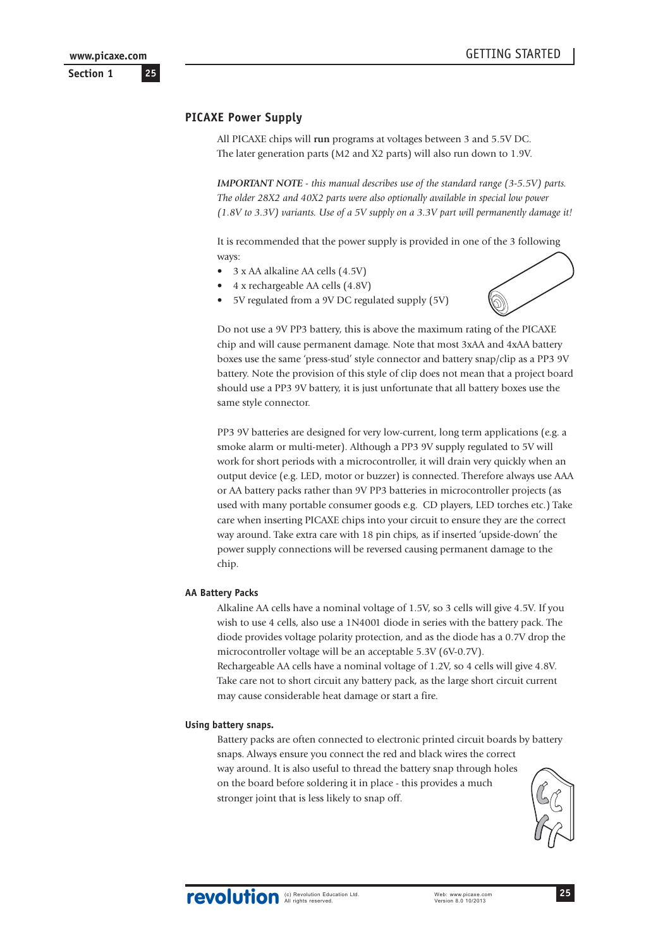## <span id="page-24-0"></span>**PICAXE Power Supply**

All PICAXE chips will **run** programs at voltages between 3 and 5.5V DC. The later generation parts (M2 and X2 parts) will also run down to 1.9V.

*IMPORTANT NOTE - this manual describes use of the standard range (3-5.5V) parts. The older 28X2 and 40X2 parts were also optionally available in special low power (1.8V to 3.3V) variants. Use of a 5V supply on a 3.3V part will permanently damage it!*

It is recommended that the power supply is provided in one of the 3 following ways:

- 3 x AA alkaline AA cells (4.5V)
- 4 x rechargeable AA cells (4.8V)
- 5V regulated from a 9V DC regulated supply (5V)



Do not use a 9V PP3 battery, this is above the maximum rating of the PICAXE chip and will cause permanent damage. Note that most 3xAA and 4xAA battery boxes use the same 'press-stud' style connector and battery snap/clip as a PP3 9V battery. Note the provision of this style of clip does not mean that a project board should use a PP3 9V battery, it is just unfortunate that all battery boxes use the same style connector.

PP3 9V batteries are designed for very low-current, long term applications (e.g. a smoke alarm or multi-meter). Although a PP3 9V supply regulated to 5V will work for short periods with a microcontroller, it will drain very quickly when an output device (e.g. LED, motor or buzzer) is connected. Therefore always use AAA or AA battery packs rather than 9V PP3 batteries in microcontroller projects (as used with many portable consumer goods e.g. CD players, LED torches etc.) Take care when inserting PICAXE chips into your circuit to ensure they are the correct way around. Take extra care with 18 pin chips, as if inserted 'upside-down' the power supply connections will be reversed causing permanent damage to the chip.

#### **AA Battery Packs**

Alkaline AA cells have a nominal voltage of 1.5V, so 3 cells will give 4.5V. If you wish to use 4 cells, also use a 1N4001 diode in series with the battery pack. The diode provides voltage polarity protection, and as the diode has a 0.7V drop the microcontroller voltage will be an acceptable 5.3V (6V-0.7V). Rechargeable AA cells have a nominal voltage of 1.2V, so 4 cells will give 4.8V.

Take care not to short circuit any battery pack, as the large short circuit current may cause considerable heat damage or start a fire.

#### **Using battery snaps.**

Battery packs are often connected to electronic printed circuit boards by battery snaps. Always ensure you connect the red and black wires the correct way around. It is also useful to thread the battery snap through holes on the board before soldering it in place - this provides a much stronger joint that is less likely to snap off.

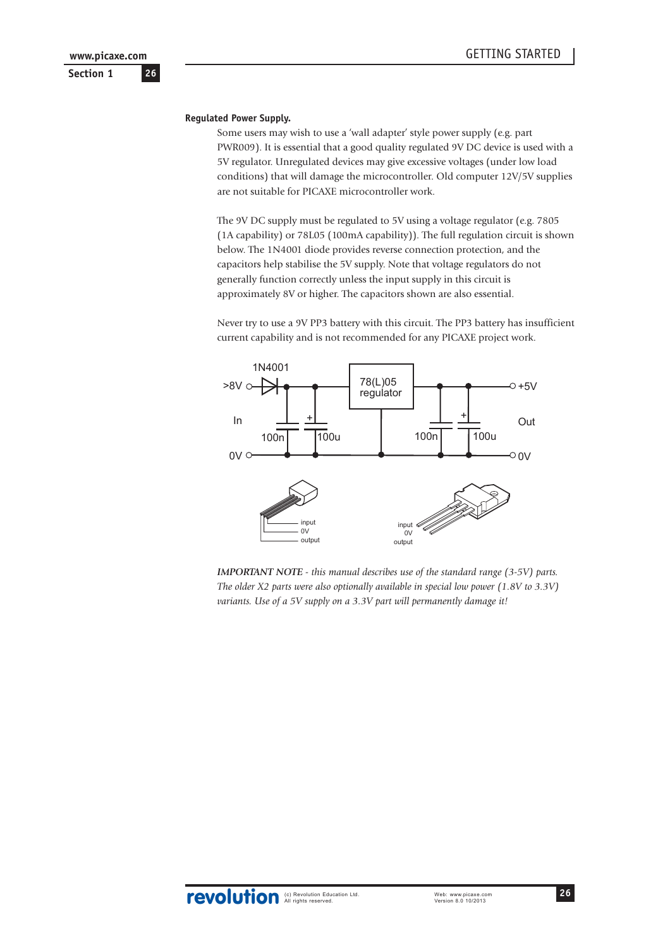#### **Regulated Power Supply.**

Some users may wish to use a 'wall adapter' style power supply (e.g. part PWR009). It is essential that a good quality regulated 9V DC device is used with a 5V regulator. Unregulated devices may give excessive voltages (under low load conditions) that will damage the microcontroller. Old computer 12V/5V supplies are not suitable for PICAXE microcontroller work.

The 9V DC supply must be regulated to 5V using a voltage regulator (e.g. 7805 (1A capability) or 78L05 (100mA capability)). The full regulation circuit is shown below. The 1N4001 diode provides reverse connection protection, and the capacitors help stabilise the 5V supply. Note that voltage regulators do not generally function correctly unless the input supply in this circuit is approximately 8V or higher. The capacitors shown are also essential.

Never try to use a 9V PP3 battery with this circuit. The PP3 battery has insufficient current capability and is not recommended for any PICAXE project work.



*IMPORTANT NOTE - this manual describes use of the standard range (3-5V) parts. The older X2 parts were also optionally available in special low power (1.8V to 3.3V) variants. Use of a 5V supply on a 3.3V part will permanently damage it!*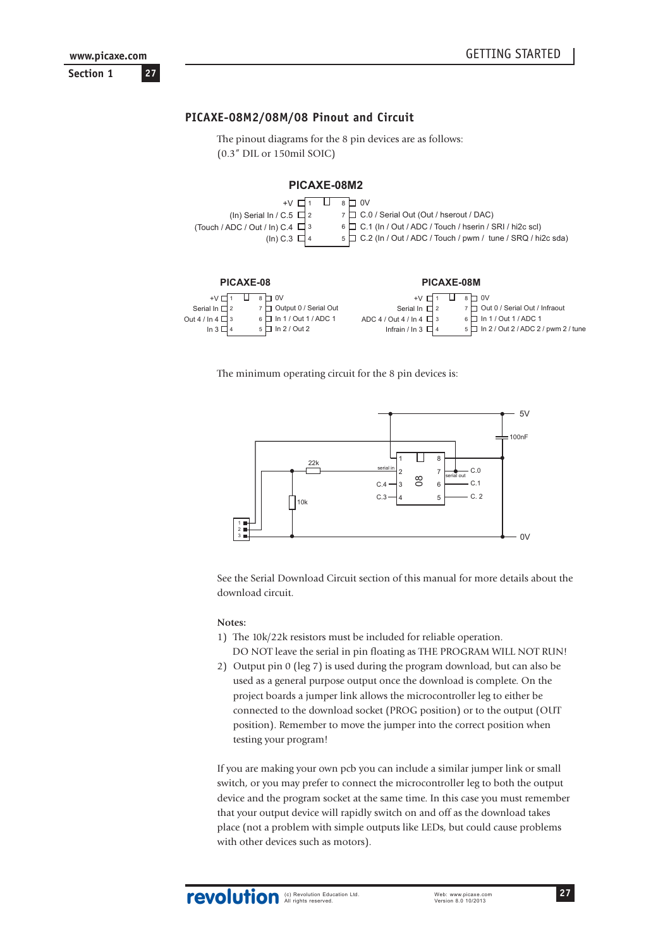<span id="page-26-0"></span>

## **PICAXE-08M2/08M/08 Pinout and Circuit**

The pinout diagrams for the 8 pin devices are as follows: (0.3" DIL or 150mil SOIC)

#### **PICAXE-08M2**





The minimum operating circuit for the 8 pin devices is:



See the Serial Download Circuit section of this manual for more details about the download circuit.

#### **Notes:**

- 1) The 10k/22k resistors must be included for reliable operation. DO NOT leave the serial in pin floating as THE PROGRAM WILL NOT RUN!
- 2) Output pin 0 (leg 7) is used during the program download, but can also be used as a general purpose output once the download is complete. On the project boards a jumper link allows the microcontroller leg to either be connected to the download socket (PROG position) or to the output (OUT position). Remember to move the jumper into the correct position when testing your program!

If you are making your own pcb you can include a similar jumper link or small switch, or you may prefer to connect the microcontroller leg to both the output device and the program socket at the same time. In this case you must remember that your output device will rapidly switch on and off as the download takes place (not a problem with simple outputs like LEDs, but could cause problems with other devices such as motors).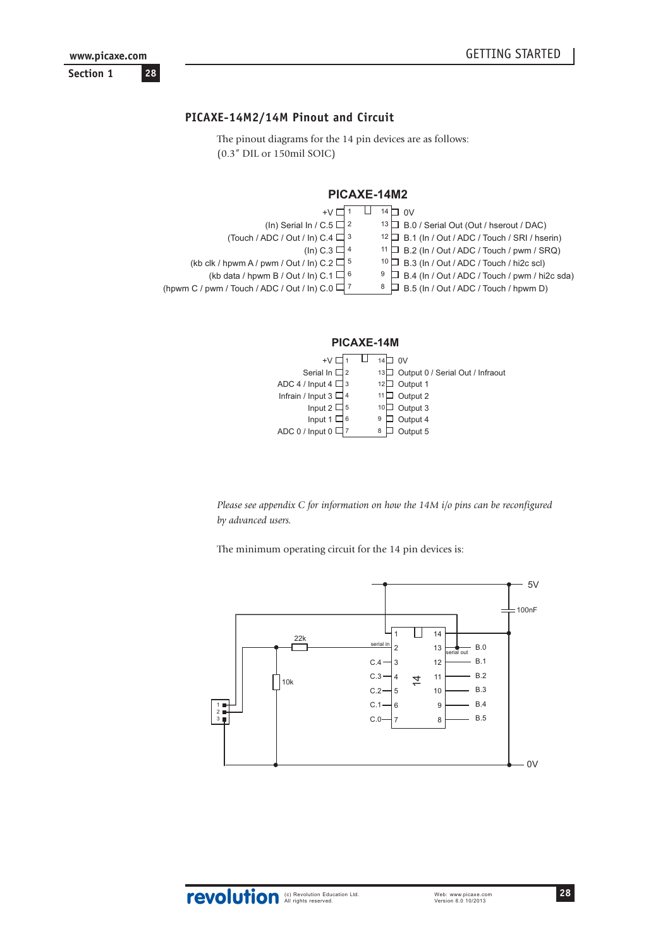## <span id="page-27-0"></span>**PICAXE-14M2/14M Pinout and Circuit**

The pinout diagrams for the 14 pin devices are as follows: (0.3" DIL or 150mil SOIC)





*Please see appendix C for information on how the 14M i/o pins can be reconfigured by advanced users.*

The minimum operating circuit for the 14 pin devices is:

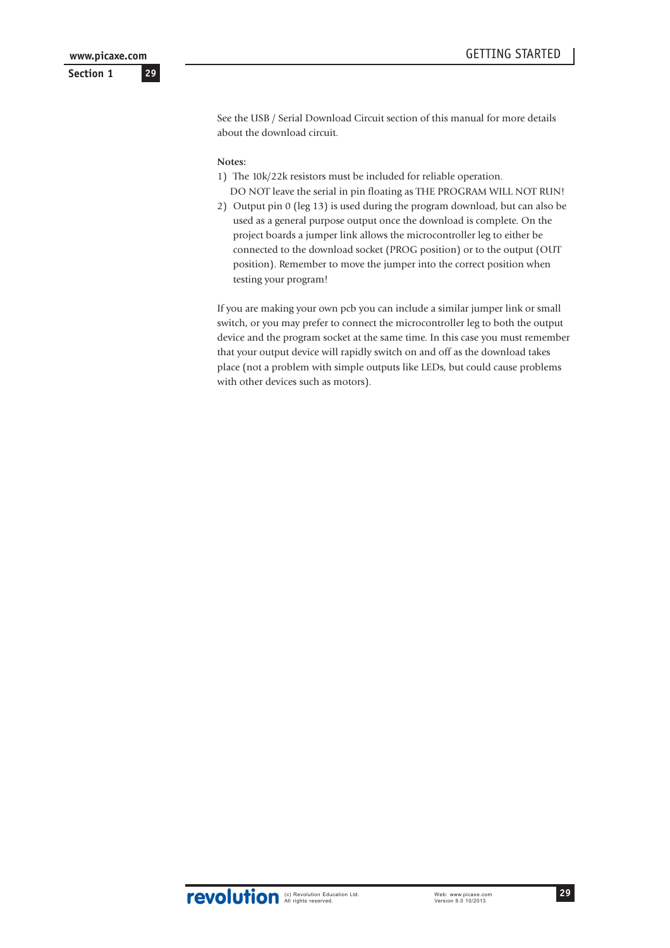See the USB / Serial Download Circuit section of this manual for more details about the download circuit.

#### **Notes:**

- 1) The 10k/22k resistors must be included for reliable operation. DO NOT leave the serial in pin floating as THE PROGRAM WILL NOT RUN!
- 2) Output pin 0 (leg 13) is used during the program download, but can also be used as a general purpose output once the download is complete. On the project boards a jumper link allows the microcontroller leg to either be connected to the download socket (PROG position) or to the output (OUT position). Remember to move the jumper into the correct position when testing your program!

If you are making your own pcb you can include a similar jumper link or small switch, or you may prefer to connect the microcontroller leg to both the output device and the program socket at the same time. In this case you must remember that your output device will rapidly switch on and off as the download takes place (not a problem with simple outputs like LEDs, but could cause problems with other devices such as motors).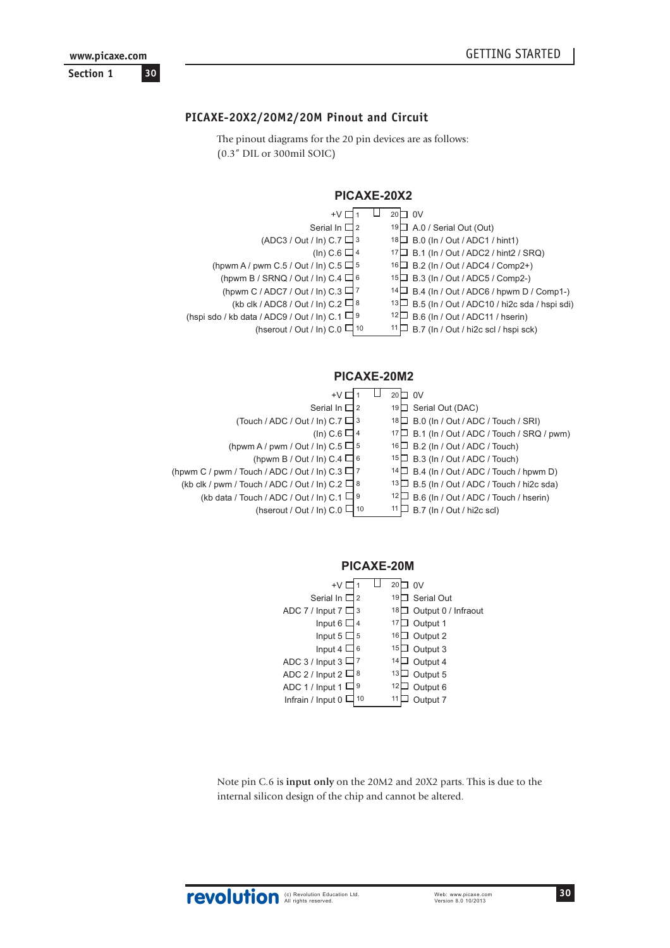## <span id="page-29-0"></span>**PICAXE-20X2/20M2/20M Pinout and Circuit**

The pinout diagrams for the 20 pin devices are as follows: (0.3" DIL or 300mil SOIC)

| PICAXE-20X2                                         |                                                     |  |  |
|-----------------------------------------------------|-----------------------------------------------------|--|--|
|                                                     | $20\Box$ OV                                         |  |  |
| Serial In $\square$ 2                               | $19\Box$ A.0 / Serial Out (Out)                     |  |  |
| $(ADC3 / Out / In) C.7 \square$ 3                   | 18 B.0 (In / Out / ADC1 / hint1)                    |  |  |
| (In) C.6 $\Box$ 4                                   | $17 \Box$ B.1 (In / Out / ADC2 / hint2 / SRQ)       |  |  |
| (hpwm A / pwm C.5 / Out / ln) C.5 $\Box$ 5          | 16□ B.2 (In / Out / ADC4 / Comp2+)                  |  |  |
| (hpwm B / SRNQ / Out / ln) C.4 $\Box$ 6             | B.3 (In / Out / ADC5 / Comp2-)<br>15 <sub>1</sub>   |  |  |
| (hpwm C / ADC7 / Out / In) C.3 $\Box$ 7             | $14\Box$ B.4 (In / Out / ADC6 / hpwm D / Comp1-)    |  |  |
| (kb clk / ADC8 / Out / ln) C.2 $\Box$ 8             | B.5 (In / Out / ADC10 / hi2c sda / hspi sdi)<br>13∐ |  |  |
| (hspi sdo / kb data / ADC9 / Out / ln) C.1 $\Box$ 9 | B.6 (In / Out / ADC11 / hserin)<br>12 L             |  |  |
| (hserout / Out / In) $C.0 \Box$ 10                  | B.7 (In / Out / hi2c scl / hspi sck)<br>11          |  |  |
|                                                     |                                                     |  |  |

## **PICAXE-20M2**

| +V                                                   | $20\Box$ OV                                     |
|------------------------------------------------------|-------------------------------------------------|
| Serial In $\Box$ 2                                   | 19□ Serial Out (DAC)                            |
| (Touch / ADC / Out / In) C.7 $\Box$ 3                | $18 \Box$ B.0 (In / Out / ADC / Touch / SRI)    |
| (In) C.6 $\Box$ 4                                    | 17 B.1 (In / Out / ADC / Touch / SRQ / pwm)     |
| (hpwm A / pwm / Out / In) $C.5 \square$ 5            | $16 \Box$ B.2 (In / Out / ADC / Touch)          |
| (hpwm B / Out / In) C.4 $\Box$ 6                     | $15\Box$ B.3 (In / Out / ADC / Touch)           |
| (hpwm C / pwm / Touch / ADC / Out / In) C.3 $\Box$ 7 | $14 \Box$ B.4 (In / Out / ADC / Touch / hpwm D) |
| (kb clk / pwm / Touch / ADC / Out / In) C.2 $\Box$ 8 | 13 B.5 (In / Out / ADC / Touch / hi2c sda)      |
| (kb data / Touch / ADC / Out / In) C.1 $\Box$ 9      | $12 \Box$ B.6 (In / Out / ADC / Touch / hserin) |
| (hserout / Out / In) C.0 $\Box$ 10                   | B.7 (In / Out / hi2c scl)                       |

## PICAXE-20M

|     | 20<br>0V                  |
|-----|---------------------------|
| l 2 | Serial Out<br>19          |
| l 3 | Output 0 / Infraout<br>18 |
|     | Output 1<br>17            |
| 5   | Output 2<br>16            |
|     | Output 3<br>15            |
|     | 14<br>Output 4            |
|     | 13<br>Output 5            |
| 9   | 12<br>Output 6            |
| 10  | 11<br>Output 7            |
|     | 14<br>16<br>18            |

Note pin C.6 is **input only** on the 20M2 and 20X2 parts. This is due to the internal silicon design of the chip and cannot be altered.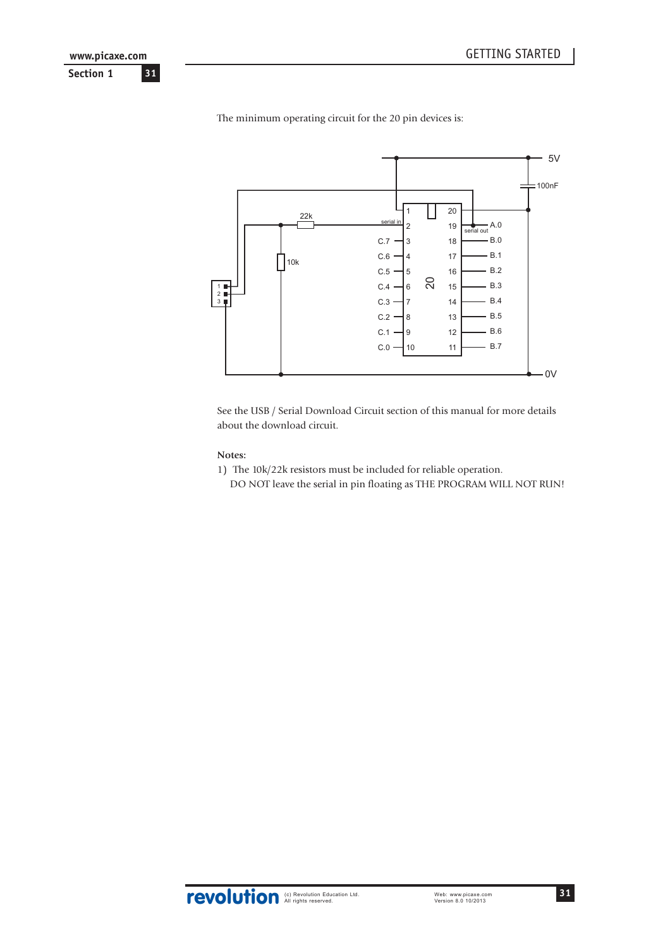

The minimum operating circuit for the 20 pin devices is:

See the USB / Serial Download Circuit section of this manual for more details about the download circuit.

#### **Notes:**

- 1) The 10k/22k resistors must be included for reliable operation.
	-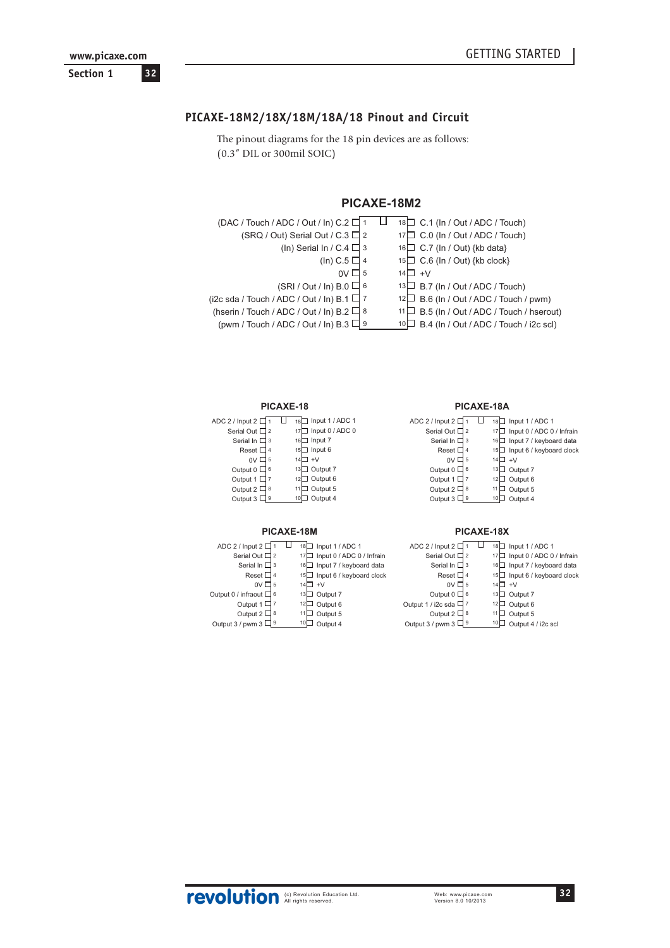## <span id="page-31-0"></span>**Section 1**

## **PICAXE-18M2/18X/18M/18A/18 Pinout and Circuit**

The pinout diagrams for the 18 pin devices are as follows: (0.3" DIL or 300mil SOIC)

## **PICAXE-18M2**

| (DAC / Touch / ADC / Out / In) C.2 □            |      | 18 C.1 (In / Out / ADC / Touch)                  |
|-------------------------------------------------|------|--------------------------------------------------|
| (SRQ / Out) Serial Out / C.3 $\Box$ 2           |      | 17 C.0 (In / Out / ADC / Touch)                  |
| (In) Serial In / C.4 $\Box$ 3                   |      | 16 C.7 (In / Out) {kb data}                      |
| (In) C.5 $\Box$ 4                               |      | $15\Box$ C.6 (In / Out) {kb clock}               |
| $0V \square$ 5                                  | 14 L | ⊔ +V                                             |
| $(SRI / Out / In) B.0 \square$ 6                |      | $13\Box$ B.7 (In / Out / ADC / Touch)            |
| (i2c sda / Touch / ADC / Out / In) B.1 $\Box$ 7 |      | $12\Box$ B.6 (In / Out / ADC / Touch / pwm)      |
| (hserin / Touch / ADC / Out / In) B.2 $\Box$ 8  |      | $11 \Box$ B.5 (In / Out / ADC / Touch / hserout) |
| (pwm / Touch / ADC / Out / In) B.3 $\Box$ 9     |      | $10\Box$ B.4 (In / Out / ADC / Touch / i2c scl)  |

#### **PICAXE-18**

| ADC 2 / Input 2 D   |                | 18   Input 1 / ADC 1  |
|---------------------|----------------|-----------------------|
| Serial Out L        | 12             | Input 0 / ADC 0<br>17 |
| Serial In $\square$ | 3              | Input 7<br>16         |
| Reset L             | $\overline{4}$ | I Input 6<br>15       |
| 0V                  | 5              | $+V$<br>14            |
| Output 0            | 6              | J Output 7<br>13      |
| Output 1            |                | Output 6<br>12        |
| Output $2C$         | 8              | Output 5<br>11        |
| Output 3            | 9              | Output 4              |

#### **PICAXE-18M**

|    | Input 1 / ADC 1            |
|----|----------------------------|
| 17 | Input 0 / ADC 0 / Infrain  |
|    | Input 7 / keyboard data    |
|    | Input 6 / keyboard clock   |
| 14 | $+V$                       |
|    | Output 7                   |
| 12 | Output 6                   |
| 11 | Output 5                   |
|    | Output 4                   |
|    | 18<br>16<br>15<br>13<br>10 |

#### **PICAXE-18A**

| ADC 2 / Input 2 [ |     | Input 1 / ADC 1<br>18          |
|-------------------|-----|--------------------------------|
| Serial Out L      | l 2 | Input 0 / ADC 0 / Infrain      |
| Serial In D       | 3   | Input 7 / keyboard data<br>16  |
| Reset I           | 4   | Input 6 / keyboard clock<br>15 |
| 0V                | 5   | $+V$<br>14                     |
| Output 0          | 6   | Output 7<br>13                 |
| Output 1          |     | Output 6<br>12                 |
| Output 2 I        | 8   | Output 5<br>11                 |
| Output 3          | 9   | Output 4<br>10                 |
|                   |     |                                |

#### **PICAXE-18X**

| ADC 2 / Input 2 D    |                | 18 | Input 1 / ADC 1           |
|----------------------|----------------|----|---------------------------|
| Serial Out L         | 12             |    | Input 0 / ADC 0 / Infrain |
| Serial In D          | 13             | 16 | Input 7 / keyboard data   |
| Reset D              | $\overline{4}$ | 15 | Input 6 / keyboard clock  |
| 0V <sub>l</sub>      | 5              | 14 | $+V$                      |
| Output 0             | 16             | 13 | Output 7                  |
| Output 1 / i2c sda I |                | 12 | Output 6                  |
| Output $2 \Box 8$    |                | 11 | Output 5                  |
| Output 3 / pwm 3 L   | 19             | 10 | Output 4 / i2c scl        |
|                      |                |    |                           |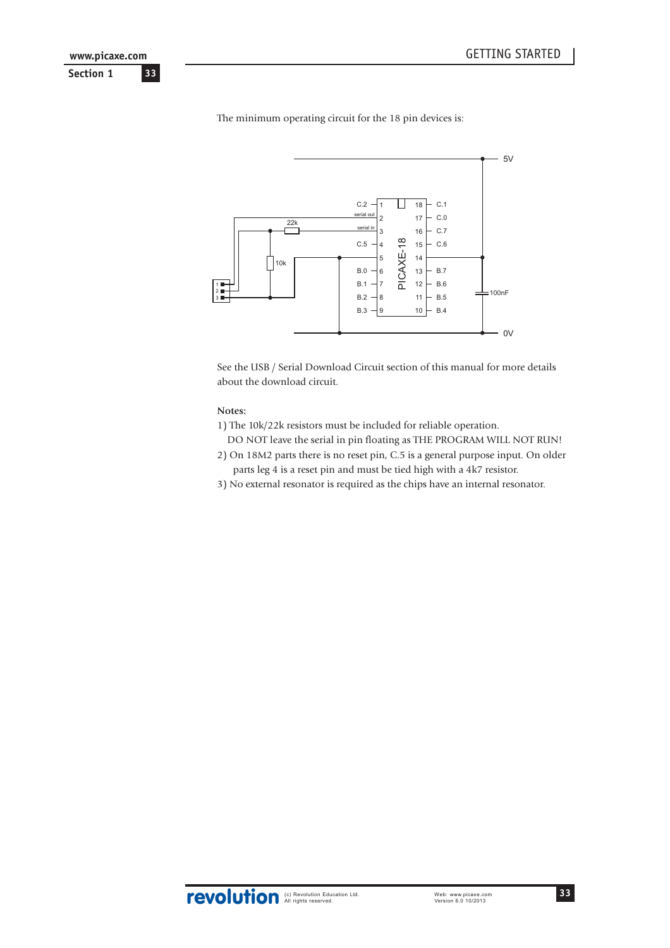

The minimum operating circuit for the 18 pin devices is:

See the USB / Serial Download Circuit section of this manual for more details about the download circuit.

#### **Notes:**

- 1) The 10k/22k resistors must be included for reliable operation.
- DO NOT leave the serial in pin floating as THE PROGRAM WILL NOT RUN! 2) On 18M2 parts there is no reset pin, C.5 is a general purpose input. On older
- parts leg 4 is a reset pin and must be tied high with a 4k7 resistor. 3) No external resonator is required as the chips have an internal resonator.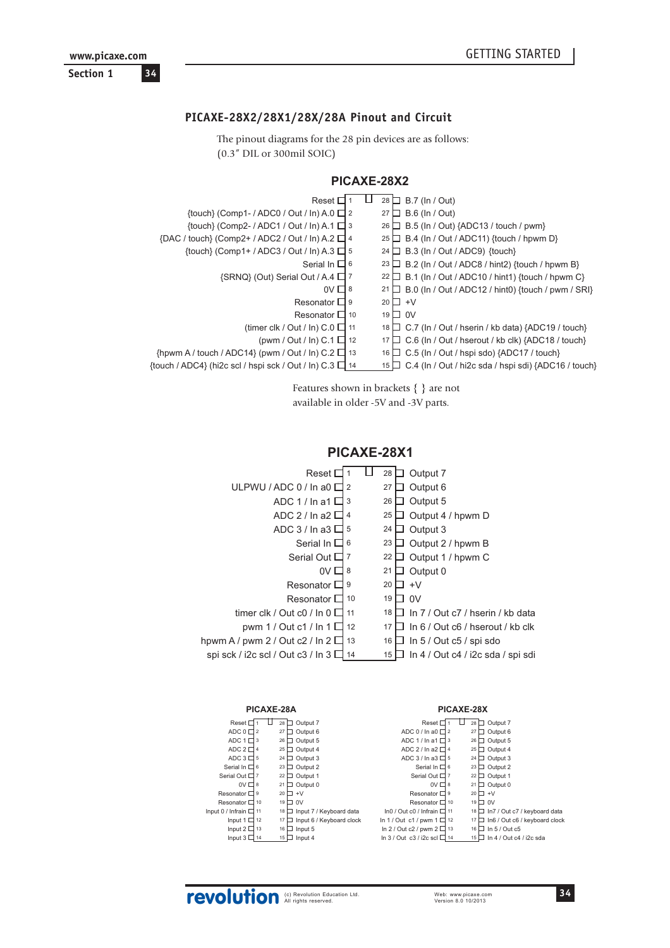<span id="page-33-0"></span>**Section 1 34 www.picaxe.com**

## **PICAXE-28X2/28X1/28X/28A Pinout and Circuit**

The pinout diagrams for the 28 pin devices are as follows: (0.3" DIL or 300mil SOIC)

| PICAXE-28X2 |
|-------------|
|-------------|

| Reset $\Box$ 1                                                        | ⊔ | $28 \Box$ B.7 (ln / Out)                                          |
|-----------------------------------------------------------------------|---|-------------------------------------------------------------------|
| {touch} (Comp1- / ADC0 / Out / ln) A.0 $\Box$ 2                       |   | $27 \Box$ B.6 (ln / Out)                                          |
| $\{$ fouch $\}$ (Comp2- / ADC1 / Out / In) A.1 $\Box$ 3               |   | $B.5$ (In / Out) {ADC13 / touch / pwm}<br>$26 \Box$               |
| {DAC / touch} (Comp2+ / ADC2 / Out / In) A.2 □ 4                      |   | B.4 (In / Out / ADC11) {touch / hpwm D}<br>$25 \Box$              |
| {touch} (Comp1+ / ADC3 / Out / In) A.3 $\Box$ 5                       |   | B.3 (In / Out / ADC9) {touch}<br>24 $\Box$                        |
| Serial In $\Box$ 6                                                    |   | B.2 (In / Out / ADC8 / hint2) {touch / hpwm B}<br>23 <sub>1</sub> |
| {SRNQ} (Out) Serial Out / A.4 □ 7                                     |   | B.1 (In / Out / ADC10 / hint1) {touch / hpwm C}<br>$22 \Box$      |
| $0V \square 8$                                                        |   | B.0 (In / Out / ADC12 / hint0) {touch / pwm / SRI}<br>21 $\Box$   |
| Resonator $\Box$ 9                                                    |   | $20 \Box +V$                                                      |
| Resonator $\Box$ 10                                                   |   | $19\Box$ OV                                                       |
| (timer clk / Out / In) $C.0 \Box$ 11                                  |   | $18 \Box$ C.7 (In / Out / hserin / kb data) {ADC19 / touch}       |
| (pwm / Out / In) C.1 $\Box$ 12                                        |   | C.6 (In / Out / hserout / kb clk) {ADC18 / touch}<br>17 凵         |
| $\{$ hpwm A / touch / ADC14 $\}$ (pwm / Out / ln) C.2 $\Box$ 13       |   | C.5 (In / Out / hspi sdo) {ADC17 / touch}<br>16 ∐                 |
| $\{$ fouch / ADC4 $\}$ (hi2c scl / hspi sck / Out / ln) C.3 $\Box$ 14 |   | $15 \Box$ C.4 (In / Out / hi2c sda / hspi sdi) {ADC16 / touch}    |
|                                                                       |   |                                                                   |

Features shown in brackets { } are not

available in older -5V and -3V parts.

## **PICAXE-28X1**



|                             | PICAXE-28A |                 |                          |                                    | PICAXE-28X |                    |                                         |
|-----------------------------|------------|-----------------|--------------------------|------------------------------------|------------|--------------------|-----------------------------------------|
| Reset $\square$             | 28<br>⊔    | Output 7<br>┐   |                          | Reset $\square$                    | ш          | $28\Box$           | Output 7                                |
| ADC $0 \Box 2$              | 27         | Output 6        |                          | ADC 0 / In a0 $\Box$ 2             |            | 27<br>$\mathbf{L}$ | Output 6                                |
| ADC $1 \square$ 3           | 26         | Output 5<br>□   |                          | ADC 1 / In a1 $\Box$ 3             |            | $26\Box$           | Output 5                                |
| ADC $2 \Box 4$              | $25\Box$   | Output 4        |                          | ADC 2 / In a $2 \Box$ 4            |            |                    | 25 $\Box$ Output 4                      |
| ADC $3\Box$ 5               | $24\Box$   | Output 3        |                          | ADC $3/ln a3 \Box 5$               |            |                    | 24 $\Box$ Output 3                      |
| Serial In $\Box$ 6          | 23         | Output 2        |                          | Serial In $\square$ 6              |            |                    | 23 $\Box$ Output 2                      |
| Serial Out $\Box$ 7         | 22         | Output 1        |                          | Serial Out $\Box$ 7                |            | $22\Box$           | Output 1                                |
| $OV \square 8$              | 21         | Output 0<br>. . |                          | $0V \square 8$                     |            |                    | 21 $\Box$ Output 0                      |
| Resonator $\Box$ 9          | 20         | $+V$<br>п       |                          | Resonator $\Box$ 9                 |            |                    | $20 \Box +V$                            |
| Resonator $\Box$ 10         | 19 □       | 0V              |                          | Resonator $\Box$ 10                |            |                    | $19\Box$ OV                             |
| Input 0 / Infrain $\Box$ 11 | 18 □       |                 | Input 7 / Keyboard data  | In 0 / Out c0 / Infrain $\Box$ 11  |            |                    | 18 □ In7 / Out c7 / keyboard data       |
| Input 1 $\Box$ 12           | 17 $\Box$  |                 | Input 6 / Keyboard clock | In 1 / Out c1 / pwm 1 $\Box$ 12    |            |                    | $17 \Box$ In6 / Out c6 / keyboard clock |
| Input $2 \Box$ 13           | 16 囗       | Input 5         |                          | In 2 / Out c2 / pwm $2 \square$ 13 |            |                    | $16 \Box$ In 5 / Out c5                 |
| Input $3 \Box$ 14           | 15 □       | Input 4         |                          | In 3 / Out c3 / i2c scl $\Box$ 14  |            |                    | $15 \Box$ In 4 / Out c4 / i2c sda       |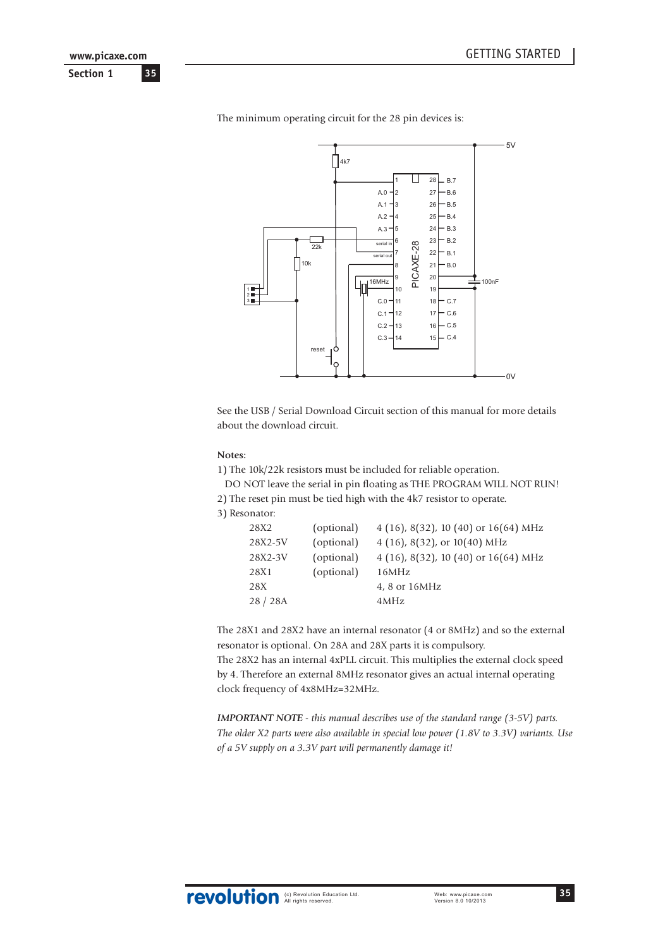**Section 1 35 www.picaxe.com**



The minimum operating circuit for the 28 pin devices is:

See the USB / Serial Download Circuit section of this manual for more details about the download circuit.

#### **Notes:**

1) The 10k/22k resistors must be included for reliable operation.

DO NOT leave the serial in pin floating as THE PROGRAM WILL NOT RUN!

2) The reset pin must be tied high with the 4k7 resistor to operate.

3) Resonator:

| 28X2    | (optional) | $4(16)$ , 8(32), 10(40) or 16(64) MHz  |
|---------|------------|----------------------------------------|
| 28X2-5V | (optional) | 4 (16), 8(32), or $10(40)$ MHz         |
| 28X2-3V | (optional) | 4 (16), 8(32), 10 (40) or $16(64)$ MHz |
| 28X1    | (optional) | 16MHz                                  |
| 28X     |            | 4, 8 or 16MHz                          |
| 28/28A  |            | 4MHz                                   |
|         |            |                                        |

The 28X1 and 28X2 have an internal resonator (4 or 8MHz) and so the external resonator is optional. On 28A and 28X parts it is compulsory.

The 28X2 has an internal 4xPLL circuit. This multiplies the external clock speed by 4. Therefore an external 8MHz resonator gives an actual internal operating clock frequency of 4x8MHz=32MHz.

*IMPORTANT NOTE - this manual describes use of the standard range (3-5V) parts. The older X2 parts were also available in special low power (1.8V to 3.3V) variants. Use of a 5V supply on a 3.3V part will permanently damage it!*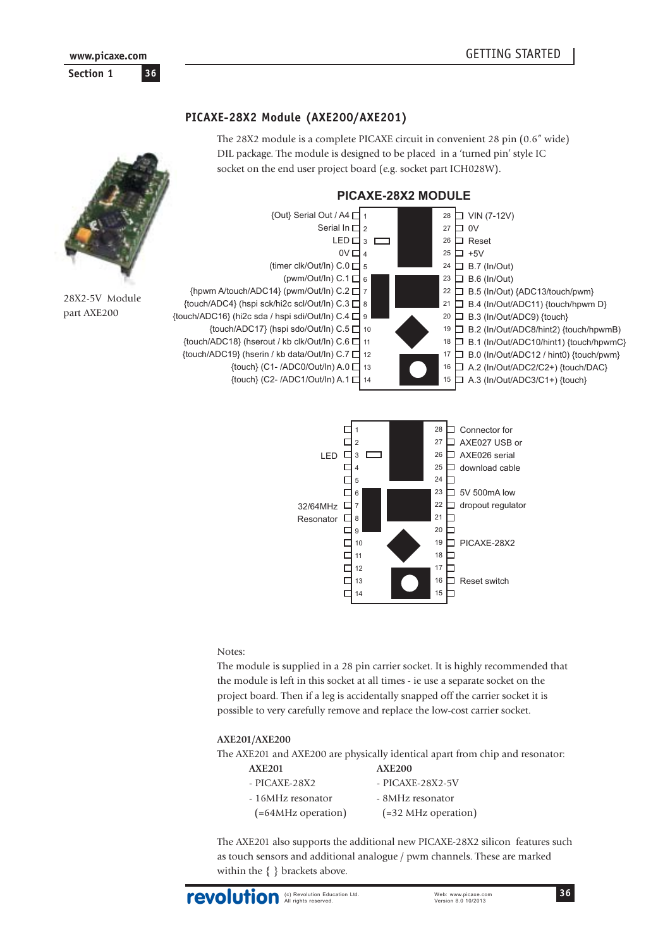## **PICAXE-28X2 Module (AXE200/AXE201)**

The 28X2 module is a complete PICAXE circuit in convenient 28 pin (0.6" wide) DIL package. The module is designed to be placed in a 'turned pin' style IC socket on the end user project board (e.g. socket part ICH028W).

<span id="page-35-0"></span>



#### Notes:

The module is supplied in a 28 pin carrier socket. It is highly recommended that the module is left in this socket at all times - ie use a separate socket on the project board. Then if a leg is accidentally snapped off the carrier socket it is possible to very carefully remove and replace the low-cost carrier socket.

#### **AXE201/AXE200**

The AXE201 and AXE200 are physically identical apart from chip and resonator:

| <b>AXE201</b>          | <b>AXE200</b>       |
|------------------------|---------------------|
| - PICAXE-28X2          | - PICAXE-28X2-5V    |
| - 16MHz resonator      | - 8MHz resonator    |
| $( = 64MHz operation)$ | (=32 MHz operation) |

The AXE201 also supports the additional new PICAXE-28X2 silicon features such as touch sensors and additional analogue / pwm channels. These are marked within the { } brackets above.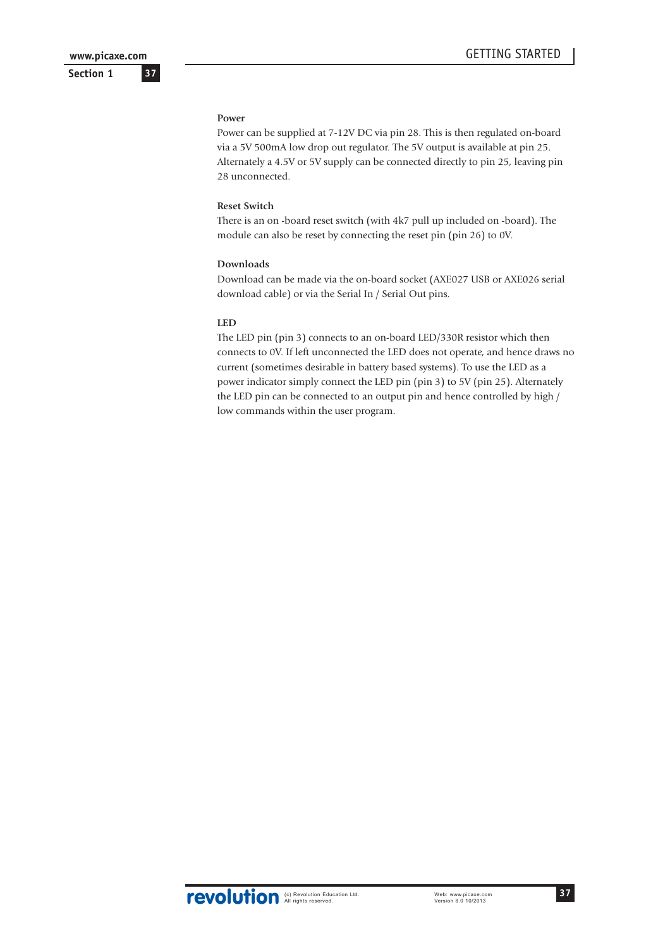**37**

**Section 1**

#### **Power**

Power can be supplied at 7-12V DC via pin 28. This is then regulated on-board via a 5V 500mA low drop out regulator. The 5V output is available at pin 25. Alternately a 4.5V or 5V supply can be connected directly to pin 25, leaving pin 28 unconnected.

#### **Reset Switch**

There is an on -board reset switch (with 4k7 pull up included on -board). The module can also be reset by connecting the reset pin (pin 26) to 0V.

#### **Downloads**

Download can be made via the on-board socket (AXE027 USB or AXE026 serial download cable) or via the Serial In / Serial Out pins.

#### **LED**

The LED pin (pin 3) connects to an on-board LED/330R resistor which then connects to 0V. If left unconnected the LED does not operate, and hence draws no current (sometimes desirable in battery based systems). To use the LED as a power indicator simply connect the LED pin (pin 3) to 5V (pin 25). Alternately the LED pin can be connected to an output pin and hence controlled by high / low commands within the user program.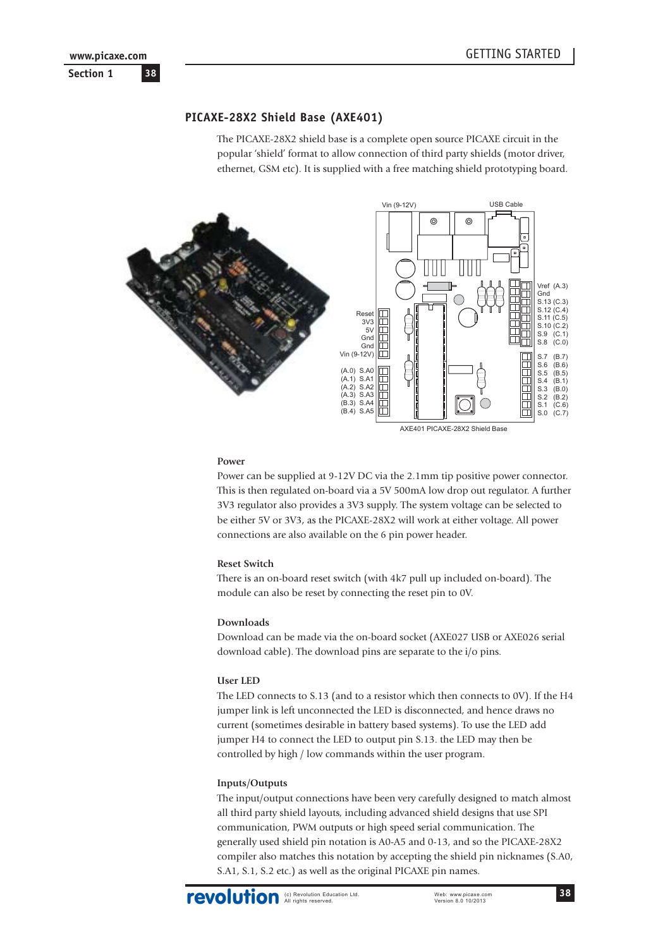**Section 1 38 www.picaxe.com**

# **PICAXE-28X2 Shield Base (AXE401)**

The PICAXE-28X2 shield base is a complete open source PICAXE circuit in the popular 'shield' format to allow connection of third party shields (motor driver, ethernet, GSM etc). It is supplied with a free matching shield prototyping board.



AXE401 PICAXE-28X2 Shield Base

#### **Power**

Power can be supplied at 9-12V DC via the 2.1mm tip positive power connector. This is then regulated on-board via a 5V 500mA low drop out regulator. A further 3V3 regulator also provides a 3V3 supply. The system voltage can be selected to be either 5V or 3V3, as the PICAXE-28X2 will work at either voltage. All power connections are also available on the 6 pin power header.

#### **Reset Switch**

There is an on-board reset switch (with 4k7 pull up included on-board). The module can also be reset by connecting the reset pin to 0V.

#### **Downloads**

Download can be made via the on-board socket (AXE027 USB or AXE026 serial download cable). The download pins are separate to the i/o pins.

#### **User LED**

The LED connects to S.13 (and to a resistor which then connects to 0V). If the H4 jumper link is left unconnected the LED is disconnected, and hence draws no current (sometimes desirable in battery based systems). To use the LED add jumper H4 to connect the LED to output pin S.13. the LED may then be controlled by high / low commands within the user program.

#### **Inputs/Outputs**

The input/output connections have been very carefully designed to match almost all third party shield layouts, including advanced shield designs that use SPI communication, PWM outputs or high speed serial communication. The generally used shield pin notation is A0-A5 and 0-13, and so the PICAXE-28X2 compiler also matches this notation by accepting the shield pin nicknames (S.A0, S.A1, S.1, S.2 etc.) as well as the original PICAXE pin names.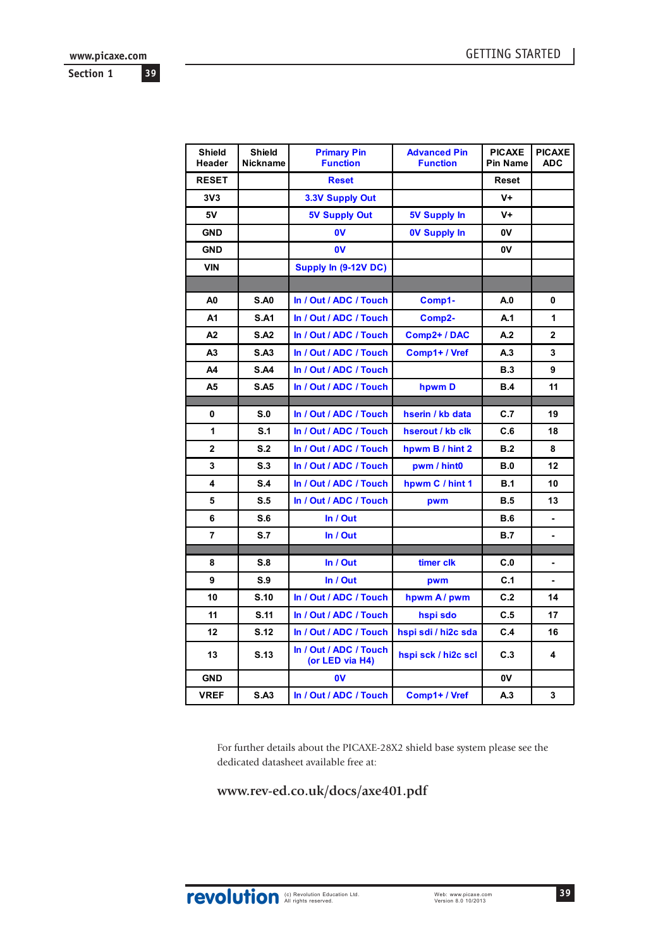**www.picaxe.com**

**39**

**Section 1**

| <b>Shield</b><br>Header | <b>Shield</b><br>Nickname | <b>Primary Pin</b><br><b>Function</b>     | <b>Advanced Pin</b><br><b>Function</b> | <b>PICAXE</b><br><b>Pin Name</b> | <b>PICAXE</b><br><b>ADC</b> |
|-------------------------|---------------------------|-------------------------------------------|----------------------------------------|----------------------------------|-----------------------------|
| <b>RESET</b>            |                           | <b>Reset</b>                              |                                        | Reset                            |                             |
| 3V <sub>3</sub>         |                           | 3.3V Supply Out                           |                                        | $V +$                            |                             |
| 5V                      |                           | <b>5V Supply Out</b>                      | <b>5V Supply In</b>                    | $V +$                            |                             |
| <b>GND</b>              |                           | 0V                                        | <b>0V Supply In</b>                    | 0V                               |                             |
| <b>GND</b>              |                           | 0V                                        |                                        | <b>0V</b>                        |                             |
| <b>VIN</b>              |                           | Supply In (9-12V DC)                      |                                        |                                  |                             |
|                         |                           |                                           |                                        |                                  |                             |
| A <sub>0</sub>          | <b>S.A0</b>               | In / Out / ADC / Touch                    | Comp1-                                 | A.0                              | 0                           |
| A1                      | <b>S.A1</b>               | In / Out / ADC / Touch                    | Comp2-                                 | A.1                              | 1                           |
| A2                      | <b>S.A2</b>               | In / Out / ADC / Touch                    | Comp2+ / DAC                           | A.2                              | 2                           |
| А3                      | <b>S.A3</b>               | In / Out / ADC / Touch                    | Comp1+ / Vref                          | A.3                              | 3                           |
| Α4                      | <b>S.A4</b>               | In / Out / ADC / Touch                    |                                        | B.3                              | 9                           |
| A5                      | <b>S.A5</b>               | In / Out / ADC / Touch                    | hpwm D                                 | <b>B.4</b>                       | 11                          |
| 0                       | S.0                       |                                           |                                        | C.7                              | 19                          |
| 1                       | S.1                       | In / Out / ADC / Touch                    | hserin / kb data                       | C.6                              | 18                          |
| $\mathbf{2}$            | S.2                       | In / Out / ADC / Touch                    | hserout / kb clk                       | B.2                              | 8                           |
|                         |                           | In / Out / ADC / Touch                    | hpwm B / hint 2                        |                                  |                             |
| 3                       | S.3                       | In / Out / ADC / Touch                    | pwm / hint0                            | <b>B.0</b>                       | 12                          |
| 4                       | S.4                       | In / Out / ADC / Touch                    | hpwm C / hint 1                        | <b>B.1</b>                       | 10                          |
| 5                       | S.5                       | In / Out / ADC / Touch                    | pwm                                    | <b>B.5</b>                       | 13                          |
| 6                       | S.6                       | In / Out                                  |                                        | <b>B.6</b>                       |                             |
| $\overline{7}$          | S.7                       | In / Out                                  |                                        | B.7                              | ۰                           |
| 8                       | S.8                       | In / Out                                  | timer clk                              | C.0                              |                             |
| 9                       | S.9                       | In / Out                                  | pwm                                    | C.1                              |                             |
| 10                      | S.10                      | In / Out / ADC / Touch                    | hpwm A/pwm                             | C.2                              | 14                          |
| 11                      | S.11                      | In / Out / ADC / Touch                    | hspi sdo                               | C.5                              | 17                          |
| 12                      | S.12                      | In / Out / ADC / Touch                    | hspi sdi / hi2c sda                    | C.4                              | 16                          |
| 13                      | S.13                      | In / Out / ADC / Touch<br>(or LED via H4) | hspi sck / hi2c scl                    | C.3                              | 4                           |
| <b>GND</b>              |                           | $\mathbf{0}$                              |                                        | <b>0V</b>                        |                             |
| <b>VREF</b>             | S.A3                      | In / Out / ADC / Touch                    | Comp1+/Vref                            | A.3                              | 3                           |

For further details about the PICAXE-28X2 shield base system please see the dedicated datasheet available free at:

# **www.rev-ed.co.uk/docs/axe401.pdf**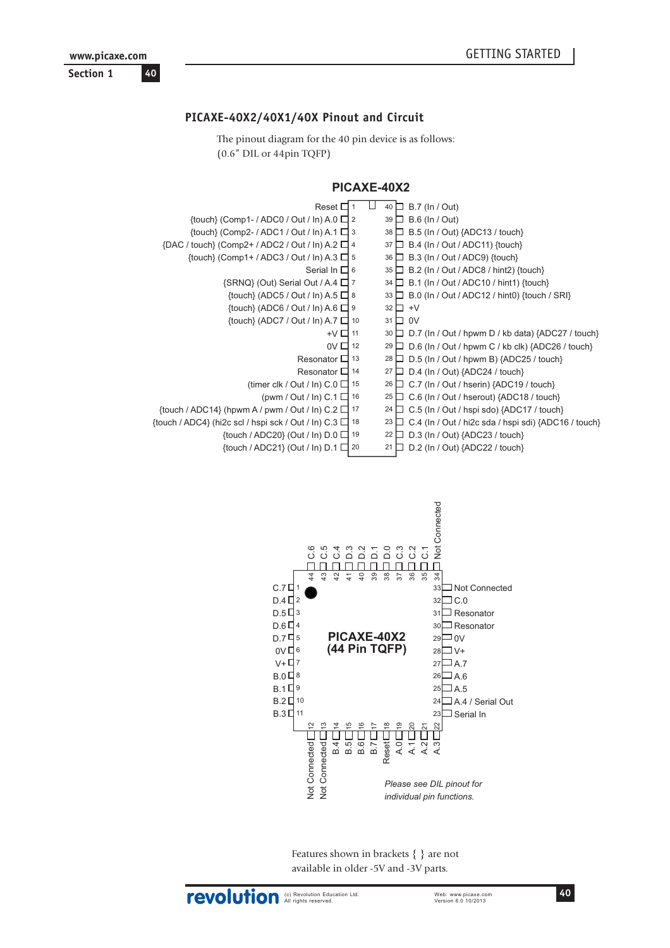# **PICAXE-40X2/40X1/40X Pinout and Circuit**

The pinout diagram for the 40 pin device is as follows: (0.6" DIL or 44pin TQFP)



| Reset $\square$                                                       | $40 \Box$ B.7 (ln / Out)                                                       |
|-----------------------------------------------------------------------|--------------------------------------------------------------------------------|
| {touch} (Comp1- / ADC0 / Out / ln) A.0 □ 2                            | $39 \Box$ B.6 (In / Out)                                                       |
| $\{$ fouch $\}$ (Comp2- / ADC1 / Out / In) A.1 $\Box$ 3               | 38   B.5 (In / Out) {ADC13 / touch}                                            |
| ${DAC / touch} (Comp2 + / ADC2 / Out / In) A.2 \square 4$             | $\Box$ B.4 (In / Out / ADC11) {touch}<br>37 <sup>1</sup>                       |
| $\{$ fouch $\}$ (Comp1+ / ADC3 / Out / In) A.3 $\Box$ 5               | $36 \Box$ B.3 (In / Out / ADC9) {touch}                                        |
| Serial In $\Box$ 6                                                    | $35 \Box$ B.2 (In / Out / ADC8 / hint2) {touch}                                |
| $\{SRNQ\}$ (Out) Serial Out / A.4 $\Box$ 7                            | $\Box$ B.1 (In / Out / ADC10 / hint1) {touch}<br>34                            |
| {touch} (ADC5 / Out / In) A.5 $\Box$ 8                                | 33 $\Box$ B.0 (In / Out / ADC12 / hint0) {touch / SRI}                         |
| $\{$ touch $\}$ (ADC6 / Out / In) A.6 $\Box$ 9                        | $32 \Box +V$                                                                   |
| $\{$ fouch $\}$ (ADC7 / Out / In) A.7 $\Box$ 10                       | $31 \Box 0V$                                                                   |
| $+V$ $\Box$ 11                                                        | 30 $\Box$ D.7 (In / Out / hpwm D / kb data) {ADC27 / touch}                    |
| $0V \square$ 12                                                       | 29 $\Box$ D.6 (In / Out / hpwm C / kb clk) {ADC26 / touch}                     |
| Resonator $\Box$ 13                                                   | 28 □ D.5 (ln / Out / hpwm B) {ADC25 / touch}                                   |
| Resonator $\Box$ 14                                                   | 27 $\Box$ D.4 (In / Out) {ADC24 / touch}                                       |
| (timer clk / Out / In) $C.0 \Box$ 15                                  | 26 O.7 (In / Out / hserin) {ADC19 / touch}                                     |
| (pwm / Out / In) $C.1 \square$ 16                                     | 25 □ C.6 (In / Out / hserout) {ADC18 / touch}                                  |
| {touch / ADC14} (hpwm A / pwm / Out / ln) C.2 $\Box$ 17               | $24 \Box$ C.5 (In / Out / hspi sdo) {ADC17 / touch}                            |
| $\{$ touch / ADC4 $\}$ (hi2c scl / hspi sck / Out / ln) C.3 $\Box$ 18 | $\Box$ C.4 (In / Out / hi2c sda / hspi sdi) {ADC16 / touch}<br>23 <sub>1</sub> |
| {touch / ADC20} (Out / In) D.0 □ 19                                   | $22 \Box$ D.3 (In / Out) {ADC23 / touch}                                       |
| {touch / ADC21} (Out / In) $D.1 \square 20$                           | $\Box$ D.2 (In / Out) {ADC22 / touch}<br>21                                    |



Features shown in brackets { } are not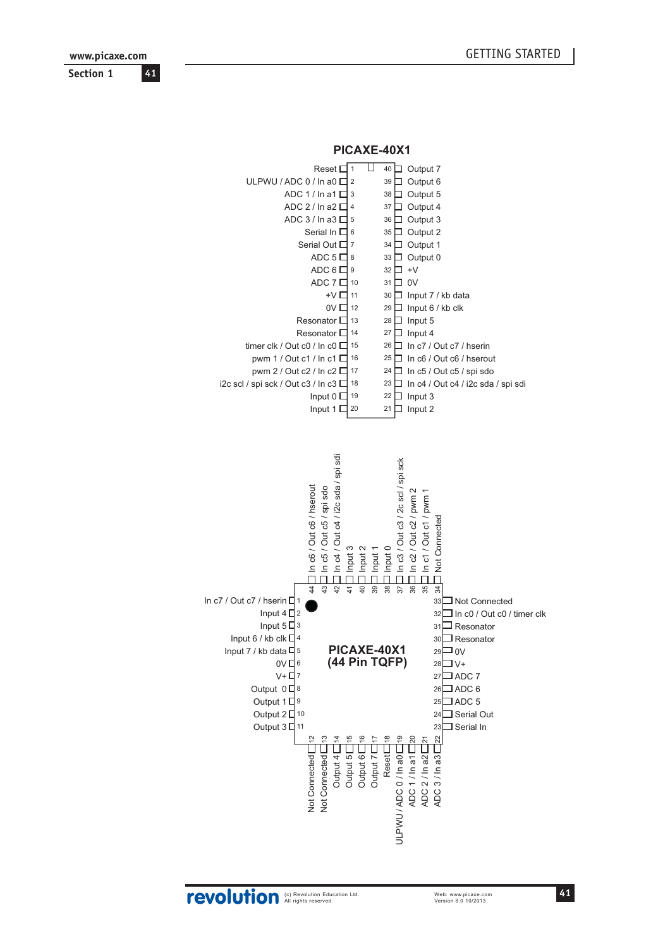www.picaxe.com Section 1 41

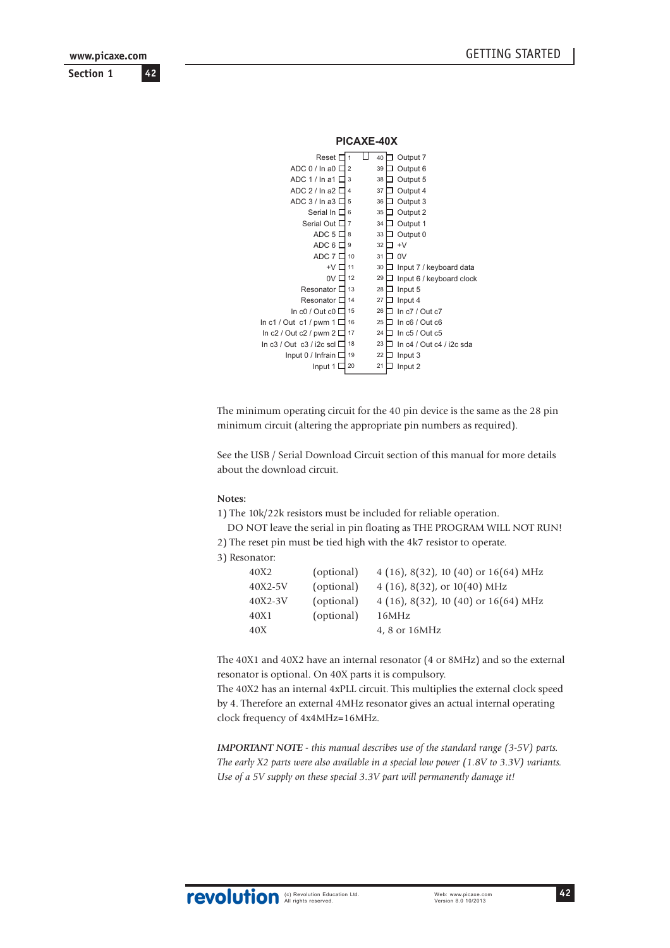**Section 1 www.picaxe.com**

**42**

| PICAXE-40X                                                                                                                                                                                                                     |                                                                                            |                                                                                        |                                                                                                                                                                                                              |
|--------------------------------------------------------------------------------------------------------------------------------------------------------------------------------------------------------------------------------|--------------------------------------------------------------------------------------------|----------------------------------------------------------------------------------------|--------------------------------------------------------------------------------------------------------------------------------------------------------------------------------------------------------------|
| Reset I<br>ADC 0 / In a0 I<br>ADC 1/ln a1<br>ADC 2 / In a2 I<br>ADC 3 / In a 3 I<br>Serial In D<br>Serial Out I<br>ADC 5<br>ADC 6 D<br>ADC 7 I<br>+V I<br>0V <sub>0</sub><br>Resonator I<br>Resonator I<br>In $c0/$ Out $c0$ [ | 1<br>$\overline{2}$<br>3<br>4<br>5<br>6<br>7<br>8<br>9<br>10<br>11<br>12<br>13<br>14<br>15 | 40<br>39<br>38<br>37<br>36<br>35<br>34<br>33<br>32<br>31<br>30<br>29<br>28<br>27<br>26 | Output 7<br>Output 6<br>Output 5<br>Output 4<br>Output 3<br>Output 2<br>Output 1<br>Output 0<br>$+V$<br>0V<br>Input 7 / keyboard data<br>Input 6 / keyboard clock<br>Input 5<br>Input 4<br>In $c7/$ Out $c7$ |
|                                                                                                                                                                                                                                |                                                                                            |                                                                                        |                                                                                                                                                                                                              |
| In $c1$ / Out $c1$ / pwm 1 [<br>In $c2$ / Out $c2$ / pwm 2 I                                                                                                                                                                   | 16<br>17<br>18                                                                             | 25<br>24<br>23                                                                         | In $c6/$ Out $c6$<br>In $c5/$ Out $c5$                                                                                                                                                                       |
| $\ln c3$ / Out $\,c3$ / i2c scl I<br>Input 0 / Infrain I<br>Input 1                                                                                                                                                            | 19<br>20                                                                                   | 22<br>21                                                                               | In $c4$ / Out $c4$ / i2c sda<br>Input 3<br>Input 2                                                                                                                                                           |

The minimum operating circuit for the 40 pin device is the same as the 28 pin minimum circuit (altering the appropriate pin numbers as required).

See the USB / Serial Download Circuit section of this manual for more details about the download circuit.

#### **Notes:**

1) The 10k/22k resistors must be included for reliable operation.

DO NOT leave the serial in pin floating as THE PROGRAM WILL NOT RUN!

2) The reset pin must be tied high with the 4k7 resistor to operate.

3) Resonator:

| 40X2    | (optional) | 4 (16), 8(32), 10 (40) or $16(64)$ MHz |
|---------|------------|----------------------------------------|
| 40X2-5V | (optional) | 4 (16), 8(32), or $10(40)$ MHz         |
| 40X2-3V | (optional) | 4 (16), 8(32), 10 (40) or $16(64)$ MHz |
| 40X1    | (optional) | 16MHz                                  |
| 40X     |            | 4, 8 or 16MHz                          |
|         |            |                                        |

The 40X1 and 40X2 have an internal resonator (4 or 8MHz) and so the external resonator is optional. On 40X parts it is compulsory.

The 40X2 has an internal 4xPLL circuit. This multiplies the external clock speed by 4. Therefore an external 4MHz resonator gives an actual internal operating clock frequency of 4x4MHz=16MHz.

*IMPORTANT NOTE - this manual describes use of the standard range (3-5V) parts. The early X2 parts were also available in a special low power (1.8V to 3.3V) variants. Use of a 5V supply on these special 3.3V part will permanently damage it!*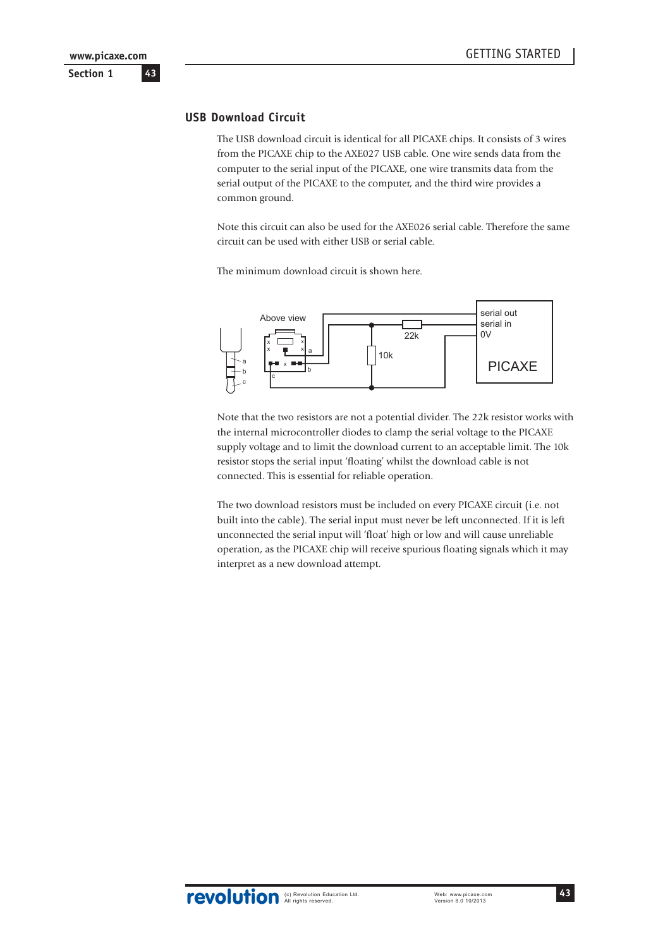# **USB Download Circuit**

The USB download circuit is identical for all PICAXE chips. It consists of 3 wires from the PICAXE chip to the AXE027 USB cable. One wire sends data from the computer to the serial input of the PICAXE, one wire transmits data from the serial output of the PICAXE to the computer, and the third wire provides a common ground.

Note this circuit can also be used for the AXE026 serial cable. Therefore the same circuit can be used with either USB or serial cable.

The minimum download circuit is shown here.



Note that the two resistors are not a potential divider. The 22k resistor works with the internal microcontroller diodes to clamp the serial voltage to the PICAXE supply voltage and to limit the download current to an acceptable limit. The 10k resistor stops the serial input 'floating' whilst the download cable is not connected. This is essential for reliable operation.

The two download resistors must be included on every PICAXE circuit (i.e. not built into the cable). The serial input must never be left unconnected. If it is left unconnected the serial input will 'float' high or low and will cause unreliable operation, as the PICAXE chip will receive spurious floating signals which it may interpret as a new download attempt.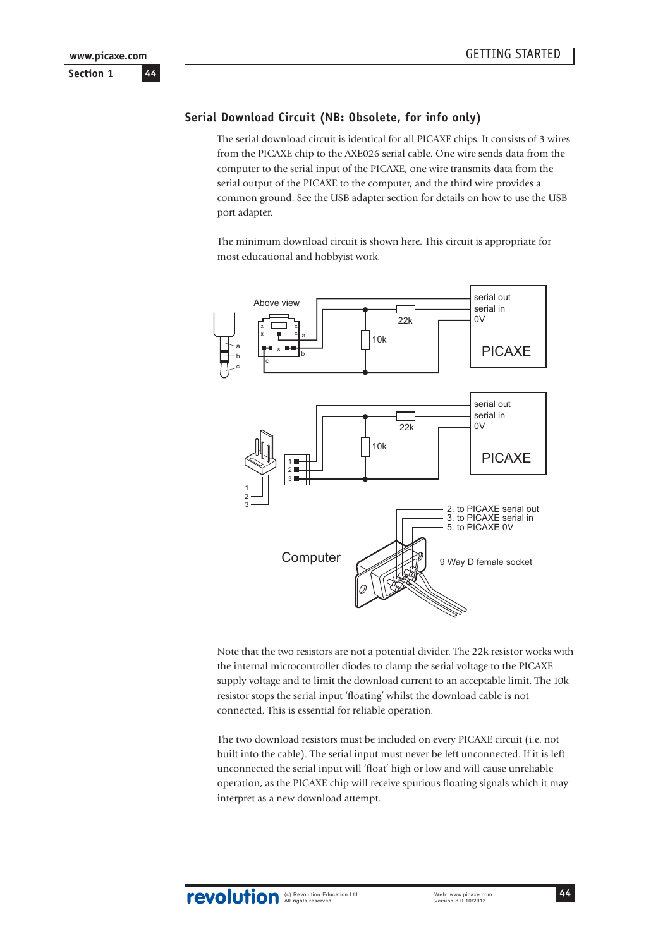# **Serial Download Circuit (NB: Obsolete, for info only)**

The serial download circuit is identical for all PICAXE chips. It consists of 3 wires from the PICAXE chip to the AXE026 serial cable. One wire sends data from the computer to the serial input of the PICAXE, one wire transmits data from the serial output of the PICAXE to the computer, and the third wire provides a common ground. See the USB adapter section for details on how to use the USB port adapter.

The minimum download circuit is shown here. This circuit is appropriate for most educational and hobbyist work.



Note that the two resistors are not a potential divider. The 22k resistor works with the internal microcontroller diodes to clamp the serial voltage to the PICAXE supply voltage and to limit the download current to an acceptable limit. The 10k resistor stops the serial input 'floating' whilst the download cable is not connected. This is essential for reliable operation.

The two download resistors must be included on every PICAXE circuit (i.e. not built into the cable). The serial input must never be left unconnected. If it is left unconnected the serial input will 'float' high or low and will cause unreliable operation, as the PICAXE chip will receive spurious floating signals which it may interpret as a new download attempt.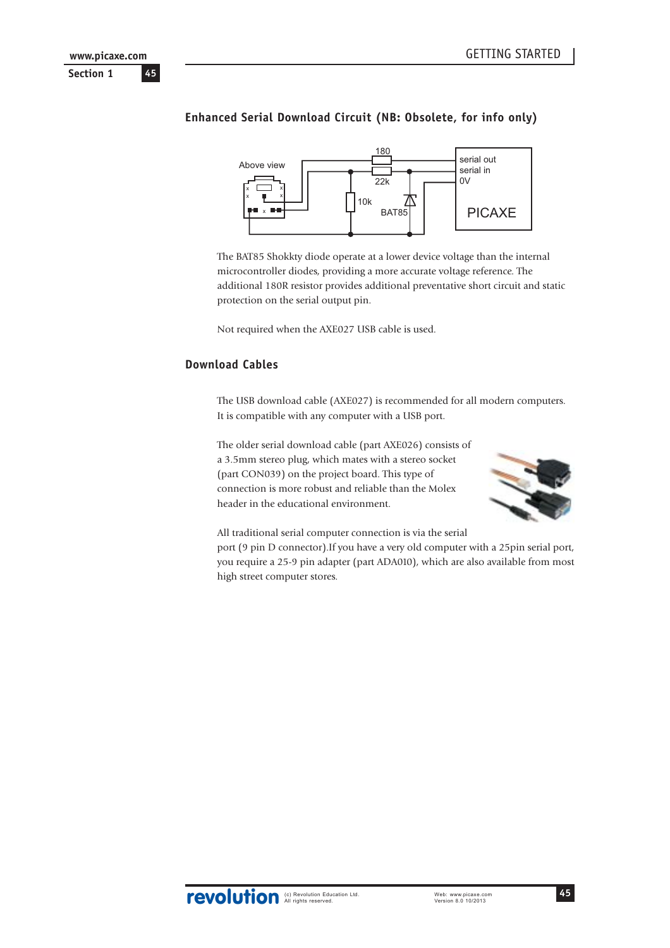# **Enhanced Serial Download Circuit (NB: Obsolete, for info only)**



The BAT85 Shokkty diode operate at a lower device voltage than the internal microcontroller diodes, providing a more accurate voltage reference. The additional 180R resistor provides additional preventative short circuit and static protection on the serial output pin.

Not required when the AXE027 USB cable is used.

## **Download Cables**

The USB download cable (AXE027) is recommended for all modern computers. It is compatible with any computer with a USB port.

The older serial download cable (part AXE026) consists of a 3.5mm stereo plug, which mates with a stereo socket (part CON039) on the project board. This type of connection is more robust and reliable than the Molex header in the educational environment.



All traditional serial computer connection is via the serial

port (9 pin D connector).If you have a very old computer with a 25pin serial port, you require a 25-9 pin adapter (part ADA010), which are also available from most high street computer stores.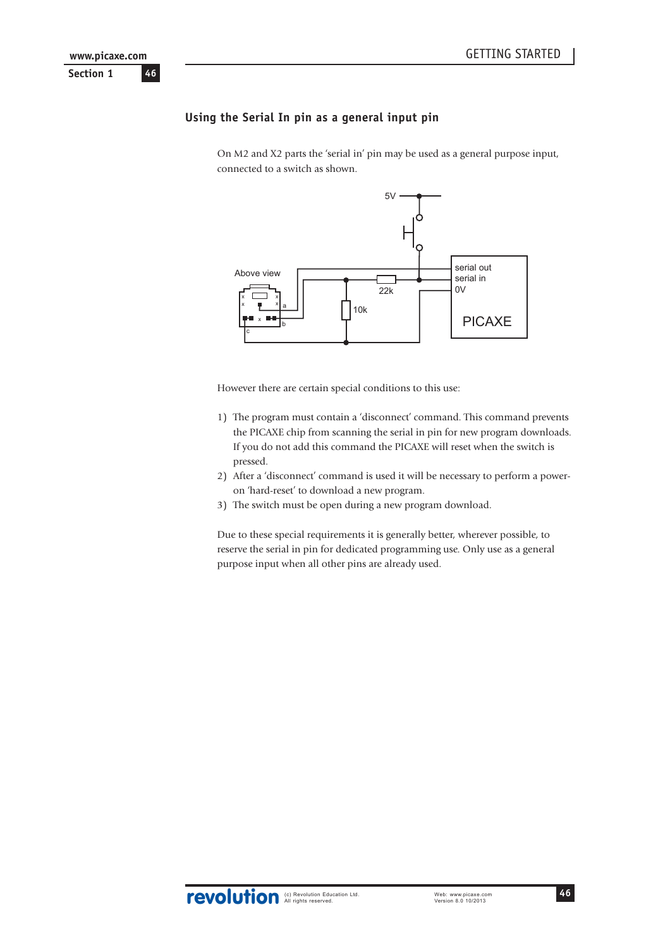# **Using the Serial In pin as a general input pin**

On M2 and X2 parts the 'serial in' pin may be used as a general purpose input, connected to a switch as shown.



However there are certain special conditions to this use:

- 1) The program must contain a 'disconnect' command. This command prevents the PICAXE chip from scanning the serial in pin for new program downloads. If you do not add this command the PICAXE will reset when the switch is pressed.
- 2) After a 'disconnect' command is used it will be necessary to perform a poweron 'hard-reset' to download a new program.
- 3) The switch must be open during a new program download.

Due to these special requirements it is generally better, wherever possible, to reserve the serial in pin for dedicated programming use. Only use as a general purpose input when all other pins are already used.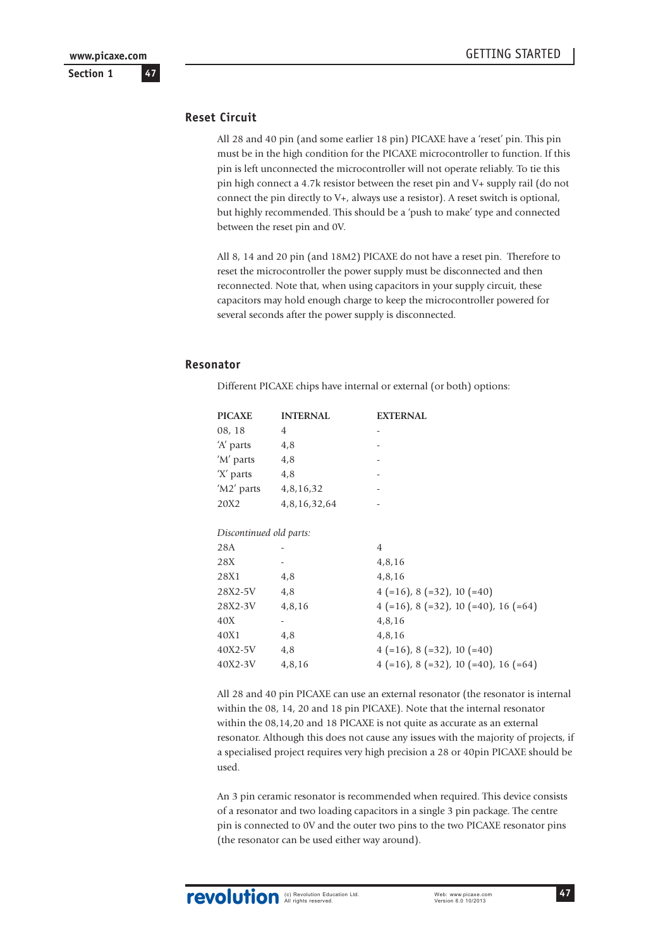### **Reset Circuit**

All 28 and 40 pin (and some earlier 18 pin) PICAXE have a 'reset' pin. This pin must be in the high condition for the PICAXE microcontroller to function. If this pin is left unconnected the microcontroller will not operate reliably. To tie this pin high connect a 4.7k resistor between the reset pin and V+ supply rail (do not connect the pin directly to V+, always use a resistor). A reset switch is optional, but highly recommended. This should be a 'push to make' type and connected between the reset pin and 0V.

All 8, 14 and 20 pin (and 18M2) PICAXE do not have a reset pin. Therefore to reset the microcontroller the power supply must be disconnected and then reconnected. Note that, when using capacitors in your supply circuit, these capacitors may hold enough charge to keep the microcontroller powered for several seconds after the power supply is disconnected.

#### **Resonator**

Different PICAXE chips have internal or external (or both) options:

| <b>PICAXE</b>           | <b>INTERNAL</b> | <b>EXTERNAL</b>                                 |
|-------------------------|-----------------|-------------------------------------------------|
| 08, 18                  | 4               |                                                 |
| 'A' parts               | 4,8             |                                                 |
| 'M' parts               | 4,8             |                                                 |
| 'X' parts               | 4,8             |                                                 |
| 'M2' parts              | 4,8,16,32       |                                                 |
| 20X2                    | 4,8,16,32,64    |                                                 |
|                         |                 |                                                 |
| Discontinued old parts: |                 |                                                 |
| 28A                     |                 | $\overline{4}$                                  |
| 28X                     |                 | 4,8,16                                          |
| 28X1                    | 4,8             | 4,8,16                                          |
| 28X2-5V                 | 4,8             | $4 (=16)$ , 8 $(=32)$ , 10 $(=40)$              |
| 28X2-3V                 | 4,8,16          | $4 (=16)$ , 8 $(=32)$ , 10 $(=40)$ , 16 $(=64)$ |
| 40X                     |                 | 4,8,16                                          |
| 40X1                    | 4,8             | 4,8,16                                          |
| 40X2-5V                 | 4,8             | $4 (=16)$ , 8 $(=32)$ , 10 $(=40)$              |
| 40X2-3V                 | 4,8,16          | $4$ (=16), 8 (=32), 10 (=40), 16 (=64)          |

All 28 and 40 pin PICAXE can use an external resonator (the resonator is internal within the 08, 14, 20 and 18 pin PICAXE). Note that the internal resonator within the 08,14,20 and 18 PICAXE is not quite as accurate as an external resonator. Although this does not cause any issues with the majority of projects, if a specialised project requires very high precision a 28 or 40pin PICAXE should be used.

An 3 pin ceramic resonator is recommended when required. This device consists of a resonator and two loading capacitors in a single 3 pin package. The centre pin is connected to 0V and the outer two pins to the two PICAXE resonator pins (the resonator can be used either way around).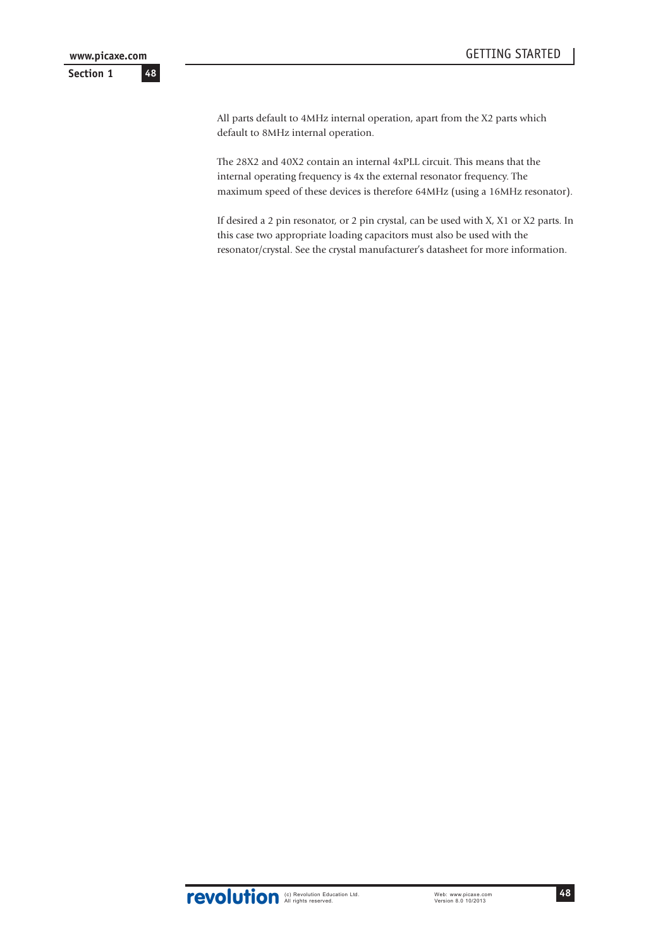All parts default to 4MHz internal operation, apart from the X2 parts which default to 8MHz internal operation.

The 28X2 and 40X2 contain an internal 4xPLL circuit. This means that the internal operating frequency is 4x the external resonator frequency. The maximum speed of these devices is therefore 64MHz (using a 16MHz resonator).

If desired a 2 pin resonator, or 2 pin crystal, can be used with X, X1 or X2 parts. In this case two appropriate loading capacitors must also be used with the resonator/crystal. See the crystal manufacturer's datasheet for more information.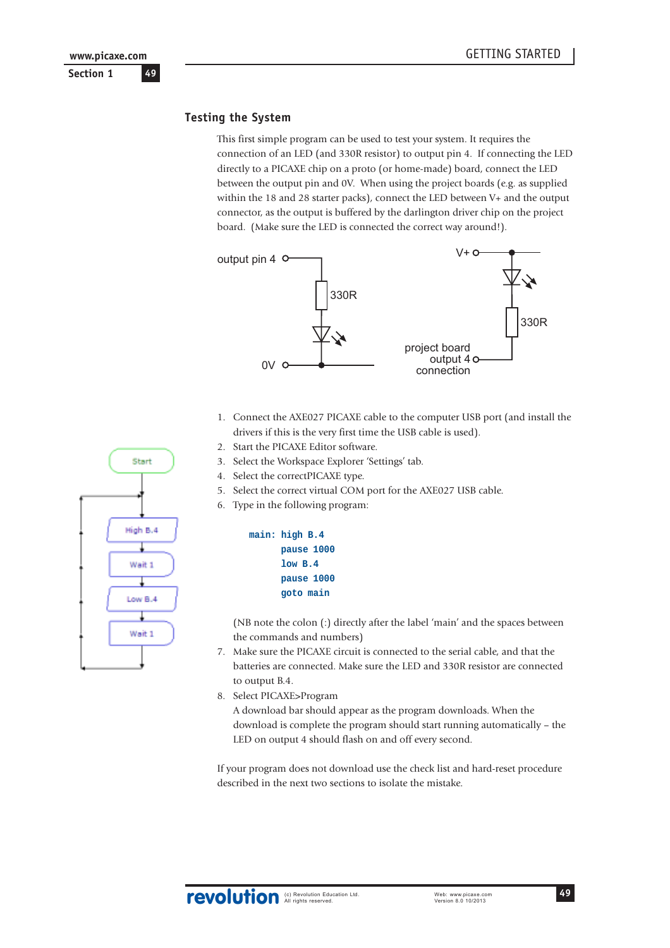### **Testing the System**

This first simple program can be used to test your system. It requires the connection of an LED (and 330R resistor) to output pin 4. If connecting the LED directly to a PICAXE chip on a proto (or home-made) board, connect the LED between the output pin and 0V. When using the project boards (e.g. as supplied within the 18 and 28 starter packs), connect the LED between V+ and the output connector, as the output is buffered by the darlington driver chip on the project board. (Make sure the LED is connected the correct way around!).



- 1. Connect the AXE027 PICAXE cable to the computer USB port (and install the drivers if this is the very first time the USB cable is used).
- 2. Start the PICAXE Editor software.
- 3. Select the Workspace Explorer 'Settings' tab.
- 4. Select the correctPICAXE type.
- 5. Select the correct virtual COM port for the AXE027 USB cable.
- 6. Type in the following program:



(NB note the colon (:) directly after the label 'main' and the spaces between the commands and numbers)

- 7. Make sure the PICAXE circuit is connected to the serial cable, and that the batteries are connected. Make sure the LED and 330R resistor are connected to output B.4.
- 8. Select PICAXE>Program

A download bar should appear as the program downloads. When the download is complete the program should start running automatically – the LED on output 4 should flash on and off every second.

If your program does not download use the check list and hard-reset procedure described in the next two sections to isolate the mistake.

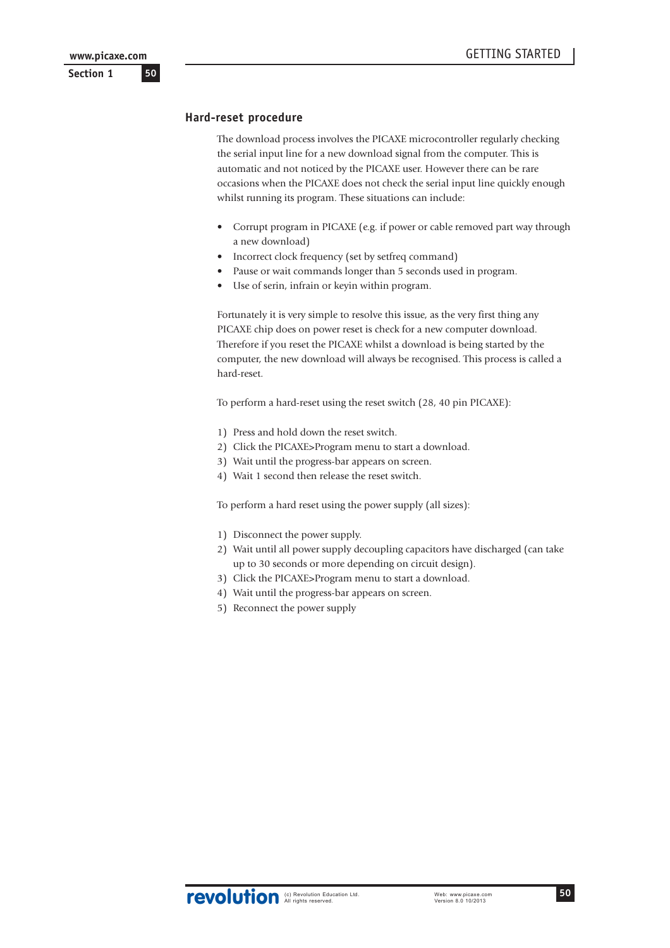### **Hard-reset procedure**

The download process involves the PICAXE microcontroller regularly checking the serial input line for a new download signal from the computer. This is automatic and not noticed by the PICAXE user. However there can be rare occasions when the PICAXE does not check the serial input line quickly enough whilst running its program. These situations can include:

- Corrupt program in PICAXE (e.g. if power or cable removed part way through a new download)
- Incorrect clock frequency (set by setfreq command)
- Pause or wait commands longer than 5 seconds used in program.
- Use of serin, infrain or keyin within program.

Fortunately it is very simple to resolve this issue, as the very first thing any PICAXE chip does on power reset is check for a new computer download. Therefore if you reset the PICAXE whilst a download is being started by the computer, the new download will always be recognised. This process is called a hard-reset.

To perform a hard-reset using the reset switch (28, 40 pin PICAXE):

- 1) Press and hold down the reset switch.
- 2) Click the PICAXE>Program menu to start a download.
- 3) Wait until the progress-bar appears on screen.
- 4) Wait 1 second then release the reset switch.

To perform a hard reset using the power supply (all sizes):

- 1) Disconnect the power supply.
- 2) Wait until all power supply decoupling capacitors have discharged (can take up to 30 seconds or more depending on circuit design).
- 3) Click the PICAXE>Program menu to start a download.
- 4) Wait until the progress-bar appears on screen.
- 5) Reconnect the power supply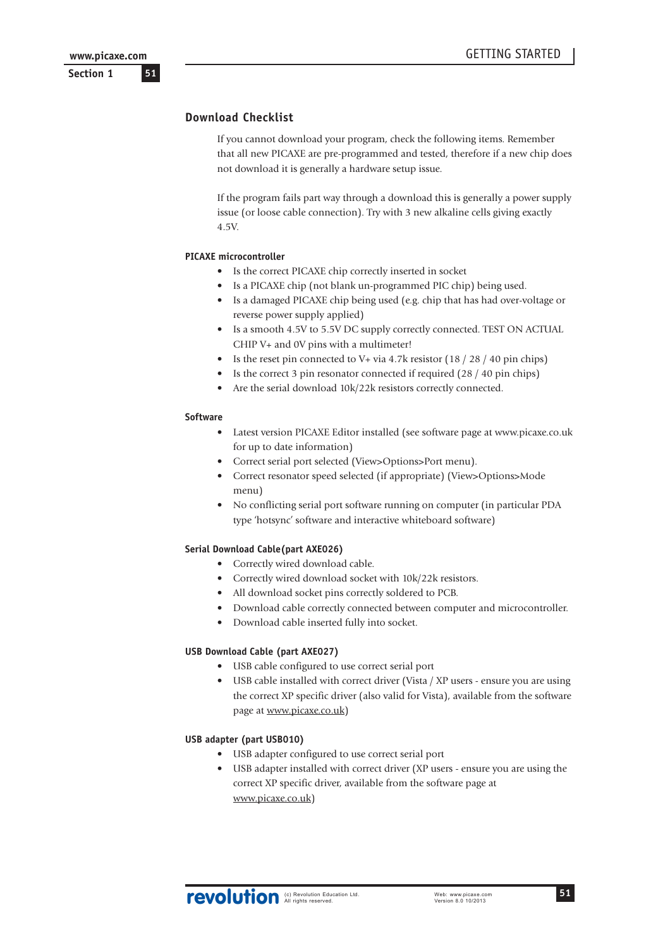### **Section 1**

# **Download Checklist**

If you cannot download your program, check the following items. Remember that all new PICAXE are pre-programmed and tested, therefore if a new chip does not download it is generally a hardware setup issue.

If the program fails part way through a download this is generally a power supply issue (or loose cable connection). Try with 3 new alkaline cells giving exactly 4.5V.

#### **PICAXE microcontroller**

- Is the correct PICAXE chip correctly inserted in socket
- Is a PICAXE chip (not blank un-programmed PIC chip) being used.
- Is a damaged PICAXE chip being used (e.g. chip that has had over-voltage or reverse power supply applied)
- Is a smooth 4.5V to 5.5V DC supply correctly connected. TEST ON ACTUAL CHIP V+ and 0V pins with a multimeter!
- Is the reset pin connected to V+ via 4.7k resistor  $(18 / 28 / 40)$  pin chips)
- Is the correct 3 pin resonator connected if required (28 / 40 pin chips)
- Are the serial download 10k/22k resistors correctly connected.

#### **Software**

- Latest version PICAXE Editor installed (see software page at www.picaxe.co.uk for up to date information)
- Correct serial port selected (View>Options>Port menu).
- Correct resonator speed selected (if appropriate) (View>Options>Mode menu)
- No conflicting serial port software running on computer (in particular PDA type 'hotsync' software and interactive whiteboard software)

#### **Serial Download Cable(part AXE026)**

- Correctly wired download cable.
- Correctly wired download socket with 10k/22k resistors.
- All download socket pins correctly soldered to PCB.
- Download cable correctly connected between computer and microcontroller.
- Download cable inserted fully into socket.

#### **USB Download Cable (part AXE027)**

- USB cable configured to use correct serial port
- USB cable installed with correct driver (Vista / XP users ensure you are using the correct XP specific driver (also valid for Vista), available from the software page at www.picaxe.co.uk)

### **USB adapter (part USB010)**

- USB adapter configured to use correct serial port
- USB adapter installed with correct driver (XP users ensure you are using the correct XP specific driver, available from the software page at www.picaxe.co.uk)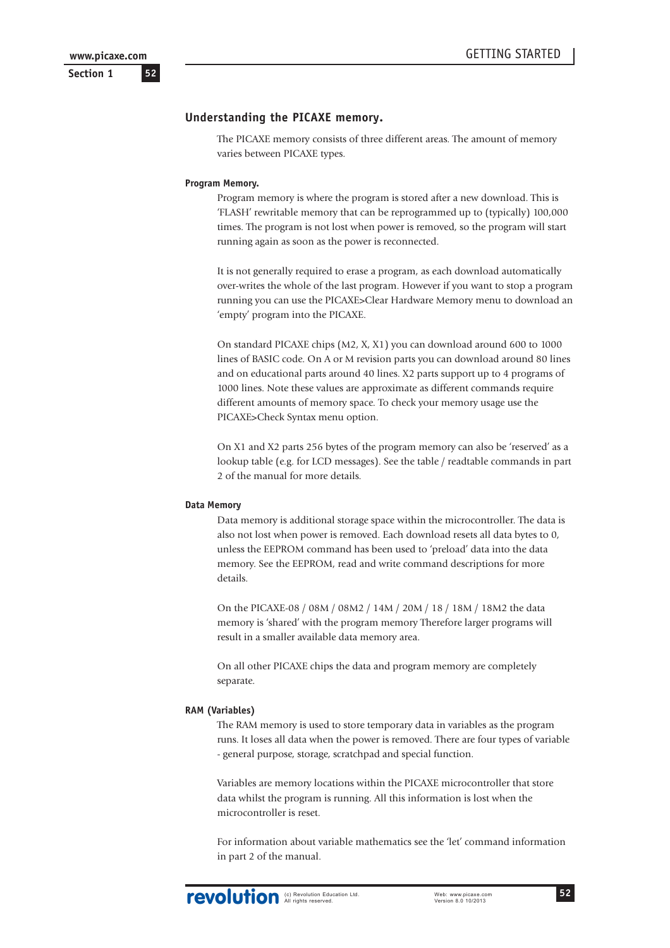**52**

**Section 1**

### **Understanding the PICAXE memory.**

The PICAXE memory consists of three different areas. The amount of memory varies between PICAXE types.

#### **Program Memory.**

Program memory is where the program is stored after a new download. This is 'FLASH' rewritable memory that can be reprogrammed up to (typically) 100,000 times. The program is not lost when power is removed, so the program will start running again as soon as the power is reconnected.

It is not generally required to erase a program, as each download automatically over-writes the whole of the last program. However if you want to stop a program running you can use the PICAXE>Clear Hardware Memory menu to download an 'empty' program into the PICAXE.

On standard PICAXE chips (M2, X, X1) you can download around 600 to 1000 lines of BASIC code. On A or M revision parts you can download around 80 lines and on educational parts around 40 lines. X2 parts support up to 4 programs of 1000 lines. Note these values are approximate as different commands require different amounts of memory space. To check your memory usage use the PICAXE>Check Syntax menu option.

On X1 and X2 parts 256 bytes of the program memory can also be 'reserved' as a lookup table (e.g. for LCD messages). See the table / readtable commands in part 2 of the manual for more details.

#### **Data Memory**

Data memory is additional storage space within the microcontroller. The data is also not lost when power is removed. Each download resets all data bytes to 0, unless the EEPROM command has been used to 'preload' data into the data memory. See the EEPROM, read and write command descriptions for more details.

On the PICAXE-08 / 08M / 08M2 / 14M / 20M / 18 / 18M / 18M2 the data memory is 'shared' with the program memory Therefore larger programs will result in a smaller available data memory area.

On all other PICAXE chips the data and program memory are completely separate.

#### **RAM (Variables)**

The RAM memory is used to store temporary data in variables as the program runs. It loses all data when the power is removed. There are four types of variable - general purpose, storage, scratchpad and special function.

Variables are memory locations within the PICAXE microcontroller that store data whilst the program is running. All this information is lost when the microcontroller is reset.

For information about variable mathematics see the 'let' command information in part 2 of the manual.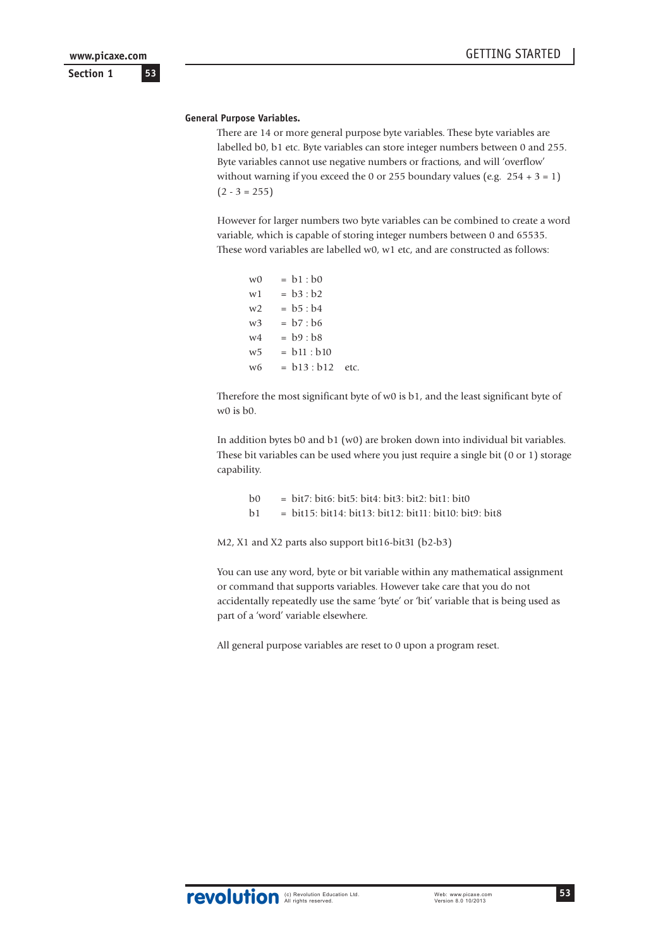### **Section 1**

#### **General Purpose Variables.**

There are 14 or more general purpose byte variables. These byte variables are labelled b0, b1 etc. Byte variables can store integer numbers between 0 and 255. Byte variables cannot use negative numbers or fractions, and will 'overflow' without warning if you exceed the 0 or 255 boundary values (e.g.  $254 + 3 = 1$ )  $(2 - 3 = 255)$ 

However for larger numbers two byte variables can be combined to create a word variable, which is capable of storing integer numbers between 0 and 65535. These word variables are labelled w0, w1 etc, and are constructed as follows:

| w0 | $= b1 : b0$        |  |
|----|--------------------|--|
| w1 | $= b3 : b2$        |  |
| w2 | $= b5 : b4$        |  |
| w3 | $= b7 : b6$        |  |
| w4 | $= b9 : b8$        |  |
| w5 | $= b11 : b10$      |  |
| w6 | $= b13 : b12$ etc. |  |

Therefore the most significant byte of w0 is b1, and the least significant byte of w0 is b0.

In addition bytes b0 and b1 (w0) are broken down into individual bit variables. These bit variables can be used where you just require a single bit (0 or 1) storage capability.

| b <sub>0</sub>         | $=$ bit7: bit6: bit5: bit4: bit3: bit2: bit1: bit0       |
|------------------------|----------------------------------------------------------|
| $\vert$ b <sub>1</sub> | $=$ bit15: bit14: bit13: bit12: bit11: bit10: bit9: bit8 |

M2, X1 and X2 parts also support bit16-bit31 (b2-b3)

You can use any word, byte or bit variable within any mathematical assignment or command that supports variables. However take care that you do not accidentally repeatedly use the same 'byte' or 'bit' variable that is being used as part of a 'word' variable elsewhere.

All general purpose variables are reset to 0 upon a program reset.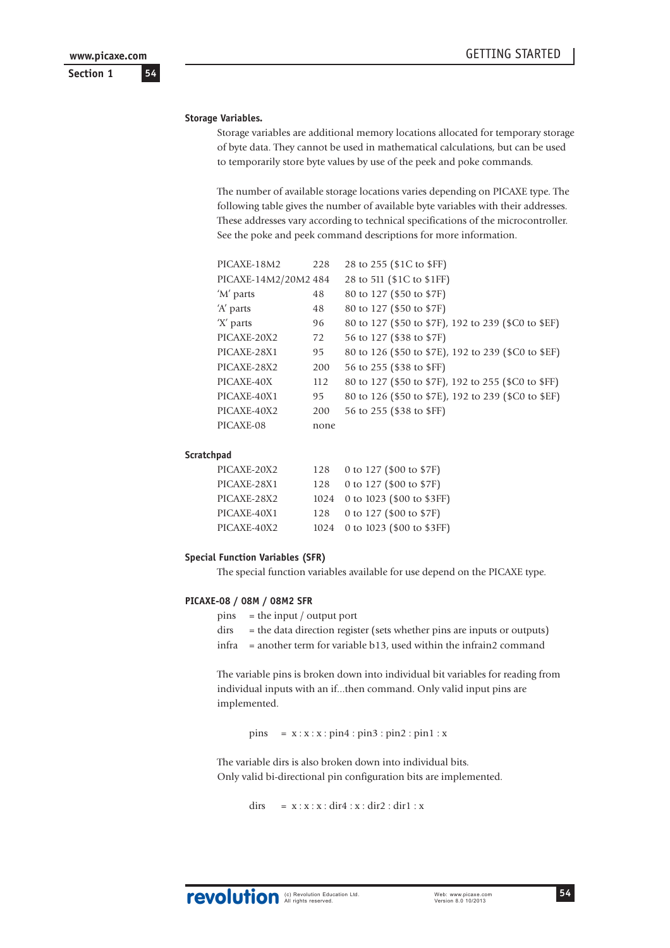**54**

**Section 1**

### **Storage Variables.**

Storage variables are additional memory locations allocated for temporary storage of byte data. They cannot be used in mathematical calculations, but can be used to temporarily store byte values by use of the peek and poke commands.

The number of available storage locations varies depending on PICAXE type. The following table gives the number of available byte variables with their addresses. These addresses vary according to technical specifications of the microcontroller. See the poke and peek command descriptions for more information.

| PICAXE-18M2          | 228  | 28 to 255 (\$1C to \$FF)                            |
|----------------------|------|-----------------------------------------------------|
| PICAXE-14M2/20M2 484 |      | 28 to 511 (\$1C to \$1FF)                           |
| 'M' parts            | 48   | 80 to 127 (\$50 to \$7F)                            |
| 'A' parts            | 48   | 80 to 127 (\$50 to \$7F)                            |
| 'X' parts            | 96   | 80 to 127 (\$50 to \$7F), 192 to 239 (\$C0 to \$EF) |
| PICAXE-20X2          | 72   | 56 to 127 (\$38 to \$7F)                            |
| PICAXE-28X1          | 95   | 80 to 126 (\$50 to \$7E), 192 to 239 (\$C0 to \$EF) |
| PICAXE-28X2          | 200  | 56 to 255 (\$38 to \$FF)                            |
| PICAXE-40X           | 112  | 80 to 127 (\$50 to \$7F), 192 to 255 (\$C0 to \$FF) |
| PICAXE-40X1          | 95   | 80 to 126 (\$50 to \$7E), 192 to 239 (\$C0 to \$EF) |
| PICAXE-40X2          | 200  | 56 to 255 (\$38 to \$FF)                            |
| PICAXE-08            | none |                                                     |

#### **Scratchpad**

| PICAXE-20X2 | 128 | 0 to 127 (\$00 to \$7F)        |
|-------------|-----|--------------------------------|
| PICAXE-28X1 | 128 | 0 to 127 (\$00 to \$7F)        |
| PICAXE-28X2 |     | 1024 0 to 1023 (\$00 to \$3FF) |
| PICAXE-40X1 | 128 | 0 to 127 (\$00 to \$7F)        |
| PICAXE-40X2 |     | 1024 0 to 1023 (\$00 to \$3FF) |

#### **Special Function Variables (SFR)**

The special function variables available for use depend on the PICAXE type.

#### **PICAXE-08 / 08M / 08M2 SFR**

- $pins =$  the input / output port
- dirs = the data direction register (sets whether pins are inputs or outputs)
- infra = another term for variable b13, used within the infrain2 command

The variable pins is broken down into individual bit variables for reading from individual inputs with an if...then command. Only valid input pins are implemented.

 $pins = x : x : x : pin4 : pin3 : pin2 : pin1 : x$ 

The variable dirs is also broken down into individual bits. Only valid bi-directional pin configuration bits are implemented.

dirs =  $x : x : x : \text{dir4} : x : \text{dir2} : \text{dir1} : x$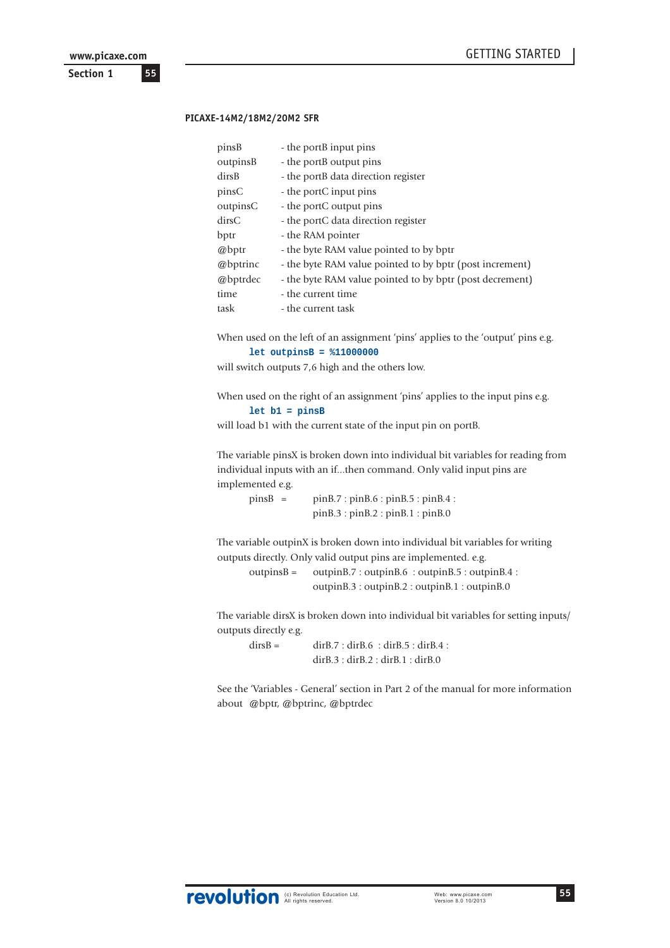**Section 1 55 www.picaxe.com**

#### **PICAXE-14M2/18M2/20M2 SFR**

| pinsB    | - the portB input pins                                   |
|----------|----------------------------------------------------------|
| outpinsB | - the portB output pins                                  |
| dirsB    | - the portB data direction register                      |
| pinsC    | - the portC input pins                                   |
| outpinsC | - the portC output pins                                  |
| dirsC    | - the portC data direction register                      |
| bptr     | - the RAM pointer                                        |
| @bptr    | - the byte RAM value pointed to by bptr                  |
| @bptrinc | - the byte RAM value pointed to by bptr (post increment) |
| @bptrdec | - the byte RAM value pointed to by bptr (post decrement) |
| time     | - the current time                                       |
| task     | - the current task                                       |

When used on the left of an assignment 'pins' applies to the 'output' pins e.g. **let outpinsB = %11000000**

will switch outputs 7,6 high and the others low.

When used on the right of an assignment 'pins' applies to the input pins e.g. **let b1 = pinsB**

will load b1 with the current state of the input pin on portB.

The variable pinsX is broken down into individual bit variables for reading from individual inputs with an if...then command. Only valid input pins are implemented e.g.

pinsB = pinB.7 : pinB.6 : pinB.5 : pinB.4 : pinB.3 : pinB.2 : pinB.1 : pinB.0

The variable outpinX is broken down into individual bit variables for writing outputs directly. Only valid output pins are implemented. e.g.

outpinsB = outpinB.7 : outpinB.6 : outpinB.5 : outpinB.4 : outpinB.3 : outpinB.2 : outpinB.1 : outpinB.0

The variable dirsX is broken down into individual bit variables for setting inputs/ outputs directly e.g.

 $\text{dirB} = \text{dirB.7} : \text{dirB.6} : \text{dirB.5} : \text{dirB.4} :$ dirB.3 : dirB.2 : dirB.1 : dirB.0

See the 'Variables - General' section in Part 2 of the manual for more information about @bptr, @bptrinc, @bptrdec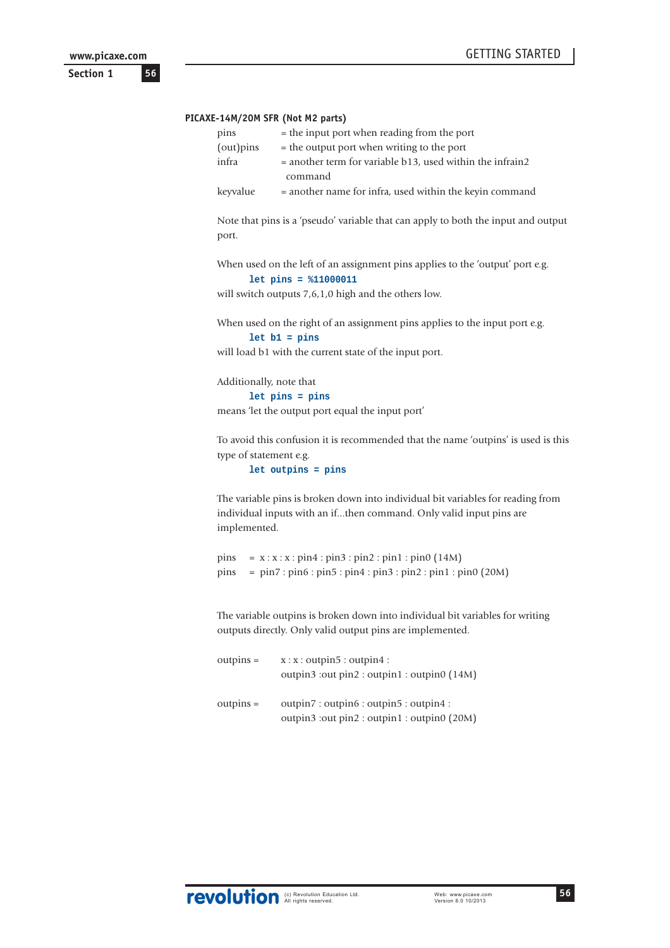```
56
www.picaxe.com
```
**Section 1**

#### **PICAXE-14M/20M SFR (Not M2 parts)**

| pins       | = the input port when reading from the port                 |
|------------|-------------------------------------------------------------|
| (out) pins | = the output port when writing to the port                  |
| infra      | $=$ another term for variable b13, used within the infrain2 |
|            | command                                                     |
| keyvalue   | = another name for infra, used within the keyin command     |

Note that pins is a 'pseudo' variable that can apply to both the input and output port.

When used on the left of an assignment pins applies to the 'output' port e.g. **let pins = %11000011**

will switch outputs 7,6,1,0 high and the others low.

When used on the right of an assignment pins applies to the input port e.g. **let b1 = pins**

will load b1 with the current state of the input port.

Additionally, note that

**let pins = pins**

means 'let the output port equal the input port'

To avoid this confusion it is recommended that the name 'outpins' is used is this type of statement e.g.

**let outpins = pins**

The variable pins is broken down into individual bit variables for reading from individual inputs with an if...then command. Only valid input pins are implemented.

```
pins = x : x : x : pin4 : pin3 : pin2 : pin1 : pin0 (14M)pins = pin7 : pin6 : pin5 : pin4 : pin3 : pin2 : pin1 : pin0 (20M)
```
The variable outpins is broken down into individual bit variables for writing outputs directly. Only valid output pins are implemented.

| $outputs =$ | x : x : output 5 : output 4 :               |
|-------------|---------------------------------------------|
|             | outpin3 :out pin2 : outpin1 : outpin0 (14M) |
|             |                                             |
| $outputs =$ | outpin7: outpin6: outpin5: outpin4:         |
|             | outpin3 :out pin2 : outpin1 : outpin0 (20M) |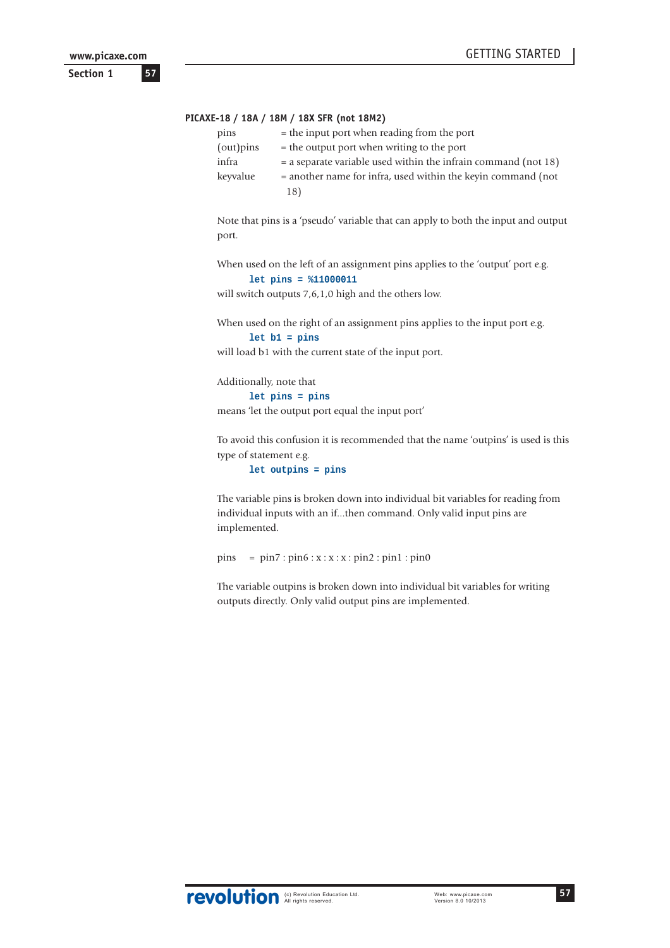**57**

**Section 1**

#### **PICAXE-18 / 18A / 18M / 18X SFR (not 18M2)**

| pins     | = the input port when reading from the port                      |
|----------|------------------------------------------------------------------|
| (out)    | $=$ the output port when writing to the port                     |
| infra    | $=$ a separate variable used within the infrain command (not 18) |
| keyvalue | $=$ another name for infra, used within the keyin command (not)  |
|          | 18)                                                              |

Note that pins is a 'pseudo' variable that can apply to both the input and output port.

When used on the left of an assignment pins applies to the 'output' port e.g. **let pins = %11000011**

will switch outputs 7,6,1,0 high and the others low.

When used on the right of an assignment pins applies to the input port e.g. **let b1 = pins**

will load b1 with the current state of the input port.

Additionally, note that

**let pins = pins**

means 'let the output port equal the input port'

To avoid this confusion it is recommended that the name 'outpins' is used is this type of statement e.g.

**let outpins = pins**

The variable pins is broken down into individual bit variables for reading from individual inputs with an if...then command. Only valid input pins are implemented.

pins = pin7 : pin6 : x : x : x : pin2 : pin1 : pin0

The variable outpins is broken down into individual bit variables for writing outputs directly. Only valid output pins are implemented.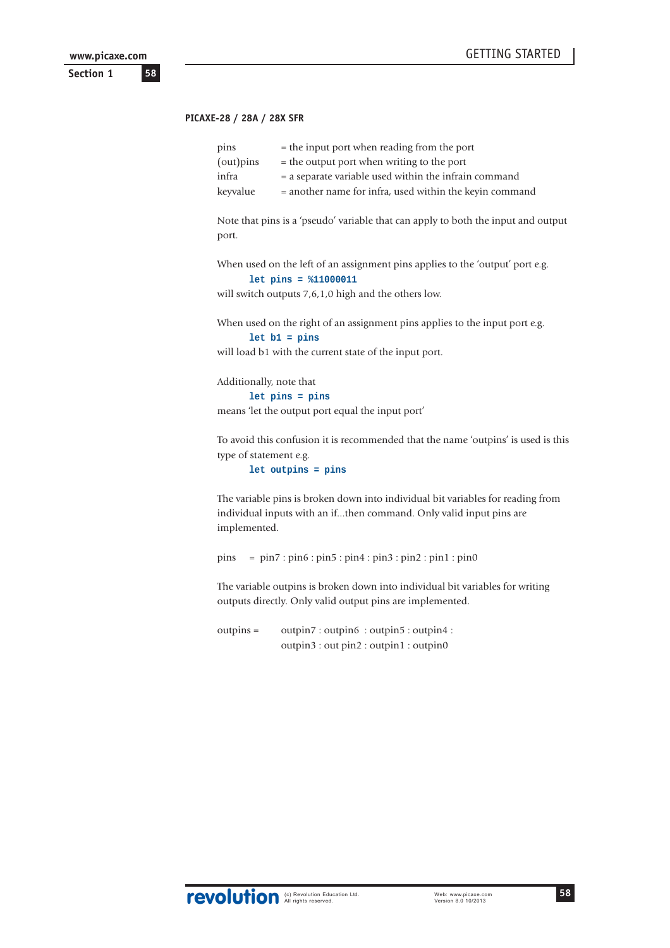#### **PICAXE-28 / 28A / 28X SFR**

| pins     | $=$ the input port when reading from the port           |
|----------|---------------------------------------------------------|
| (out)    | $=$ the output port when writing to the port            |
| infra    | $=$ a separate variable used within the infrain command |
| keyvalue | = another name for infra, used within the keyin command |

Note that pins is a 'pseudo' variable that can apply to both the input and output port.

When used on the left of an assignment pins applies to the 'output' port e.g. **let pins = %11000011**

will switch outputs 7,6,1,0 high and the others low.

When used on the right of an assignment pins applies to the input port e.g. **let b1 = pins**

will load b1 with the current state of the input port.

Additionally, note that

**let pins = pins**

means 'let the output port equal the input port'

To avoid this confusion it is recommended that the name 'outpins' is used is this type of statement e.g.

**let outpins = pins**

The variable pins is broken down into individual bit variables for reading from individual inputs with an if...then command. Only valid input pins are implemented.

pins = pin7 : pin6 : pin5 : pin4 : pin3 : pin2 : pin1 : pin0

The variable outpins is broken down into individual bit variables for writing outputs directly. Only valid output pins are implemented.

outpins = outpin7 : outpin6 : outpin5 : outpin4 : outpin3 : out pin2 : outpin1 : outpin0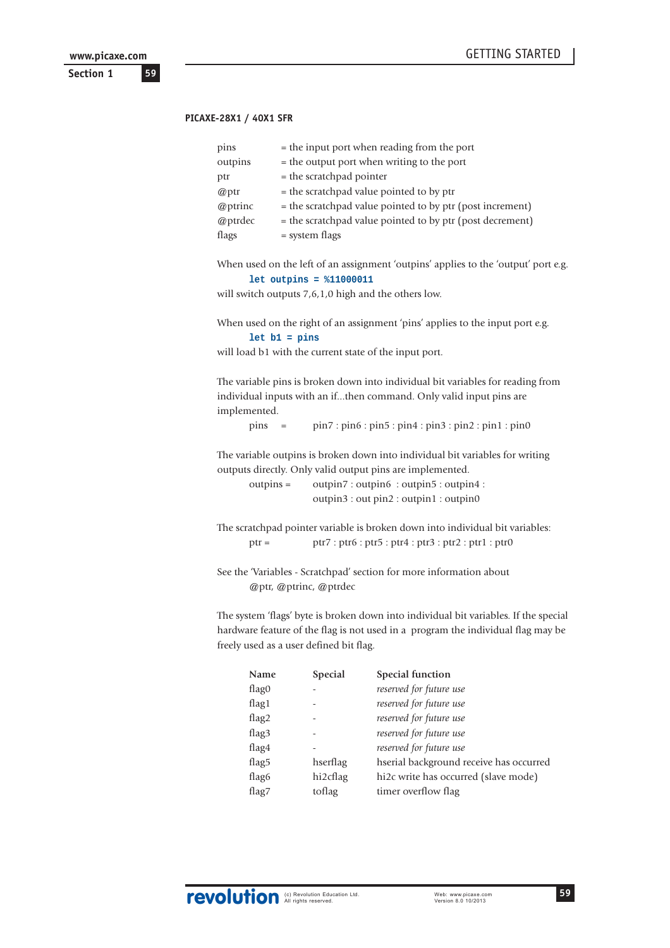#### **PICAXE-28X1 / 40X1 SFR**

| pins    | = the input port when reading from the port               |
|---------|-----------------------------------------------------------|
| outpins | = the output port when writing to the port                |
| ptr     | $=$ the scratchpad pointer                                |
| @ptr    | = the scratchpad value pointed to by ptr                  |
| @ptrinc | = the scratchpad value pointed to by ptr (post increment) |
| @ptrdec | = the scratchpad value pointed to by ptr (post decrement) |
| flags   | = system flags                                            |

When used on the left of an assignment 'outpins' applies to the 'output' port e.g. **let outpins = %11000011**

will switch outputs 7,6,1,0 high and the others low.

When used on the right of an assignment 'pins' applies to the input port e.g. **let b1 = pins**

will load b1 with the current state of the input port.

The variable pins is broken down into individual bit variables for reading from individual inputs with an if...then command. Only valid input pins are implemented.

pins = pin7 : pin6 : pin5 : pin4 : pin3 : pin2 : pin1 : pin0

The variable outpins is broken down into individual bit variables for writing outputs directly. Only valid output pins are implemented.

outpins = outpin7 : outpin6 : outpin5 : outpin4 : outpin3 : out pin2 : outpin1 : outpin0

The scratchpad pointer variable is broken down into individual bit variables: ptr = ptr7 : ptr6 : ptr5 : ptr4 : ptr3 : ptr2 : ptr1 : ptr0

See the 'Variables - Scratchpad' section for more information about @ptr, @ptrinc, @ptrdec

The system 'flags' byte is broken down into individual bit variables. If the special hardware feature of the flag is not used in a program the individual flag may be freely used as a user defined bit flag.

| <b>Name</b>       | <b>Special</b> | Special function                        |
|-------------------|----------------|-----------------------------------------|
| flag0             |                | reserved for future use                 |
| flag1             |                | reserved for future use                 |
| flag2             |                | reserved for future use                 |
| flag <sub>3</sub> |                | reserved for future use                 |
| flag4             |                | reserved for future use                 |
| flag <sub>5</sub> | hserflag       | hserial background receive has occurred |
| flag <sub>6</sub> | hi2cflag       | hi2c write has occurred (slave mode)    |
| flag7             | toflag         | timer overflow flag                     |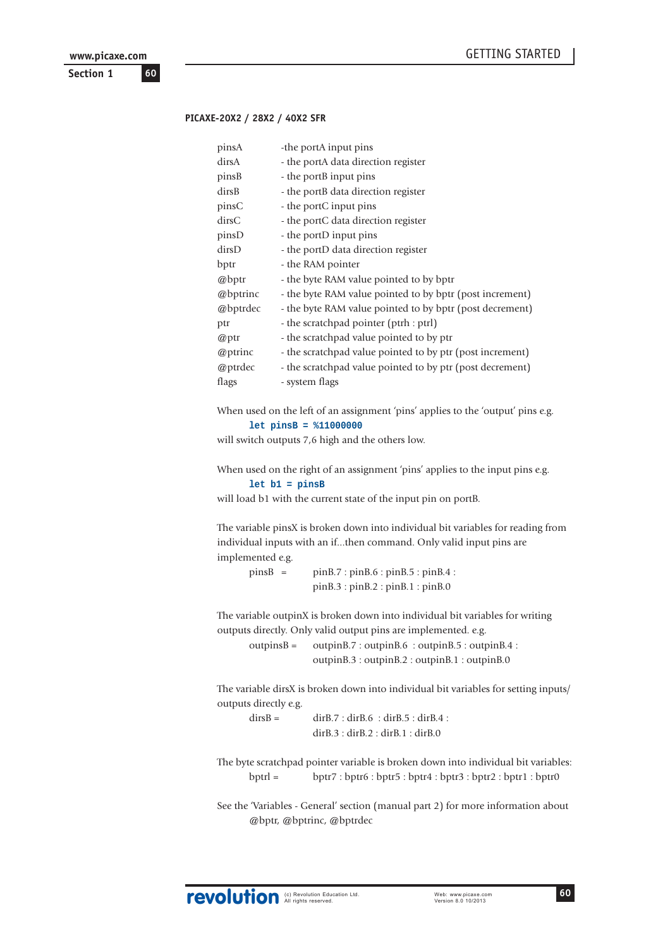**Section 1 60 www.picaxe.com**

#### **PICAXE-20X2 / 28X2 / 40X2 SFR**

| pinsA    | -the portA input pins                                     |
|----------|-----------------------------------------------------------|
| dirsA    | - the portA data direction register                       |
| pinsB    | - the portB input pins                                    |
| dirsB    | - the portB data direction register                       |
| pinsC    | - the portC input pins                                    |
| dirsC    | - the portC data direction register                       |
| pinsD    | - the portD input pins                                    |
| dirsD    | - the portD data direction register                       |
| bptr     | - the RAM pointer                                         |
| @bptr    | - the byte RAM value pointed to by bptr                   |
| @bptrinc | - the byte RAM value pointed to by bptr (post increment)  |
| @bptrdec | - the byte RAM value pointed to by bptr (post decrement)  |
| ptr      | - the scratchpad pointer (ptrh : ptrl)                    |
| @ptr     | - the scratchpad value pointed to by ptr                  |
| @ptrinc  | - the scratchpad value pointed to by ptr (post increment) |
| @ptrdec  | - the scratchpad value pointed to by ptr (post decrement) |
| flags    | - system flags                                            |
|          |                                                           |

When used on the left of an assignment 'pins' applies to the 'output' pins e.g. **let pinsB = %11000000**

will switch outputs 7,6 high and the others low.

When used on the right of an assignment 'pins' applies to the input pins e.g. **let b1 = pinsB**

will load b1 with the current state of the input pin on portB.

The variable pinsX is broken down into individual bit variables for reading from individual inputs with an if...then command. Only valid input pins are implemented e.g.

| $pinsB =$ | pinB.7: pinB.6: pinB.5: pinB.4: |
|-----------|---------------------------------|
|           | pinB.3: pinB.2: pinB.1: pinB.0  |

The variable outpinX is broken down into individual bit variables for writing outputs directly. Only valid output pins are implemented. e.g.

outpinsB = outpinB.7 : outpinB.6 : outpinB.5 : outpinB.4 : outpinB.3 : outpinB.2 : outpinB.1 : outpinB.0

The variable dirsX is broken down into individual bit variables for setting inputs/ outputs directly e.g.

| $dirsB =$ | dirB.7: dirB.6: dirB.5: dirB.4: |
|-----------|---------------------------------|
|           | dirB.3: dirB.2: dirB.1: dirB.0  |

The byte scratchpad pointer variable is broken down into individual bit variables: bptrl = bptr7 : bptr6 : bptr5 : bptr4 : bptr3 : bptr2 : bptr1 : bptr0

See the 'Variables - General' section (manual part 2) for more information about @bptr, @bptrinc, @bptrdec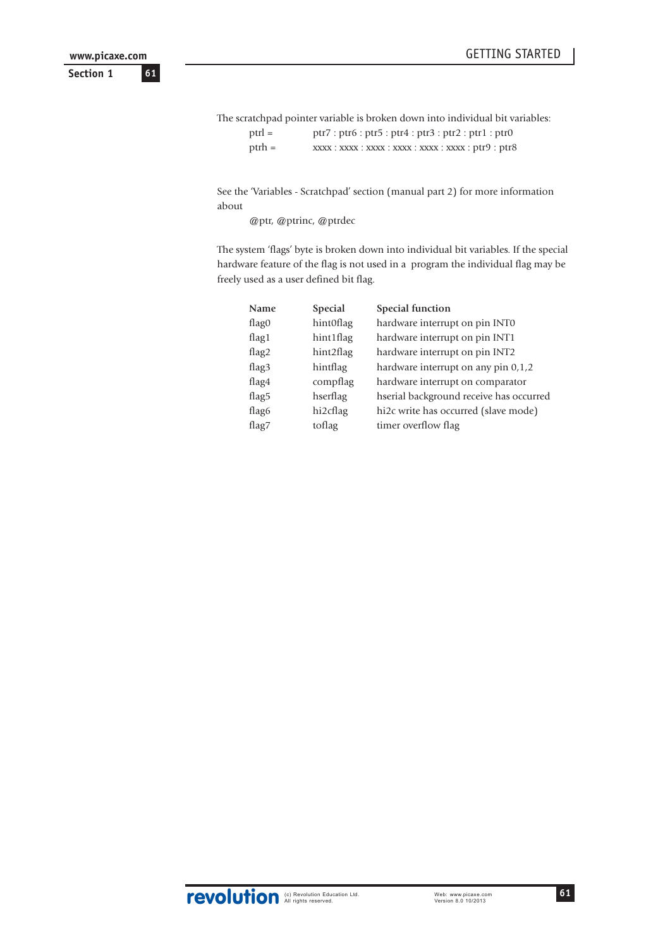The scratchpad pointer variable is broken down into individual bit variables: ptrl = ptr7 : ptr6 : ptr5 : ptr4 : ptr3 : ptr2 : ptr1 : ptr0 ptrh = xxxx : xxxx : xxxx : xxxx : xxxx : xxxx : ptr9 : ptr8

See the 'Variables - Scratchpad' section (manual part 2) for more information about

@ptr, @ptrinc, @ptrdec

The system 'flags' byte is broken down into individual bit variables. If the special hardware feature of the flag is not used in a program the individual flag may be freely used as a user defined bit flag.

| <b>Name</b>       | <b>Special</b> | Special function                        |
|-------------------|----------------|-----------------------------------------|
| flag0             | hint0flag      | hardware interrupt on pin INT0          |
| flag $1$          | hint1flag      | hardware interrupt on pin INT1          |
| flag2             | hint2flag      | hardware interrupt on pin INT2          |
| flag <sub>3</sub> | hintflag       | hardware interrupt on any pin $0,1,2$   |
| flag4             | compflag       | hardware interrupt on comparator        |
| flag <sub>5</sub> | hserflag       | hserial background receive has occurred |
| flag <sub>6</sub> | hi2cflag       | hi2c write has occurred (slave mode)    |
| flag7             | toflag         | timer overflow flag                     |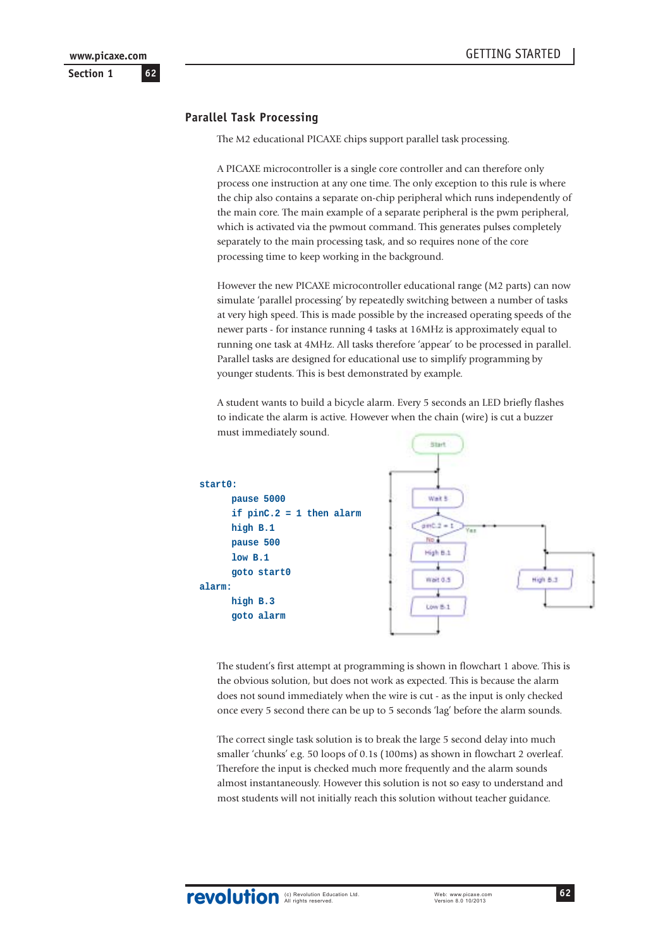# **Parallel Task Processing**

The M2 educational PICAXE chips support parallel task processing.

A PICAXE microcontroller is a single core controller and can therefore only process one instruction at any one time. The only exception to this rule is where the chip also contains a separate on-chip peripheral which runs independently of the main core. The main example of a separate peripheral is the pwm peripheral, which is activated via the pwmout command. This generates pulses completely separately to the main processing task, and so requires none of the core processing time to keep working in the background.

However the new PICAXE microcontroller educational range (M2 parts) can now simulate 'parallel processing' by repeatedly switching between a number of tasks at very high speed. This is made possible by the increased operating speeds of the newer parts - for instance running 4 tasks at 16MHz is approximately equal to running one task at 4MHz. All tasks therefore 'appear' to be processed in parallel. Parallel tasks are designed for educational use to simplify programming by younger students. This is best demonstrated by example.

A student wants to build a bicycle alarm. Every 5 seconds an LED briefly flashes to indicate the alarm is active. However when the chain (wire) is cut a buzzer must immediately sound.



The student's first attempt at programming is shown in flowchart 1 above. This is the obvious solution, but does not work as expected. This is because the alarm does not sound immediately when the wire is cut - as the input is only checked once every 5 second there can be up to 5 seconds 'lag' before the alarm sounds.

The correct single task solution is to break the large 5 second delay into much smaller 'chunks' e.g. 50 loops of 0.1s (100ms) as shown in flowchart 2 overleaf. Therefore the input is checked much more frequently and the alarm sounds almost instantaneously. However this solution is not so easy to understand and most students will not initially reach this solution without teacher guidance.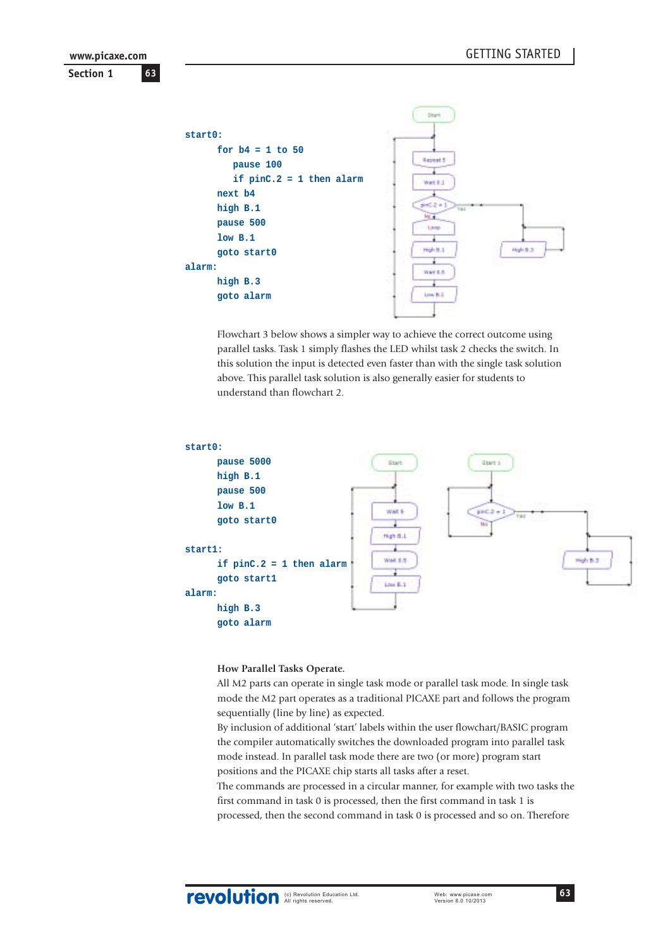**Section 1 63 www.picaxe.com**



Flowchart 3 below shows a simpler way to achieve the correct outcome using parallel tasks. Task 1 simply flashes the LED whilst task 2 checks the switch. In this solution the input is detected even faster than with the single task solution above. This parallel task solution is also generally easier for students to understand than flowchart 2.



#### **How Parallel Tasks Operate.**

All M2 parts can operate in single task mode or parallel task mode. In single task mode the M2 part operates as a traditional PICAXE part and follows the program sequentially (line by line) as expected.

By inclusion of additional 'start' labels within the user flowchart/BASIC program the compiler automatically switches the downloaded program into parallel task mode instead. In parallel task mode there are two (or more) program start positions and the PICAXE chip starts all tasks after a reset.

The commands are processed in a circular manner, for example with two tasks the first command in task 0 is processed, then the first command in task 1 is processed, then the second command in task 0 is processed and so on. Therefore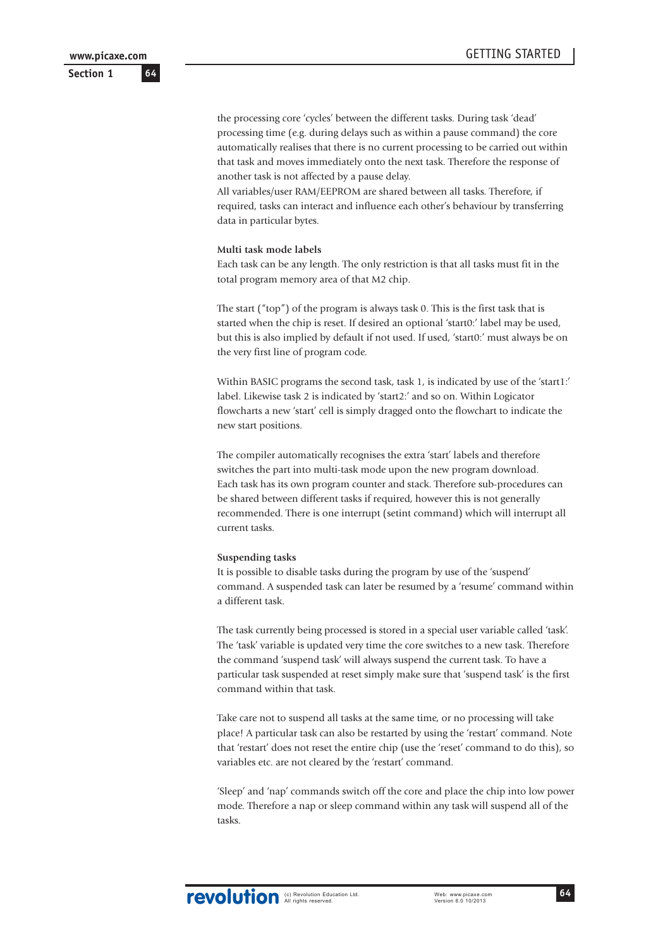**Section 1**

the processing core 'cycles' between the different tasks. During task 'dead' processing time (e.g. during delays such as within a pause command) the core automatically realises that there is no current processing to be carried out within that task and moves immediately onto the next task. Therefore the response of another task is not affected by a pause delay.

All variables/user RAM/EEPROM are shared between all tasks. Therefore, if required, tasks can interact and influence each other's behaviour by transferring data in particular bytes.

#### **Multi task mode labels**

Each task can be any length. The only restriction is that all tasks must fit in the total program memory area of that M2 chip.

The start ("top") of the program is always task 0. This is the first task that is started when the chip is reset. If desired an optional 'start0:' label may be used, but this is also implied by default if not used. If used, 'start0:' must always be on the very first line of program code.

Within BASIC programs the second task, task 1, is indicated by use of the 'start1:' label. Likewise task 2 is indicated by 'start2:' and so on. Within Logicator flowcharts a new 'start' cell is simply dragged onto the flowchart to indicate the new start positions.

The compiler automatically recognises the extra 'start' labels and therefore switches the part into multi-task mode upon the new program download. Each task has its own program counter and stack. Therefore sub-procedures can be shared between different tasks if required, however this is not generally recommended. There is one interrupt (setint command) which will interrupt all current tasks.

#### **Suspending tasks**

It is possible to disable tasks during the program by use of the 'suspend' command. A suspended task can later be resumed by a 'resume' command within a different task.

The task currently being processed is stored in a special user variable called 'task'. The 'task' variable is updated very time the core switches to a new task. Therefore the command 'suspend task' will always suspend the current task. To have a particular task suspended at reset simply make sure that 'suspend task' is the first command within that task.

Take care not to suspend all tasks at the same time, or no processing will take place! A particular task can also be restarted by using the 'restart' command. Note that 'restart' does not reset the entire chip (use the 'reset' command to do this), so variables etc. are not cleared by the 'restart' command.

'Sleep' and 'nap' commands switch off the core and place the chip into low power mode. Therefore a nap or sleep command within any task will suspend all of the tasks.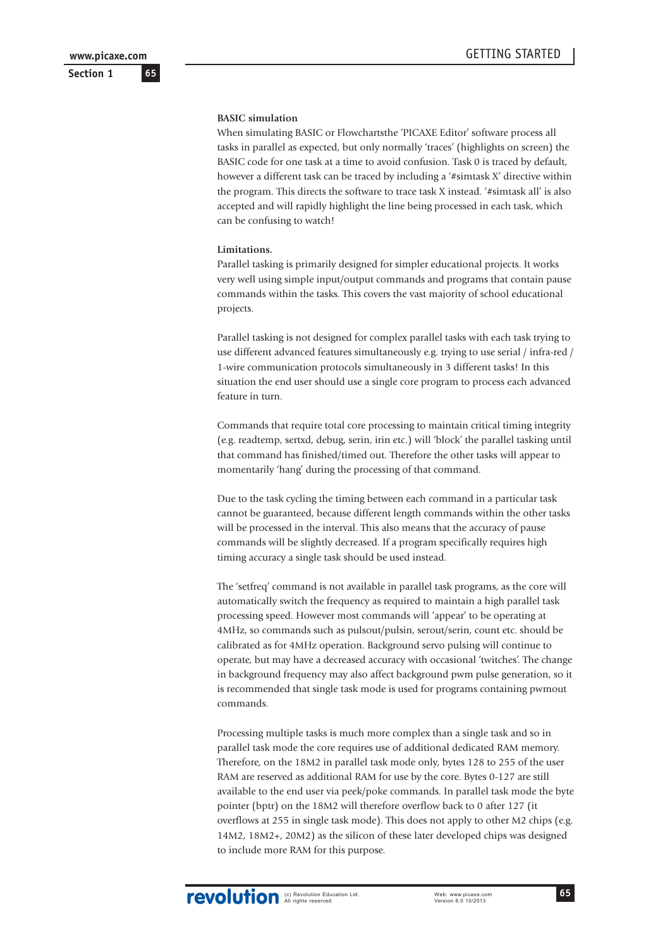**65**

### **Section 1**

#### **BASIC simulation**

When simulating BASIC or Flowchartsthe 'PICAXE Editor' software process all tasks in parallel as expected, but only normally 'traces' (highlights on screen) the BASIC code for one task at a time to avoid confusion. Task 0 is traced by default, however a different task can be traced by including a '#simtask X' directive within the program. This directs the software to trace task X instead. '#simtask all' is also accepted and will rapidly highlight the line being processed in each task, which can be confusing to watch!

#### **Limitations.**

Parallel tasking is primarily designed for simpler educational projects. It works very well using simple input/output commands and programs that contain pause commands within the tasks. This covers the vast majority of school educational projects.

Parallel tasking is not designed for complex parallel tasks with each task trying to use different advanced features simultaneously e.g. trying to use serial / infra-red / 1-wire communication protocols simultaneously in 3 different tasks! In this situation the end user should use a single core program to process each advanced feature in turn.

Commands that require total core processing to maintain critical timing integrity (e.g. readtemp, sertxd, debug, serin, irin etc.) will 'block' the parallel tasking until that command has finished/timed out. Therefore the other tasks will appear to momentarily 'hang' during the processing of that command.

Due to the task cycling the timing between each command in a particular task cannot be guaranteed, because different length commands within the other tasks will be processed in the interval. This also means that the accuracy of pause commands will be slightly decreased. If a program specifically requires high timing accuracy a single task should be used instead.

The 'setfreq' command is not available in parallel task programs, as the core will automatically switch the frequency as required to maintain a high parallel task processing speed. However most commands will 'appear' to be operating at 4MHz, so commands such as pulsout/pulsin, serout/serin, count etc. should be calibrated as for 4MHz operation. Background servo pulsing will continue to operate, but may have a decreased accuracy with occasional 'twitches'. The change in background frequency may also affect background pwm pulse generation, so it is recommended that single task mode is used for programs containing pwmout commands.

Processing multiple tasks is much more complex than a single task and so in parallel task mode the core requires use of additional dedicated RAM memory. Therefore, on the 18M2 in parallel task mode only, bytes 128 to 255 of the user RAM are reserved as additional RAM for use by the core. Bytes 0-127 are still available to the end user via peek/poke commands. In parallel task mode the byte pointer (bptr) on the 18M2 will therefore overflow back to 0 after 127 (it overflows at 255 in single task mode). This does not apply to other M2 chips (e.g. 14M2, 18M2+, 20M2) as the silicon of these later developed chips was designed to include more RAM for this purpose.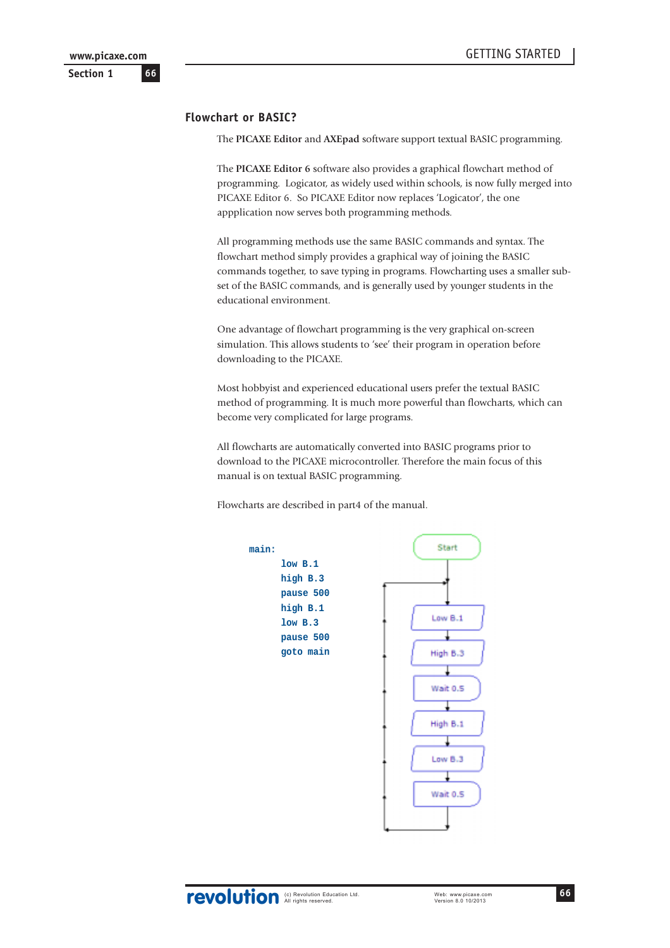### **Flowchart or BASIC?**

The **PICAXE Editor** and **AXEpad** software support textual BASIC programming.

The **PICAXE Editor 6** software also provides a graphical flowchart method of programming. Logicator, as widely used within schools, is now fully merged into PICAXE Editor 6. So PICAXE Editor now replaces 'Logicator', the one appplication now serves both programming methods.

All programming methods use the same BASIC commands and syntax. The flowchart method simply provides a graphical way of joining the BASIC commands together, to save typing in programs. Flowcharting uses a smaller subset of the BASIC commands, and is generally used by younger students in the educational environment.

One advantage of flowchart programming is the very graphical on-screen simulation. This allows students to 'see' their program in operation before downloading to the PICAXE.

Most hobbyist and experienced educational users prefer the textual BASIC method of programming. It is much more powerful than flowcharts, which can become very complicated for large programs.

All flowcharts are automatically converted into BASIC programs prior to download to the PICAXE microcontroller. Therefore the main focus of this manual is on textual BASIC programming.

Flowcharts are described in part4 of the manual.

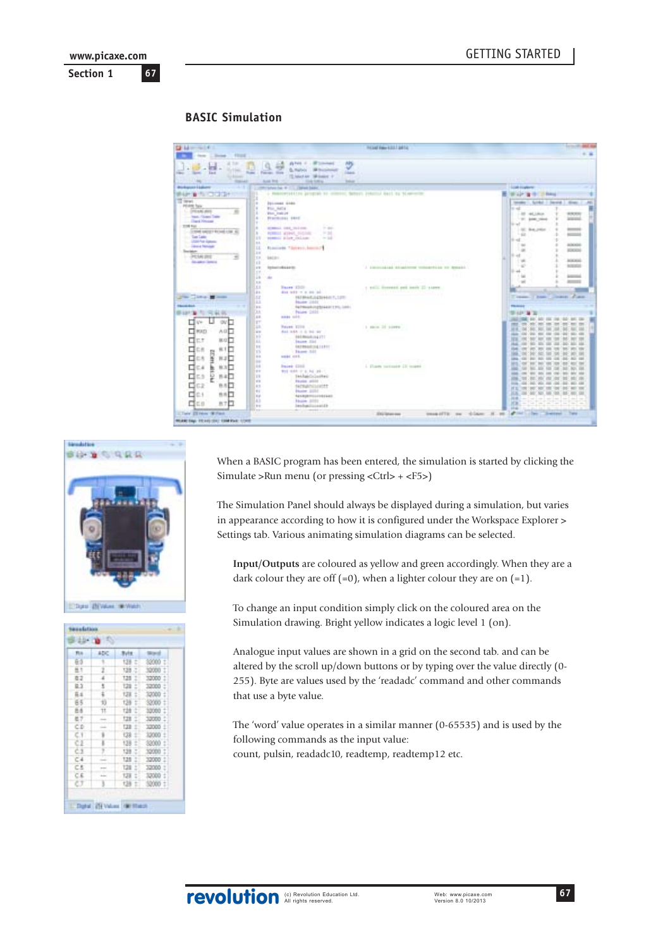# **BASIC Simulation**

| <b>Distances</b>                                           |                                                                                              | <b>HOAD Face 6311 Julia</b>                    | arm of the dead and                                                                            |
|------------------------------------------------------------|----------------------------------------------------------------------------------------------|------------------------------------------------|------------------------------------------------------------------------------------------------|
| few Library, Floor                                         | Arvis 4 - Winnings<br>APS                                                                    |                                                |                                                                                                |
| $-178$<br>1191<br><b>Fund</b><br>the law last              | ٧<br><b>STAR</b><br>S. Nation  Ill this please<br><b>SAME</b><br>Farant Hotel                |                                                |                                                                                                |
| <b>Scientists</b><br><b>STAR</b><br><b>The Corporation</b> | 15 Media: Williams 11<br><b>BARTER TO</b><br>THE R. P. LEWIS CO., LANSING.<br><b>Solicit</b> |                                                |                                                                                                |
| Workspoor Edakumin<br>                                     |                                                                                              |                                                | <b>Loads countered</b>                                                                         |
| WHAT IN THE COUNTY                                         | a manageration program to control datum internal hard by business                            |                                                | <b>Wilder of the College</b>                                                                   |
| TT text                                                    | <b><i><u><u>DELIMES</u></u></i></b> ARRESTS                                                  |                                                | tender Links   Second   Alian<br>$\overline{a}$                                                |
| <b>PEAR Tax</b><br>L. DYEAN AVE                            | For Arts                                                                                     |                                                | $= -4$                                                                                         |
| <b>Heat Council Trade</b>                                  | <b>Plus Instrum</b><br><b>Hallmook</b> \$410                                                 |                                                | 1-20 44, Likes<br>ROUND<br><b>SERVICE</b><br>1700 AME 2004                                     |
| <b>College Pressure</b><br>TOWN FALL                       |                                                                                              |                                                | $14 - 4$                                                                                       |
| COME GROUP ROAD COR 1                                      | in auc-<br><b>NORMAL FIRE, IN LINE-</b><br>$-34$<br>٠                                        |                                                | 101: B-6 (HSA)<br>$-$                                                                          |
| <b>Contract Contract</b>                                   | PERRITT WINNER SILLING<br>seems plue chine.<br><b>B</b><br>$-14$                             |                                                | $-40$<br>ACCORD A<br>$114 - 1$                                                                 |
| C. Jan'te issue<br><b>L. Lakes Novad</b>                   | 16.6                                                                                         |                                                | <b>MONTAGER</b><br>$-$                                                                         |
| <b>Service-</b>                                            | 11<br>FLOOTATO TAUTOLIC DISTINCT<br>$\frac{1}{2}$                                            |                                                | $\rightarrow$<br><b>JOCKH</b>                                                                  |
| $-3536.00$                                                 | uк<br><b>BACING</b>                                                                          |                                                | $11 - 47$<br><b>AGENCIA</b><br>$-1.96$                                                         |
| THE REAL PROPERTY<br>-----                                 | 13<br><b>International Avenue</b><br>$x \equiv$                                              | I immigliai disainne mouartico to benato       | <b>NORTHER</b><br>1.42                                                                         |
|                                                            | $1 -$                                                                                        |                                                | $11 - 44$                                                                                      |
|                                                            | u.<br>m.                                                                                     |                                                | Actual Ave<br>$-$                                                                              |
|                                                            | <b>I</b><br>13<br>Name (2008)<br>All and the second control of the                           | 1 toll freezes and park 12 years.              |                                                                                                |
|                                                            | died today or at lots last.<br>i s                                                           |                                                |                                                                                                |
| The Company of the                                         | m<br>FAT BRACELO COURANT P., 12701<br>ш<br>Master 2002 Contractor                            |                                                | Course, China Course, France                                                                   |
| <b>TRAVELAND</b>                                           | Natmiehotebnikali (19), izeb:<br>i s s                                                       |                                                | <b>TRAILER</b>                                                                                 |
| ■ 101 ★ 二 三 11 元                                           | O.H<br>Peace 2010 - Service Co.                                                              |                                                | <b>SHAPPEN TO</b>                                                                              |
| <b>ON</b><br>Ve.                                           | 1.6<br><b>HART HART</b><br>m                                                                 |                                                | <b>ALC: NO INC.</b>                                                                            |
|                                                            | 18<br>Nauge 1206                                                                             | 1 Mon 37 since                                 |                                                                                                |
| <b>CI</b> HOLD<br>A G<br>c                                 | i a co<br>Ask mich in all the ray-<br>×                                                      |                                                |                                                                                                |
| □<br>ЕŤ<br>算过<br>٠D.                                       | <b>EXIMINATION ITT</b><br>an a<br>u<br><b>Inche Gal</b>                                      |                                                |                                                                                                |
| □<br>р<br>ĸ<br>сm                                          | <b><i><u><i>ASTRAUGHLIST</i></u></i></b><br>11                                               |                                                |                                                                                                |
| DH <sub>1</sub>                                            | n<br>Faurer SSS<br>12<br>make men.                                                           |                                                |                                                                                                |
| liky<br>₫<br>C8<br>$H - 2$<br>о                            | H.                                                                                           |                                                |                                                                                                |
| ₫<br>83<br>b<br>- 4                                        | H<br><b>Paint (200)</b><br>is or                                                             | 1 Flam vetteds 13 years                        |                                                                                                |
| ¤<br>ş<br>5.3<br>日本                                        | was made to as he last of<br>TE.<br>Tekhaidaluskes                                           |                                                | $\frac{1}{2} \left( \frac{1}{2} \right) \left( \frac{1}{2} \right) \left( \frac{1}{2} \right)$ |
|                                                            | <b>Faulte attild</b><br>12                                                                   |                                                | $\sim$                                                                                         |
| ₫<br>62<br>自古                                              | 4.11<br><b>NUMBER</b><br><b>Facebook SERVIE</b>                                              |                                                |                                                                                                |
| ₫<br>市内<br>C.                                              | $+1$<br><b>NASKURPRISSIONAAR</b><br>1.11                                                     |                                                |                                                                                                |
| <b>City</b><br>BTD                                         | 43<br>Hart 3111                                                                              |                                                | m                                                                                              |
|                                                            | Instantinantil<br>$+$<br>i en                                                                |                                                | <b>Hotel</b>                                                                                   |
| It Twin 23 Helen 197 False                                 |                                                                                              | manufilli na chlaim H. M.<br><b>STATISTICS</b> | a control of the control of<br><b>COMM</b>                                                     |





When a BASIC program has been entered, the simulation is started by clicking the Simulate >Run menu (or pressing <Ctrl> + <F5>)

The Simulation Panel should always be displayed during a simulation, but varies in appearance according to how it is configured under the Workspace Explorer > Settings tab. Various animating simulation diagrams can be selected.

**Input/Outputs** are coloured as yellow and green accordingly. When they are a dark colour they are off  $(=0)$ , when a lighter colour they are on  $(=1)$ .

To change an input condition simply click on the coloured area on the Simulation drawing. Bright yellow indicates a logic level 1 (on).

Analogue input values are shown in a grid on the second tab. and can be altered by the scroll up/down buttons or by typing over the value directly (0- 255). Byte are values used by the 'readadc' command and other commands that use a byte value.

The 'word' value operates in a similar manner (0-65535) and is used by the following commands as the input value: count, pulsin, readadc10, readtemp, readtemp12 etc.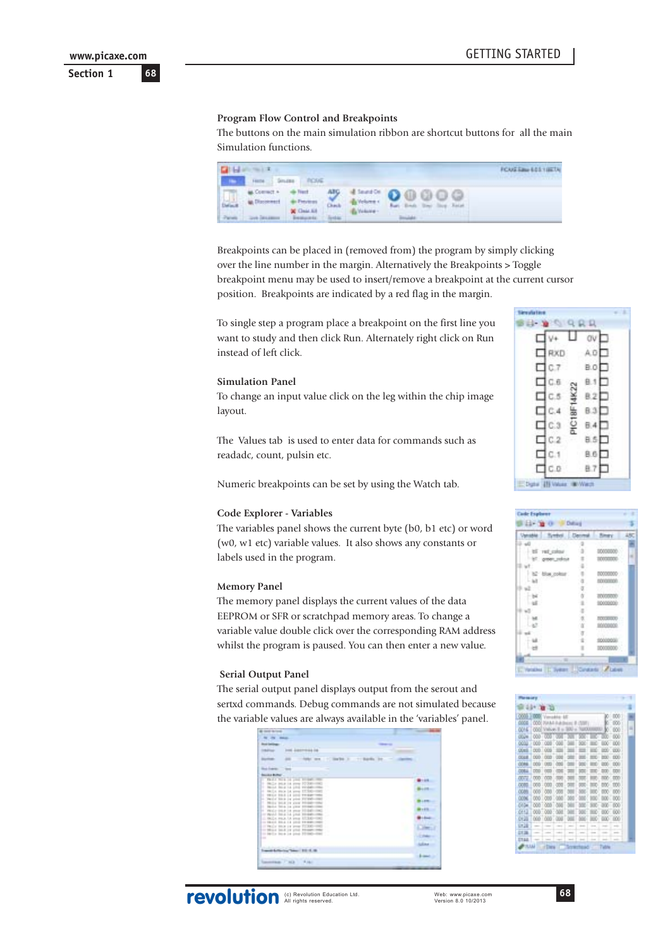#### **Program Flow Control and Breakpoints**

The buttons on the main simulation ribbon are shortcut buttons for all the main Simulation functions.



Breakpoints can be placed in (removed from) the program by simply clicking over the line number in the margin. Alternatively the Breakpoints > Toggle breakpoint menu may be used to insert/remove a breakpoint at the current cursor position. Breakpoints are indicated by a red flag in the margin.

To single step a program place a breakpoint on the first line you want to study and then click Run. Alternately right click on Run instead of left click.

#### **Simulation Panel**

To change an input value click on the leg within the chip image layout.

The Values tab is used to enter data for commands such as readadc, count, pulsin etc.

Numeric breakpoints can be set by using the Watch tab.

#### **Code Explorer - Variables**

The variables panel shows the current byte (b0, b1 etc) or word (w0, w1 etc) variable values. It also shows any constants or labels used in the program.

#### **Memory Panel**

The memory panel displays the current values of the data EEPROM or SFR or scratchpad memory areas. To change a variable value double click over the corresponding RAM address whilst the program is paused. You can then enter a new value.

#### **Serial Output Panel**

The serial output panel displays output from the serout and sertxd commands. Debug commands are not simulated because the variable values are always available in the 'variables' panel.

| <b>Book Carolings</b>                                                      |                 |  |
|----------------------------------------------------------------------------|-----------------|--|
| <b>Industrial</b>                                                          |                 |  |
| 270<br><b>Scott Color</b>                                                  |                 |  |
|                                                                            |                 |  |
| <b>Sold Francis</b>                                                        |                 |  |
| build a botter.                                                            |                 |  |
| that I had in your to put.<br>œ<br>Hally John In 1976 17:30-1780<br>и      | $-100$          |  |
| IT MULA BELL 14 LEG WILSEL                                                 |                 |  |
| Hall's state 14 years \$7,200<br>ш                                         |                 |  |
| TRIA TO A 14 GOD TO SET<br>н<br>1. David Mick in your FERED                |                 |  |
| ×<br>Mills blue by your bloods                                             | 1.898           |  |
| 1. Mailed Think ink young \$10,000<br>Walz-964 14 year 10:000<br>u         | $8 - 6 =$       |  |
| or model back 14, your birden-                                             |                 |  |
| in their room in your \$7,240.<br>- 1841 514 14 202 19:00                  |                 |  |
| or backy blow on prop \$1,300-<br>$-1$                                     |                 |  |
| to Mills land in your Mosam retail<br>to ball a back i.e plus \$2,000-000. |                 |  |
| m.                                                                         |                 |  |
|                                                                            | diam'r.         |  |
|                                                                            |                 |  |
| All & D. Law Treasury 110, 15, 16-                                         | <b>Billiand</b> |  |





|              |          | œ           |          |          |  |                  |   |
|--------------|----------|-------------|----------|----------|--|------------------|---|
| 00001        |          |             |          |          |  | 1000             |   |
| m            | 0W)      |             |          |          |  | m                |   |
| œ            | 1000     |             |          |          |  | $-000$           | ٠ |
|              |          | 000 000 VVI |          |          |  | 60O              |   |
| 0004         | 1000:000 |             |          |          |  | 100 1000         |   |
| <b>ODIES</b> | 000 006  |             |          | $\equiv$ |  | 00011000         |   |
| <b>COLE</b>  | 000 000  |             |          |          |  | DOG <sub>1</sub> |   |
| <b>ODRE</b>  | poor i   | <b>CRED</b> |          |          |  | <b>DO</b>        |   |
| <b>COLL</b>  | 000      |             |          |          |  | <b>COV</b>       |   |
| <b>COLLE</b> | 000.000  |             |          |          |  | ton : con        |   |
| 00           | 000 00   |             |          |          |  | 000 000          |   |
| ocan         | 000 000  |             |          |          |  | 000 000          |   |
| 0096         | 000 000  |             |          |          |  | 100 100          |   |
| <b>DAGA</b>  | 000 000  |             |          |          |  | $300 - 000$      |   |
| 0113         |          | 000 000 000 |          |          |  | 000 000          |   |
| or in        | 000 000  |             | $-0.000$ |          |  | 000 000          |   |
| 17.18        |          |             |          |          |  | ÷                |   |
|              |          |             |          |          |  |                  |   |
| <b>ETAH</b>  |          |             |          |          |  |                  |   |
| 20011        |          |             |          |          |  |                  |   |

**68**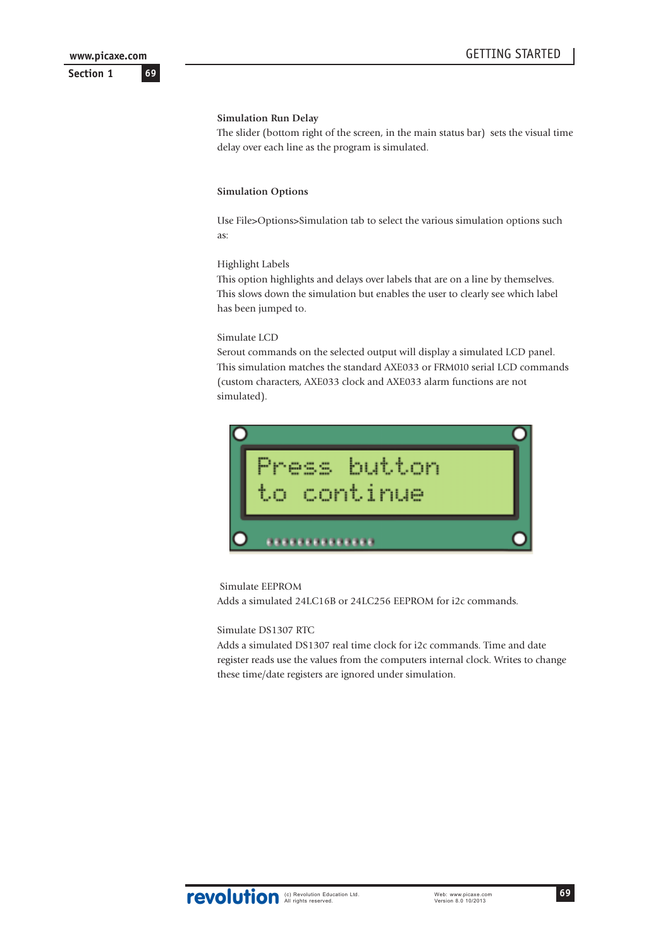**69**

**Section 1**

### **Simulation Run Delay**

The slider (bottom right of the screen, in the main status bar) sets the visual time delay over each line as the program is simulated.

#### **Simulation Options**

Use File>Options>Simulation tab to select the various simulation options such as:

#### Highlight Labels

This option highlights and delays over labels that are on a line by themselves. This slows down the simulation but enables the user to clearly see which label has been jumped to.

#### Simulate LCD

Serout commands on the selected output will display a simulated LCD panel. This simulation matches the standard AXE033 or FRM010 serial LCD commands (custom characters, AXE033 clock and AXE033 alarm functions are not simulated).



#### Simulate EEPROM

Adds a simulated 24LC16B or 24LC256 EEPROM for i2c commands.

Simulate DS1307 RTC

Adds a simulated DS1307 real time clock for i2c commands. Time and date register reads use the values from the computers internal clock. Writes to change these time/date registers are ignored under simulation.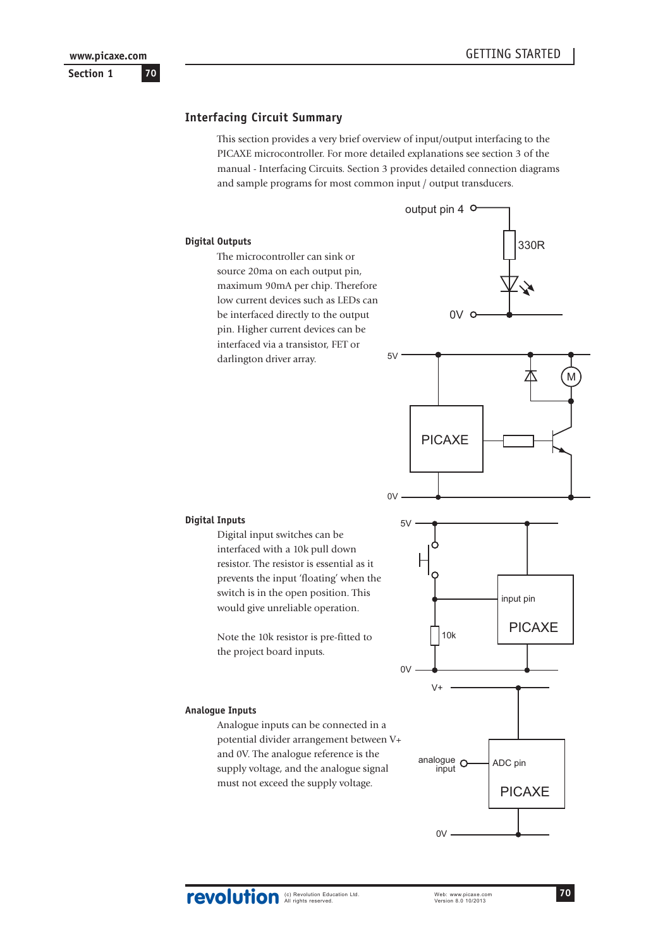### **Interfacing Circuit Summary**

This section provides a very brief overview of input/output interfacing to the PICAXE microcontroller. For more detailed explanations see section 3 of the manual - Interfacing Circuits. Section 3 provides detailed connection diagrams and sample programs for most common input / output transducers.

#### **Digital Outputs**

The microcontroller can sink or source 20ma on each output pin, maximum 90mA per chip. Therefore low current devices such as LEDs can be interfaced directly to the output pin. Higher current devices can be interfaced via a transistor, FET or darlington driver array.





#### **Digital Inputs**

Digital input switches can be interfaced with a 10k pull down resistor. The resistor is essential as it prevents the input 'floating' when the switch is in the open position. This would give unreliable operation.

Note the 10k resistor is pre-fitted to the project board inputs.

#### **Analogue Inputs**

Analogue inputs can be connected in a potential divider arrangement between V+ and 0V. The analogue reference is the supply voltage, and the analogue signal must not exceed the supply voltage.

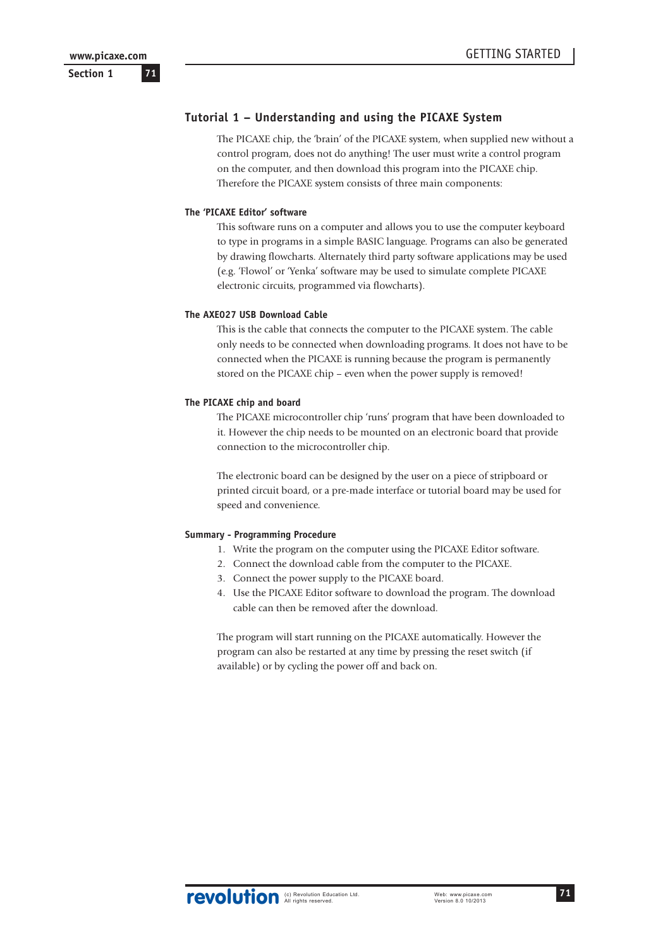**71**

**Section 1**

# **Tutorial 1 – Understanding and using the PICAXE System**

The PICAXE chip, the 'brain' of the PICAXE system, when supplied new without a control program, does not do anything! The user must write a control program on the computer, and then download this program into the PICAXE chip. Therefore the PICAXE system consists of three main components:

#### **The 'PICAXE Editor' software**

This software runs on a computer and allows you to use the computer keyboard to type in programs in a simple BASIC language. Programs can also be generated by drawing flowcharts. Alternately third party software applications may be used (e.g. 'Flowol' or 'Yenka' software may be used to simulate complete PICAXE electronic circuits, programmed via flowcharts).

### **The AXE027 USB Download Cable**

This is the cable that connects the computer to the PICAXE system. The cable only needs to be connected when downloading programs. It does not have to be connected when the PICAXE is running because the program is permanently stored on the PICAXE chip – even when the power supply is removed!

#### **The PICAXE chip and board**

The PICAXE microcontroller chip 'runs' program that have been downloaded to it. However the chip needs to be mounted on an electronic board that provide connection to the microcontroller chip.

The electronic board can be designed by the user on a piece of stripboard or printed circuit board, or a pre-made interface or tutorial board may be used for speed and convenience.

### **Summary - Programming Procedure**

- 1. Write the program on the computer using the PICAXE Editor software.
- 2. Connect the download cable from the computer to the PICAXE.
- 3. Connect the power supply to the PICAXE board.
- 4. Use the PICAXE Editor software to download the program. The download cable can then be removed after the download.

The program will start running on the PICAXE automatically. However the program can also be restarted at any time by pressing the reset switch (if available) or by cycling the power off and back on.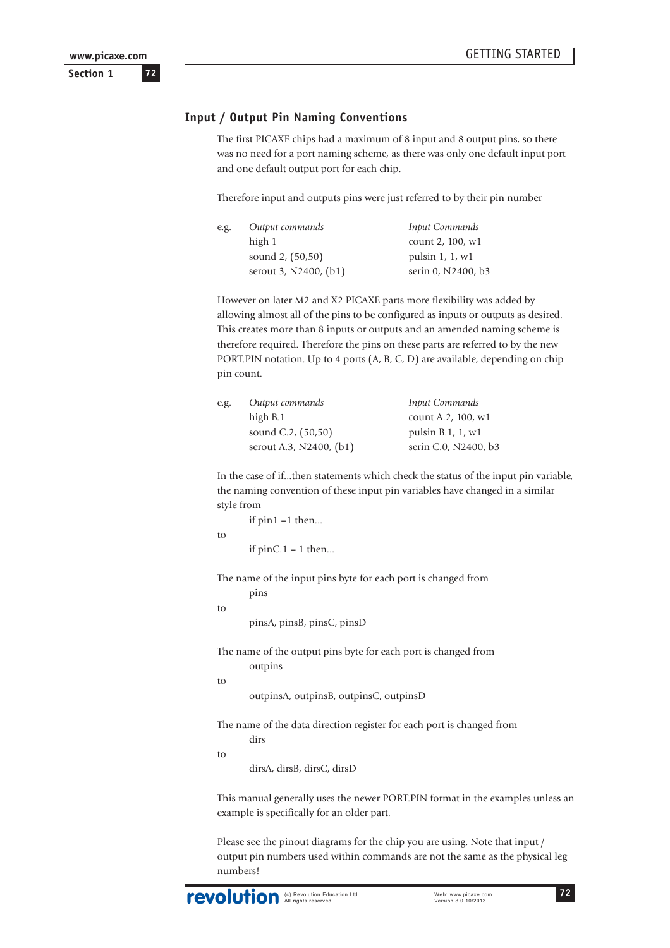### **Input / Output Pin Naming Conventions**

The first PICAXE chips had a maximum of 8 input and 8 output pins, so there was no need for a port naming scheme, as there was only one default input port and one default output port for each chip.

Therefore input and outputs pins were just referred to by their pin number

| e.g. | Output commands       | Input Commands     |
|------|-----------------------|--------------------|
|      | high 1                | count 2, 100, w1   |
|      | sound 2, (50,50)      | pulsin $1, 1, w1$  |
|      | serout 3, N2400, (b1) | serin 0, N2400, b3 |

However on later M2 and X2 PICAXE parts more flexibility was added by allowing almost all of the pins to be configured as inputs or outputs as desired. This creates more than 8 inputs or outputs and an amended naming scheme is therefore required. Therefore the pins on these parts are referred to by the new PORT.PIN notation. Up to 4 ports (A, B, C, D) are available, depending on chip pin count.

| e.g. | Output commands         | Input Commands            |
|------|-------------------------|---------------------------|
|      | high B.1                | count A.2, 100, w1        |
|      | sound C.2, (50,50)      | pulsin $B.1$ , $1$ , $w1$ |
|      | serout A.3, N2400, (b1) | serin C.0, N2400, b3      |
|      |                         |                           |

In the case of if...then statements which check the status of the input pin variable, the naming convention of these input pin variables have changed in a similar style from

| if $pin1 = 1$ then   |
|----------------------|
| if $pinC.1 = 1$ then |

The name of the input pins byte for each port is changed from

```
pins
to
```
to

pinsA, pinsB, pinsC, pinsD

The name of the output pins byte for each port is changed from outpins

```
to
```
outpinsA, outpinsB, outpinsC, outpinsD

The name of the data direction register for each port is changed from dirs

to

dirsA, dirsB, dirsC, dirsD

This manual generally uses the newer PORT.PIN format in the examples unless an example is specifically for an older part.

Please see the pinout diagrams for the chip you are using. Note that input / output pin numbers used within commands are not the same as the physical leg numbers!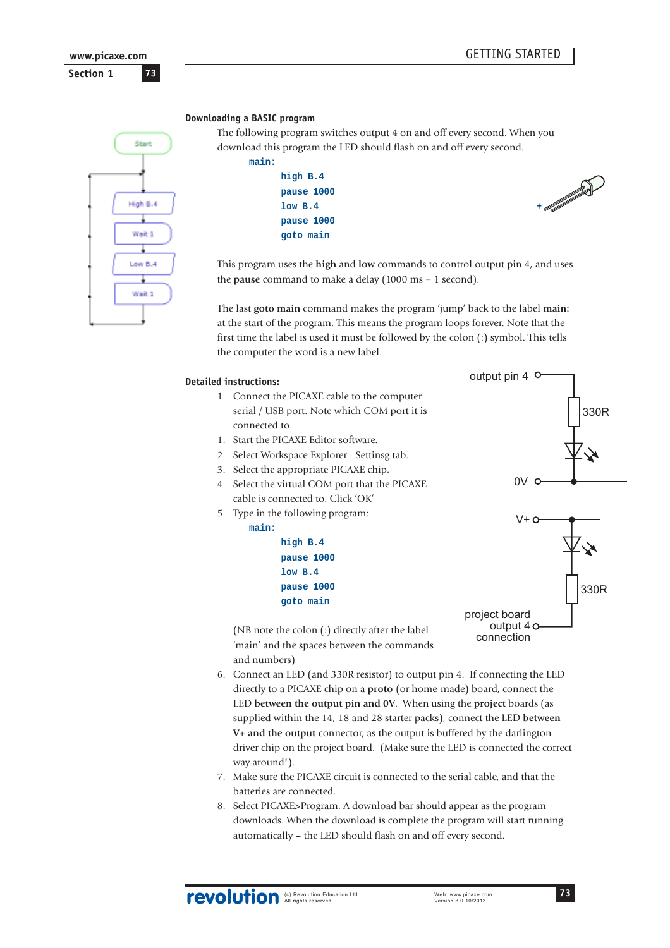**Section 1 73 www.picaxe.com**



#### **Downloading a BASIC program**

The following program switches output 4 on and off every second. When you download this program the LED should flash on and off every second. **main:**

> **high B.4 pause 1000 pause 1000 goto main**



This program uses the **high** and **low** commands to control output pin 4, and uses the **pause** command to make a delay (1000 ms = 1 second).

The last **goto main** command makes the program 'jump' back to the label **main:** at the start of the program. This means the program loops forever. Note that the first time the label is used it must be followed by the colon (:) symbol. This tells the computer the word is a new label.

#### **Detailed instructions:**

- 1. Connect the PICAXE cable to the computer serial / USB port. Note which COM port it is connected to.
- 1. Start the PICAXE Editor software.
- 2. Select Workspace Explorer Settinsg tab.
- 3. Select the appropriate PICAXE chip.
- 4. Select the virtual COM port that the PICAXE cable is connected to. Click 'OK'
- 5. Type in the following program:

# **main:**

and numbers)

**high B.4 pause 1000 low B.4 pause 1000 goto main**



330R

output pin 4

(NB note the colon (:) directly after the label 'main' and the spaces between the commands project board output 4 o connection

- 6. Connect an LED (and 330R resistor) to output pin 4. If connecting the LED directly to a PICAXE chip on a **proto** (or home-made) board, connect the LED **between the output pin and 0V**. When using the **project** boards (as supplied within the 14, 18 and 28 starter packs), connect the LED **between V+ and the output** connector, as the output is buffered by the darlington driver chip on the project board. (Make sure the LED is connected the correct way around!).
- 7. Make sure the PICAXE circuit is connected to the serial cable, and that the batteries are connected.
- 8. Select PICAXE>Program. A download bar should appear as the program downloads. When the download is complete the program will start running automatically – the LED should flash on and off every second.

revolution Education Ltd. Web: www.picaxe.com<br>Version 8.0 10/2013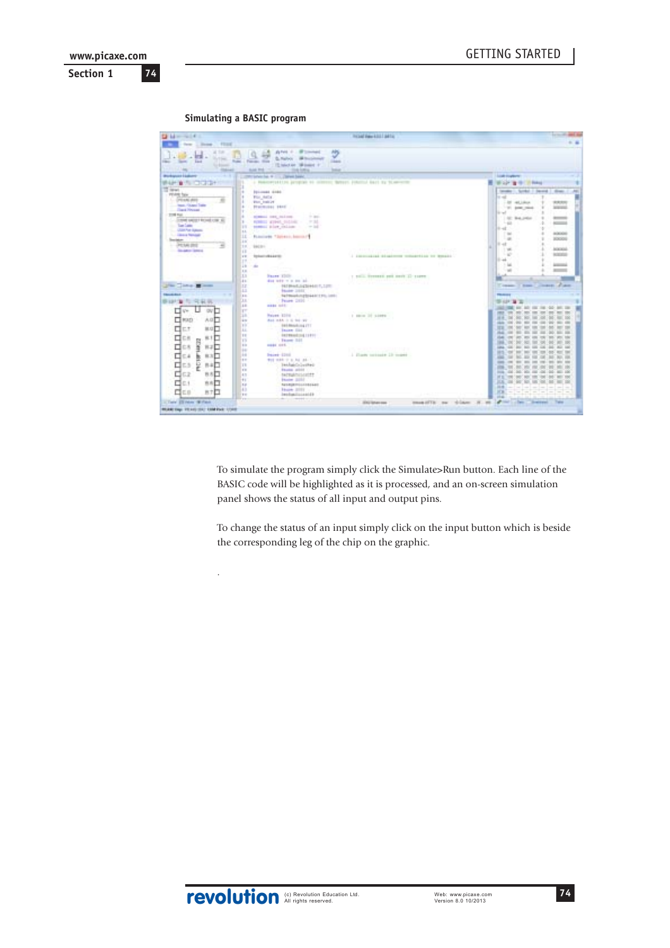**Simulating a BASIC program**

.

| <b>Distances</b> (C)                                                                                                                                                                                                                                                                                                                                       |                                                                                                                                                                                                                                                                                                                      | Include Hales 4,012   Jul 7 to                 |                                                                                                                                                                                                                                                                                                                                                                                                                                                                 |
|------------------------------------------------------------------------------------------------------------------------------------------------------------------------------------------------------------------------------------------------------------------------------------------------------------------------------------------------------------|----------------------------------------------------------------------------------------------------------------------------------------------------------------------------------------------------------------------------------------------------------------------------------------------------------------------|------------------------------------------------|-----------------------------------------------------------------------------------------------------------------------------------------------------------------------------------------------------------------------------------------------------------------------------------------------------------------------------------------------------------------------------------------------------------------------------------------------------------------|
| few Library, Floor<br>$-178$<br><b>Suite</b><br>rac law last<br>To Essen-<br>m<br>marian                                                                                                                                                                                                                                                                   | APG<br>ANA - IF consult<br>ب<br><b>S. Nation  In the pieces</b><br><b>Seatt</b><br>Forces: How<br>15 Med et 18 loans 11<br><b>CONTRACTOR</b><br><b>Builder Winds</b><br><b>Solar</b>                                                                                                                                 |                                                |                                                                                                                                                                                                                                                                                                                                                                                                                                                                 |
| Workspace Elaborer                                                                                                                                                                                                                                                                                                                                         | ROSANICOM, R.C., J. BRAND BANK,                                                                                                                                                                                                                                                                                      |                                                | <b>Load</b> England                                                                                                                                                                                                                                                                                                                                                                                                                                             |
| <b>WARD A THING OF A</b>                                                                                                                                                                                                                                                                                                                                   | a Makedoniakitza jaroginko en colonno; Matern Johannud Karl og titam-error                                                                                                                                                                                                                                           |                                                |                                                                                                                                                                                                                                                                                                                                                                                                                                                                 |
| TT first<br>PEAN Tax<br>L. (PEAK AVE<br><b>The Page Player Trade</b><br><b>College Private</b><br><b>STORE PAGE</b><br>- DOMESTICAL USE \$<br>×<br><b>Contract Contract</b><br>m<br>Sur Marcha Agent<br>16.<br><b>College Annual</b><br>Ш<br>Service-<br>$\frac{1}{2}$<br>$-3536.00$<br>m<br>The Second Service<br>12<br><b>A</b><br><b>LE</b><br><b>I</b> | <b><i><u><u>DELIMES</u></u></i> RADE</b><br>For Add a<br><b>Plum</b> Institute<br><b>Hallmook</b> \$410<br>$-100$<br><b>NORMAL ORIGINAL PROPERTY</b><br>P.M.<br>POMICI WINES, SUZZINE<br>tempor place children<br>$-14$<br>FLOOTIFER T.SUVELLI, SHOWAIT<br><b>BACING</b><br><b>International Advisor</b><br>12<br>m. | I convenient disaderess conserting by Bonati-  | <b>Wilder of the College</b><br>tender 1. Scratch 1 Second 1 dines-<br>m<br><b>Simula</b><br>1-20 44, 1844<br><b>WASHIN</b><br><b>ASSESSED</b><br>17.95 AME 2004<br>$14 - 1$<br>$1 - 1 - 1$<br><b>SC 94,066</b><br>$-44$<br><b>KENNET</b><br>$1 + -1$<br><b>Cash</b><br><b>INCADEMY</b><br>$\sim$<br><b>JOCKH</b><br>$11 - 11$<br><b>AGENCIA</b><br>$-1.766$<br>$-10$<br><b>NORTHERN</b><br>$11 - 24$<br>$-146$<br>Actual Ave<br><b>Roomed</b><br>$\rightarrow$ |
| 13<br>u<br>The Company of the<br>lт<br>ш<br><b>TRAVELAULA</b><br>i s o<br>O.H<br><b>B-127 30</b><br>m.<br>气氛展<br>$\lambda$<br>u<br>⊡ v÷<br><b>OV</b><br>m<br>с                                                                                                                                                                                             | <b>Faces 1200</b><br>died today or at long lad.<br>FREMALE EDIAGO F, 1270<br><b>Home 2012</b><br>Telministicated and this limit.<br>Peace 2000 - Control<br><b>HERE HOLL</b>                                                                                                                                         | 1 1000 STORES AND HELD IT LEFT                 | Dearer Alan<br>The age of<br>T. Bonde<br><b>TRANSLER</b><br><b>SE KUP TA</b>                                                                                                                                                                                                                                                                                                                                                                                    |
| 18<br><b>CI</b> HOLD<br>AG <sub>D</sub><br>i a cu<br>8.0<br>₫<br>□<br>ЕŤ<br>M.G<br>A.L.<br>11<br>□<br>C.B<br>8.1<br>c<br>悶<br><b>TS</b><br>₫<br>12<br>t.s<br>ă<br>$B = 1$<br>H.                                                                                                                                                                            | <b>Novem 12016</b><br>Ast 14A it is be \$7.<br><b>EXIMINATION ITT</b><br><b>TRAIN COL</b><br><b>SETTINGS 154, 15 8 9 1</b><br>Facers SAT<br><b>HASE OFF.</b>                                                                                                                                                         | 1 Mon 37 53999<br>with the company of the pro- | $^{12}$<br>m<br>W.<br>$-11$<br>m<br>-<br><b>SIGN</b><br><b>SERV</b><br>50<br>$\mathcal{L}$                                                                                                                                                                                                                                                                                                                                                                      |
| ₫<br>H<br>83<br>$E = 4$<br>b<br>i e co<br>둩<br>□<br>日本<br>Еä<br>TE.<br>8.11<br>₫<br>62<br>自古<br>4.11<br>H<br>бщ<br>市市口<br>14<br>43<br>d'as<br>BTD<br>$+$<br>i en                                                                                                                                                                                           | <b>Dairy (200</b><br>Wed stake in a lot and a<br>Tekhaidaluskes<br><b>Faulte</b> attild<br><b>NUMBER</b><br><b>Floor State</b><br>NUMBER<br><b>Hart STEE</b><br><b>Inclusionship</b>                                                                                                                                 | 1 Elgeb vetasit 13 month                       | <b>THE V</b><br>$-$<br>$=$<br>$-$<br>Carry court<br><b>SALES AND COMP. THEN</b><br>三足<br>607, 503, 505<br><b>Hit</b><br><b>KS</b><br>104                                                                                                                                                                                                                                                                                                                        |
| 11 Torre 23 Helm (\$17 ton)                                                                                                                                                                                                                                                                                                                                |                                                                                                                                                                                                                                                                                                                      | manufilli na chiase H. M.<br>300 lates pas     | after a fact the contract<br>744                                                                                                                                                                                                                                                                                                                                                                                                                                |
| <b>MUNICIPAL TRAVERSE COMPARE LOAN</b>                                                                                                                                                                                                                                                                                                                     |                                                                                                                                                                                                                                                                                                                      |                                                |                                                                                                                                                                                                                                                                                                                                                                                                                                                                 |

To simulate the program simply click the Simulate>Run button. Each line of the BASIC code will be highlighted as it is processed, and an on-screen simulation panel shows the status of all input and output pins.

To change the status of an input simply click on the input button which is beside the corresponding leg of the chip on the graphic.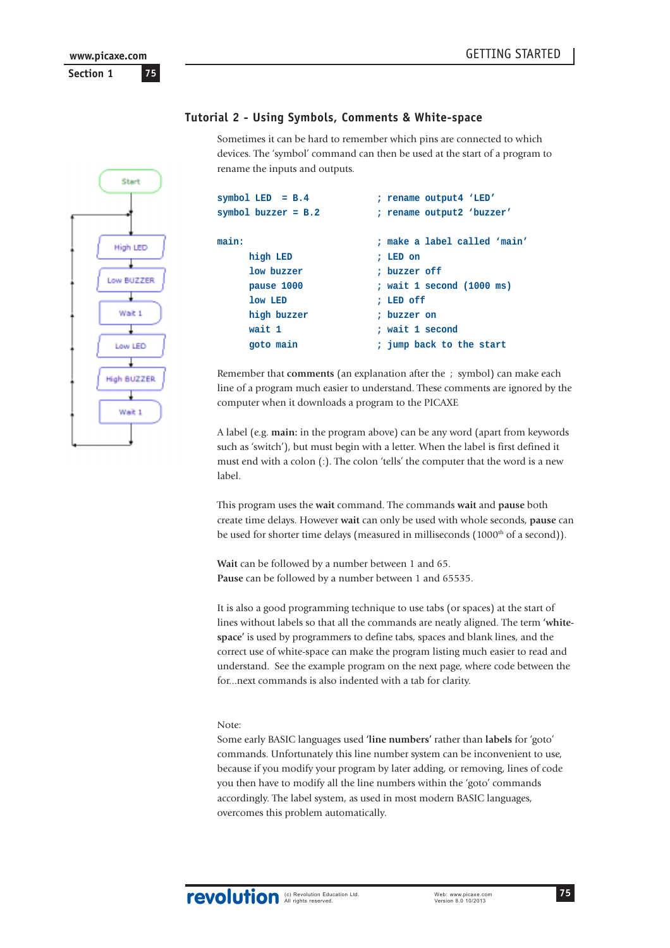# Start **High LED** Low BUZZER Wait 1 Low LED High BUZZER Wait 1

# **Tutorial 2 - Using Symbols, Comments & White-space**

Sometimes it can be hard to remember which pins are connected to which devices. The 'symbol' command can then be used at the start of a program to rename the inputs and outputs.

| symbol LED $= B.4$    | ; rename output4 'LED'       |
|-----------------------|------------------------------|
| symbol buzzer = $B.2$ | ; rename output2 'buzzer'    |
| main:                 | : make a label called 'main' |
| high LED              | : LED on                     |
| low buzzer            | : buzzer off                 |
| pause 1000            | ; wait 1 second (1000 ms)    |
| low LED               | : LED off                    |
| high buzzer           | : buzzer on                  |
| wait 1                | : wait 1 second              |
| goto main             | ; jump back to the start     |
|                       |                              |

Remember that **comments** (an explanation after the ; symbol) can make each line of a program much easier to understand. These comments are ignored by the computer when it downloads a program to the PICAXE

A label (e.g. **main:** in the program above) can be any word (apart from keywords such as 'switch'), but must begin with a letter. When the label is first defined it must end with a colon (:). The colon 'tells' the computer that the word is a new label.

This program uses the **wait** command. The commands **wait** and **pause** both create time delays. However **wait** can only be used with whole seconds, **pause** can be used for shorter time delays (measured in milliseconds (1000<sup>th</sup> of a second)).

**Wait** can be followed by a number between 1 and 65. **Pause** can be followed by a number between 1 and 65535.

It is also a good programming technique to use tabs (or spaces) at the start of lines without labels so that all the commands are neatly aligned. The term **'whitespace'** is used by programmers to define tabs, spaces and blank lines, and the correct use of white-space can make the program listing much easier to read and understand. See the example program on the next page, where code between the for...next commands is also indented with a tab for clarity.

# Note:

Some early BASIC languages used **'line numbers'** rather than **labels** for 'goto' commands. Unfortunately this line number system can be inconvenient to use, because if you modify your program by later adding, or removing, lines of code you then have to modify all the line numbers within the 'goto' commands accordingly. The label system, as used in most modern BASIC languages, overcomes this problem automatically.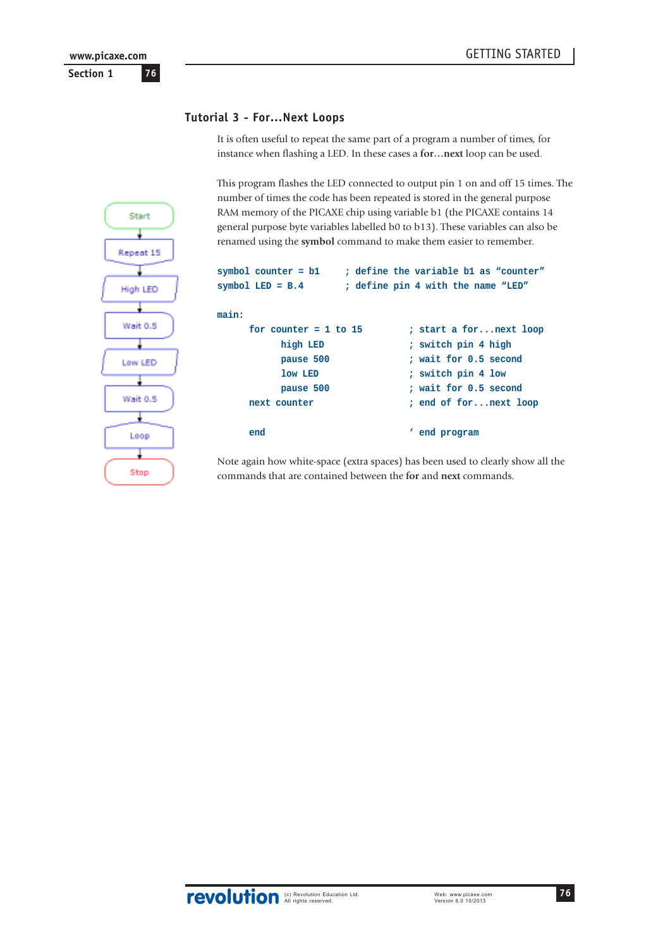# **Tutorial 3 - For…Next Loops**

It is often useful to repeat the same part of a program a number of times, for instance when flashing a LED. In these cases a **for…next** loop can be used.

This program flashes the LED connected to output pin 1 on and off 15 times. The number of times the code has been repeated is stored in the general purpose RAM memory of the PICAXE chip using variable b1 (the PICAXE contains 14 general purpose byte variables labelled b0 to b13). These variables can also be renamed using the **symbol** command to make them easier to remember.

```
symbol counter = b1 ; define the variable b1 as "counter"
symbol LED = B.4 ; define pin 4 with the name "LED"
main:
       for counter = 1 to 15 ; start a for...next loop
              high LED ; switch pin 4 high
              pause 500 ; wait for 0.5 second
              low LED ; switch pin 4 low
              pause 500 ; wait for 0.5 second
       next counter ; end of for...next loop
       end the contract of the contract of the contract of the contract of the contract of the contract of the contract of the contract of the contract of the contract of the contract of the contract of the contract of the contra
```
Note again how white-space (extra spaces) has been used to clearly show all the commands that are contained between the **for** and **next** commands.



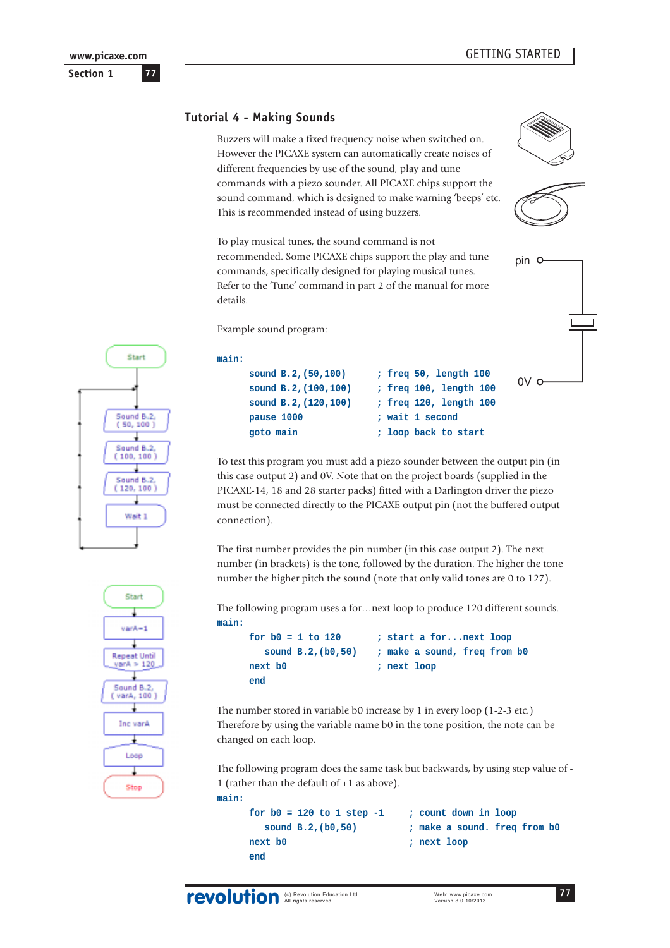pin

 $0\vee$ 

# **Tutorial 4 - Making Sounds**

Buzzers will make a fixed frequency noise when switched on. However the PICAXE system can automatically create noises of different frequencies by use of the sound, play and tune commands with a piezo sounder. All PICAXE chips support the sound command, which is designed to make warning 'beeps' etc. This is recommended instead of using buzzers.

To play musical tunes, the sound command is not recommended. Some PICAXE chips support the play and tune commands, specifically designed for playing musical tunes. Refer to the 'Tune' command in part 2 of the manual for more details.

Example sound program:





To test this program you must add a piezo sounder between the output pin (in this case output 2) and 0V. Note that on the project boards (supplied in the PICAXE-14, 18 and 28 starter packs) fitted with a Darlington driver the piezo must be connected directly to the PICAXE output pin (not the buffered output connection).

The first number provides the pin number (in this case output 2). The next number (in brackets) is the tone, followed by the duration. The higher the tone number the higher pitch the sound (note that only valid tones are 0 to 127).

The following program uses a for…next loop to produce 120 different sounds. **main:**

```
for b0 = 1 to 120 ; start a for...next loop
   sound B.2,(b0,50) ; make a sound, freq from b0
next b0 ; next loop
end
```
The number stored in variable b0 increase by 1 in every loop (1-2-3 etc.) Therefore by using the variable name b0 in the tone position, the note can be changed on each loop.

The following program does the same task but backwards, by using step value of - 1 (rather than the default of +1 as above).

```
main:
```

```
for b0 = 120 to 1 step -1 ; count down in loop
   sound B.2,(b0,50) ; make a sound. freq from b0
next b0 ; next loop
end
```
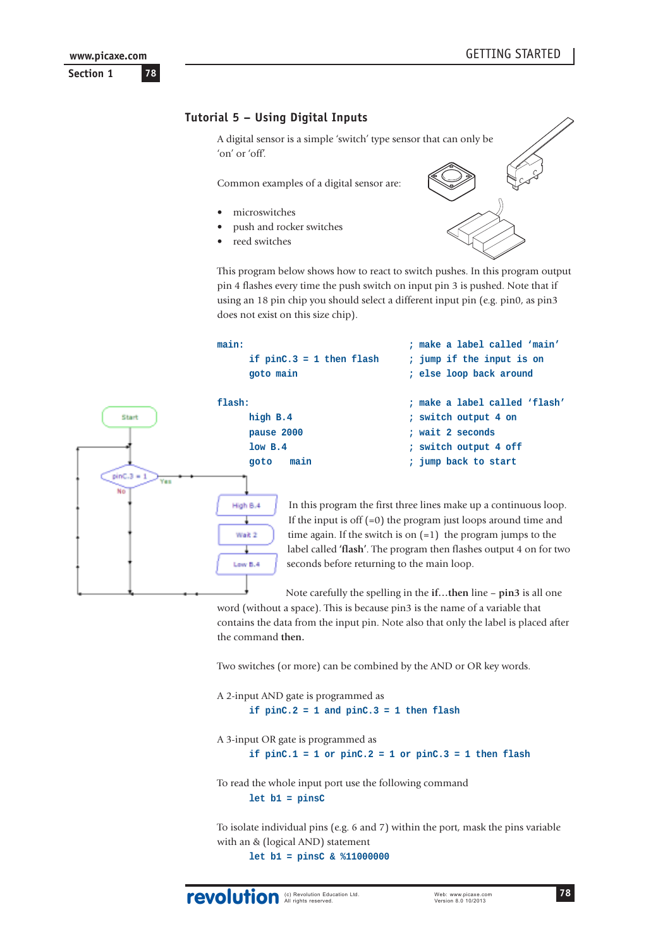

# **Tutorial 5 – Using Digital Inputs**

A digital sensor is a simple 'switch' type sensor that can only be 'on' or 'off'.

Common examples of a digital sensor are:

- microswitches
- push and rocker switches
- reed switches



This program below shows how to react to switch pushes. In this program output pin 4 flashes every time the push switch on input pin 3 is pushed. Note that if using an 18 pin chip you should select a different input pin (e.g. pin0, as pin3 does not exist on this size chip).



In this program the first three lines make up a continuous loop. If the input is off  $(=0)$  the program just loops around time and time again. If the switch is on  $(=1)$  the program jumps to the label called **'flash'**. The program then flashes output 4 on for two seconds before returning to the main loop.

Note carefully the spelling in the **if…then** line – **pin3** is all one

word (without a space). This is because pin3 is the name of a variable that contains the data from the input pin. Note also that only the label is placed after the command **then.**

Two switches (or more) can be combined by the AND or OR key words.

```
A 2-input AND gate is programmed as
      if pinC.2 = 1 and pinC.3 = 1 then flash
```
A 3-input OR gate is programmed as **if pinC.1 = 1 or pinC.2 = 1 or pinC.3 = 1 then flash**

To read the whole input port use the following command **let b1 = pinsC**

To isolate individual pins (e.g. 6 and 7) within the port, mask the pins variable with an & (logical AND) statement

**let b1 = pinsC & %11000000**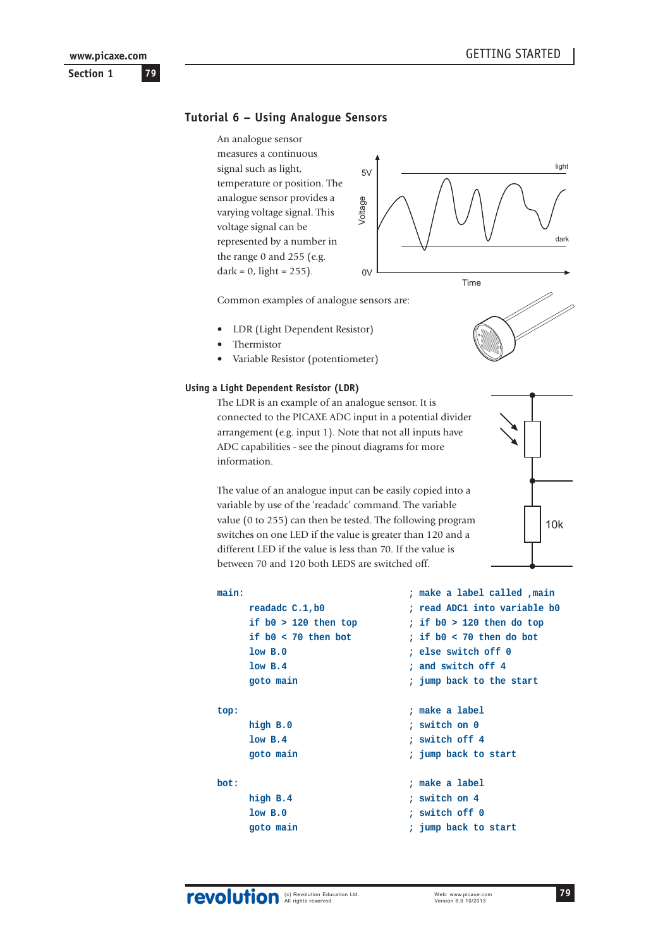# **Tutorial 6 – Using Analogue Sensors**

An analogue sensor measures a continuous signal such as light, temperature or position. The analogue sensor provides a varying voltage signal. This voltage signal can be represented by a number in the range 0 and 255 (e.g.  $dark = 0$ , light = 255).



Common examples of analogue sensors are:

- LDR (Light Dependent Resistor)
- Thermistor
- Variable Resistor (potentiometer)

#### **Using a Light Dependent Resistor (LDR)**

The LDR is an example of an analogue sensor. It is connected to the PICAXE ADC input in a potential divider arrangement (e.g. input 1). Note that not all inputs have ADC capabilities - see the pinout diagrams for more information.

The value of an analogue input can be easily copied into a variable by use of the 'readadc' command. The variable value (0 to 255) can then be tested. The following program switches on one LED if the value is greater than 120 and a different LED if the value is less than 70. If the value is between 70 and 120 both LEDS are switched off.

```
main: p p p p p p p p p p p p p p p p p p p p p p p p p p p p p p p p p p p p
   readadc C.1,b0 ; read ADC1 into variable b0
   if b0 > 120 then top ; if b0 > 120 then do top
   if b0 < 70 then bot ; if b0 < 70 then do bot
   low B.0 ; else switch off 0
   low B.4 ; and switch off 4
   goto main ; jump back to the start
top: ; make a label
   high B.0 ; switch on 0
   low B.4 ; switch off 4
   goto main ; jump back to start
bot: ; make a label
   high B.4 ; switch on 4
   low B.0 ; switch off 0
   goto main ; jump back to start
```
 $10k$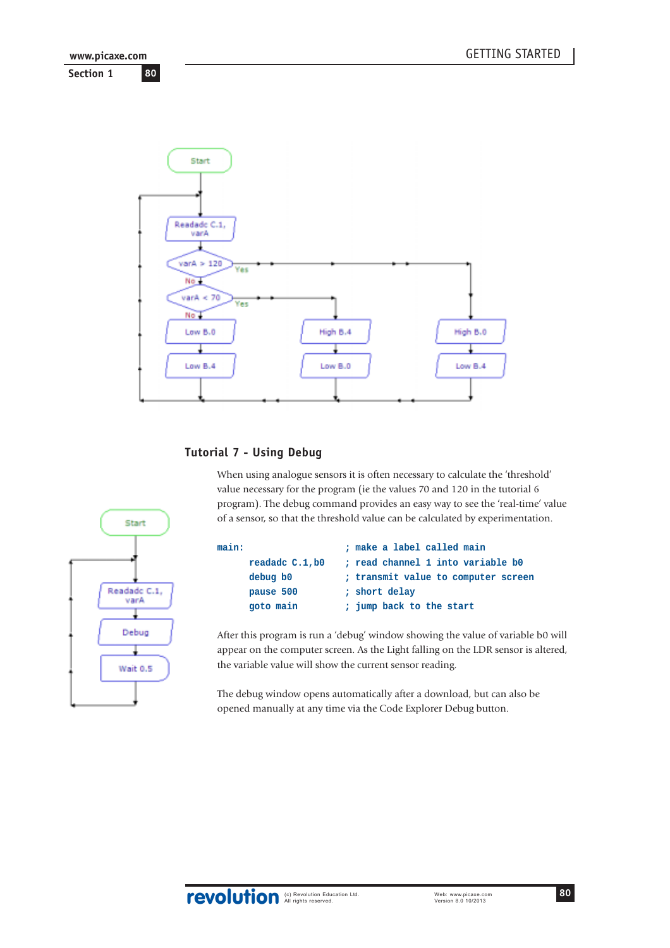

# **Tutorial 7 - Using Debug**

When using analogue sensors it is often necessary to calculate the 'threshold' value necessary for the program (ie the values 70 and 120 in the tutorial 6 program). The debug command provides an easy way to see the 'real-time' value of a sensor, so that the threshold value can be calculated by experimentation.

| main:           | ; make a label called main          |
|-----------------|-------------------------------------|
| readadc C.1, b0 | ; read channel 1 into variable b0   |
| debug b0        | ; transmit value to computer screen |
| pause 500       | ; short delay                       |
| goto main       | ; jump back to the start            |
|                 |                                     |

After this program is run a 'debug' window showing the value of variable b0 will appear on the computer screen. As the Light falling on the LDR sensor is altered, the variable value will show the current sensor reading.

The debug window opens automatically after a download, but can also be opened manually at any time via the Code Explorer Debug button.

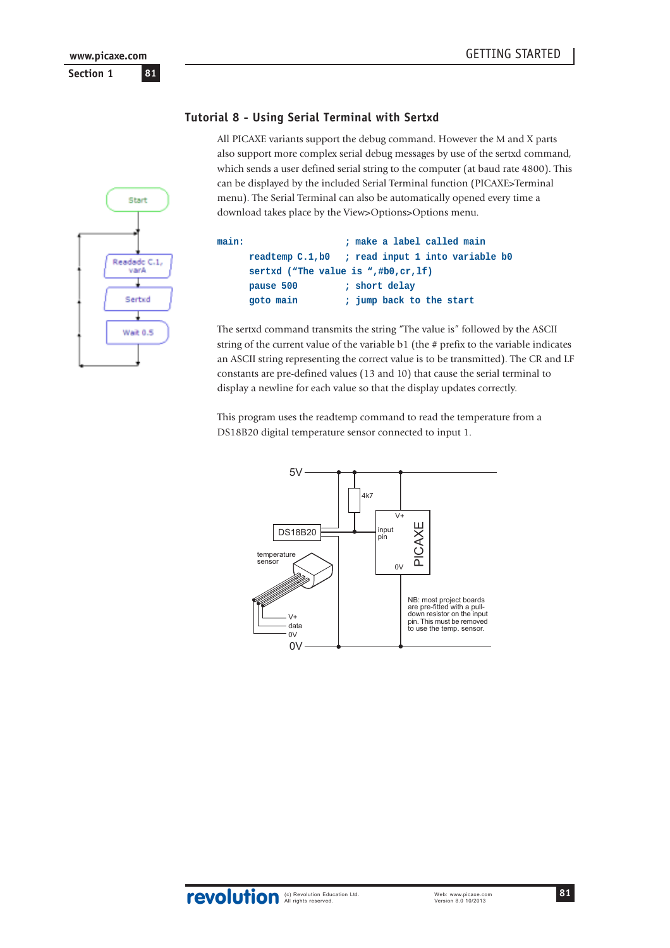# **Tutorial 8 - Using Serial Terminal with Sertxd**

All PICAXE variants support the debug command. However the M and X parts also support more complex serial debug messages by use of the sertxd command, which sends a user defined serial string to the computer (at baud rate 4800). This can be displayed by the included Serial Terminal function (PICAXE>Terminal menu). The Serial Terminal can also be automatically opened every time a download takes place by the View>Options>Options menu.



| main: |                                        | ; make a label called main                       |
|-------|----------------------------------------|--------------------------------------------------|
|       |                                        | readtemp C.1, b0 ; read input 1 into variable b0 |
|       | sertxd ("The value is ",#b0, $cr,If$ ) |                                                  |
|       | pause 500                              | ; short delay                                    |
|       | goto main                              | ; jump back to the start                         |
|       |                                        |                                                  |

The sertxd command transmits the string "The value is" followed by the ASCII string of the current value of the variable b1 (the # prefix to the variable indicates an ASCII string representing the correct value is to be transmitted). The CR and LF constants are pre-defined values (13 and 10) that cause the serial terminal to display a newline for each value so that the display updates correctly.

This program uses the readtemp command to read the temperature from a DS18B20 digital temperature sensor connected to input 1.

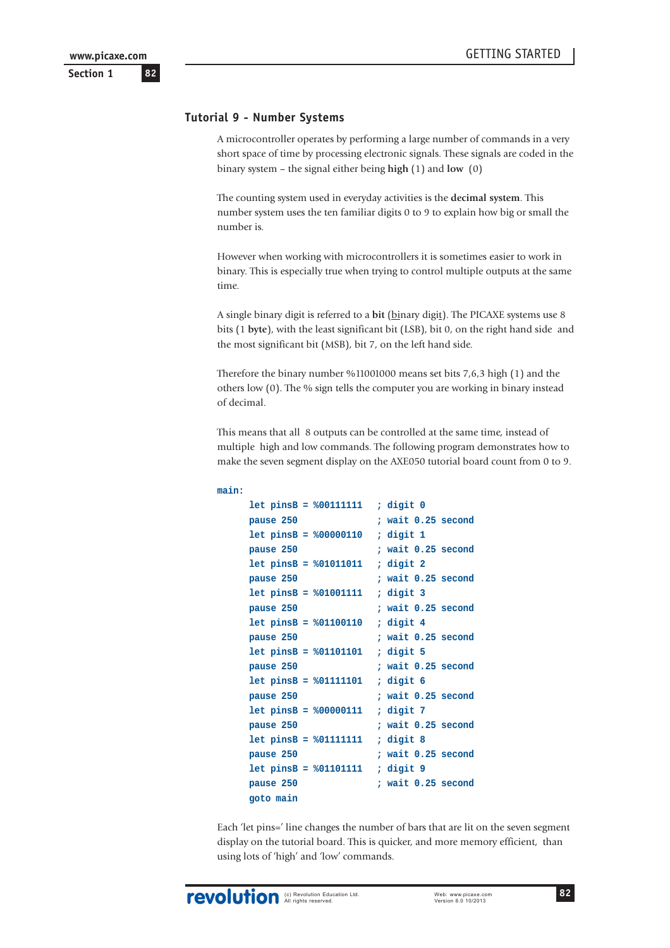### **Tutorial 9 - Number Systems**

A microcontroller operates by performing a large number of commands in a very short space of time by processing electronic signals. These signals are coded in the binary system – the signal either being **high** (1) and **low** (0)

The counting system used in everyday activities is the **decimal system**. This number system uses the ten familiar digits 0 to 9 to explain how big or small the number is.

However when working with microcontrollers it is sometimes easier to work in binary. This is especially true when trying to control multiple outputs at the same time.

A single binary digit is referred to a **bit** (binary digit). The PICAXE systems use 8 bits (1 **byte**), with the least significant bit (LSB), bit 0, on the right hand side and the most significant bit (MSB), bit 7, on the left hand side.

Therefore the binary number %11001000 means set bits 7,6,3 high (1) and the others low (0). The % sign tells the computer you are working in binary instead of decimal.

This means that all 8 outputs can be controlled at the same time, instead of multiple high and low commands. The following program demonstrates how to make the seven segment display on the AXE050 tutorial board count from 0 to 9.

```
main:
    let pinsB = %00111111 ; digit 0
    pause 250 ; wait 0.25 second
    let pinsB = %00000110 ; digit 1
    pause 250 ; wait 0.25 second
    let pinsB = %01011011 ; digit 2
    pause 250 ; wait 0.25 second
    let pinsB = %01001111 ; digit 3
    pause 250 ; wait 0.25 second
    let pinsB = %01100110 ; digit 4
    pause 250 ; wait 0.25 second
    let pinsB = %01101101 ; digit 5
    pause 250 ; wait 0.25 second
    let pinsB = %01111101 ; digit 6
    pause 250 ; wait 0.25 second
    let pinsB = %00000111 ; digit 7
    pause 250 ; wait 0.25 second
    let pinsB = %01111111 ; digit 8
    pause 250 ; wait 0.25 second
    let pinsB = %01101111 ; digit 9
    pause 250 ; wait 0.25 second
    goto main
```
Each 'let pins=' line changes the number of bars that are lit on the seven segment display on the tutorial board. This is quicker, and more memory efficient, than using lots of 'high' and 'low' commands.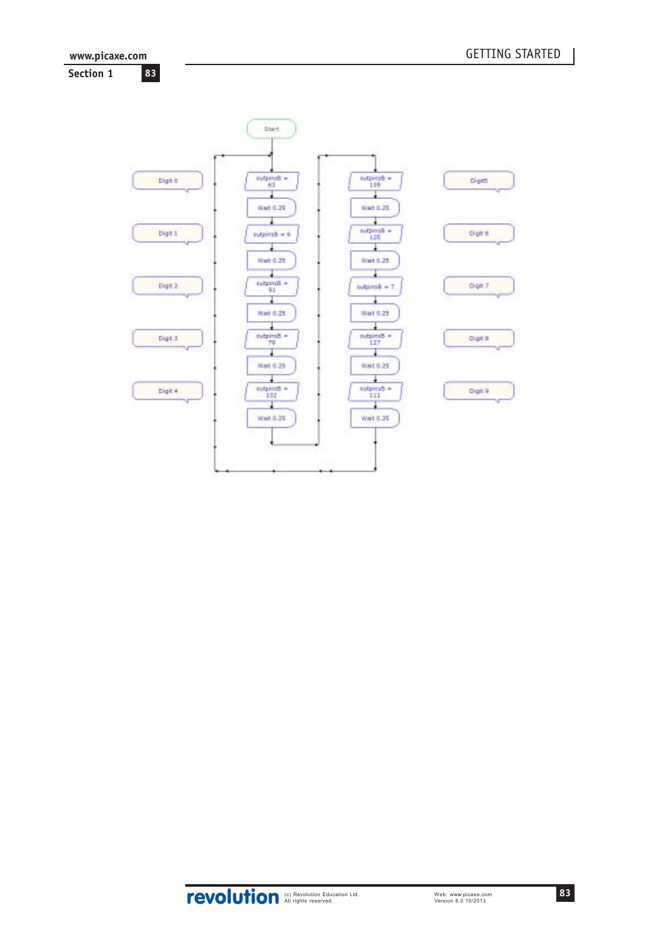

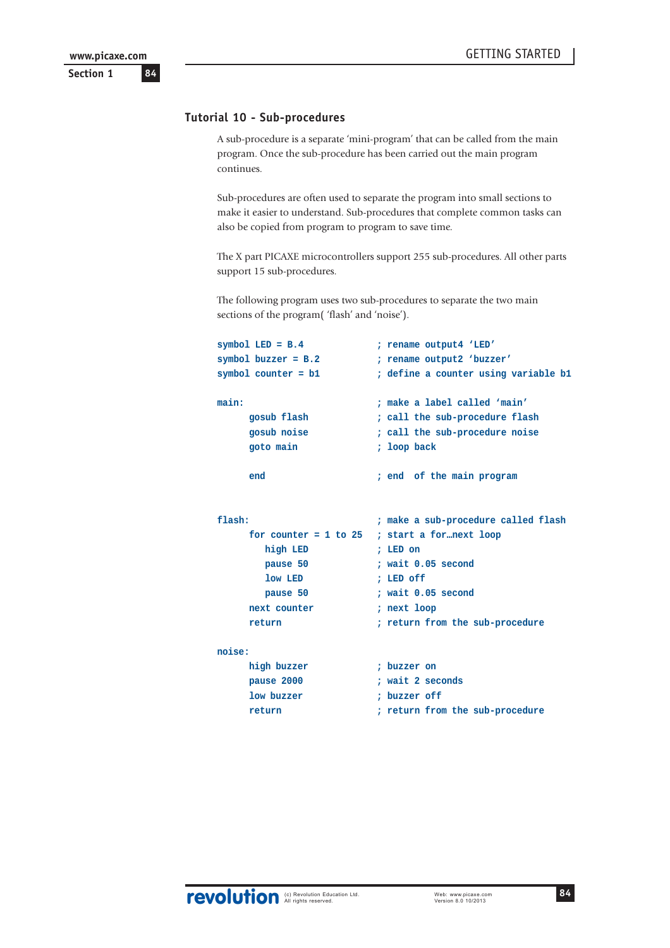# **Tutorial 10 - Sub-procedures**

A sub-procedure is a separate 'mini-program' that can be called from the main program. Once the sub-procedure has been carried out the main program continues.

Sub-procedures are often used to separate the program into small sections to make it easier to understand. Sub-procedures that complete common tasks can also be copied from program to program to save time.

The X part PICAXE microcontrollers support 255 sub-procedures. All other parts support 15 sub-procedures.

The following program uses two sub-procedures to separate the two main sections of the program( 'flash' and 'noise').

```
symbol LED = B.4 ; rename output4 'LED'
symbol buzzer = B.2 ; rename output2 'buzzer'
symbol counter = b1 ; define a counter using variable b1
main: ; make a label called 'main'
    gosub flash ; call the sub-procedure flash
    gosub noise ; call the sub-procedure noise
    goto main ; loop back
    end ; end of the main program
flash: ; make a sub-procedure called flash
    for counter = 1 to 25 ; start a for…next loop
       high LED ; LED on
       pause 50 ; wait 0.05 second
       low LED ; LED off
       pause 50 ; wait 0.05 second
    next counter ; next loop
    return ; return from the sub-procedure
noise:
    high buzzer ; buzzer on
    pause 2000 ; wait 2 seconds
    low buzzer ; buzzer off
    return ; return from the sub-procedure
```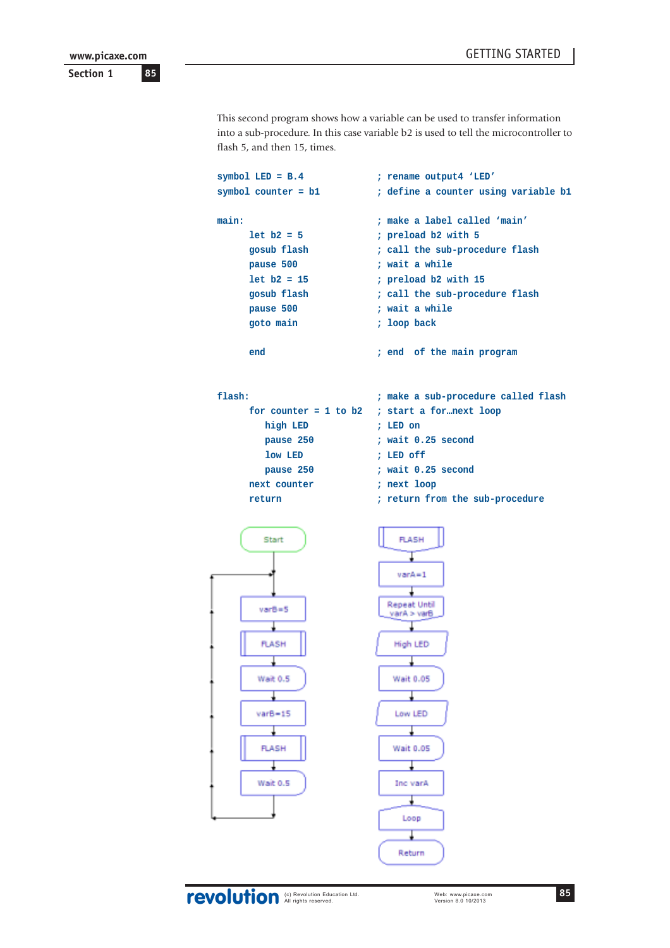**Section 1**

This second program shows how a variable can be used to transfer information into a sub-procedure. In this case variable b2 is used to tell the microcontroller to flash 5, and then 15, times.

```
symbol LED = B.4 ; rename output4 'LED'
symbol counter = b1 ; define a counter using variable b1
main: ; make a label called 'main'
    let b2 = 5 ; preload b2 with 5
    gosub flash ; call the sub-procedure flash
    pause 500 ; wait a while
    let b2 = 15 ; preload b2 with 15
    gosub flash ; call the sub-procedure flash
    pause 500 ; wait a while
    goto main ; loop back
    end ; end of the main program
flash: ; make a sub-procedure called flash
    for counter = 1 to b2 ; start a for…next loop
       high LED ; LED on
       pause 250 ; wait 0.25 second
       low LED ; LED off
       pause 250 ; wait 0.25 second
    next counter ; next loop
    return ; return from the sub-procedureFLASH
      Start
                          varA = 1Repeat Until
      varB = 5varA > varB
      FLASH
                          High LED
      Wait 0.5
                          Wait 0.05
      varB = 15Low LED
      FLASH
                          Wait 0.05
      Wait 0.5
                          Inc varA
                           Loop
                            I
                          Return
```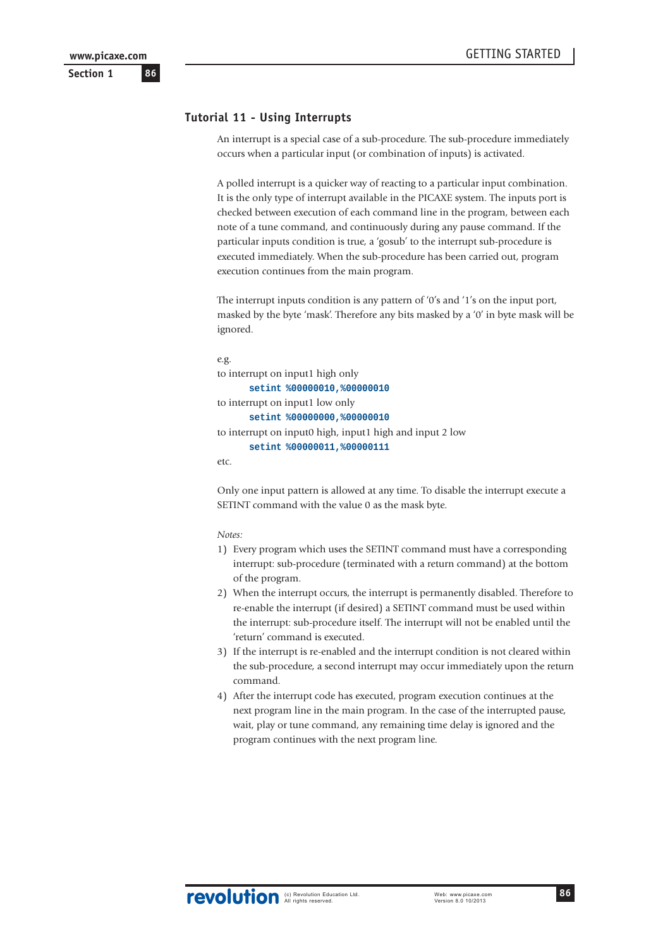# **Tutorial 11 - Using Interrupts**

An interrupt is a special case of a sub-procedure. The sub-procedure immediately occurs when a particular input (or combination of inputs) is activated.

A polled interrupt is a quicker way of reacting to a particular input combination. It is the only type of interrupt available in the PICAXE system. The inputs port is checked between execution of each command line in the program, between each note of a tune command, and continuously during any pause command. If the particular inputs condition is true, a 'gosub' to the interrupt sub-procedure is executed immediately. When the sub-procedure has been carried out, program execution continues from the main program.

The interrupt inputs condition is any pattern of '0's and '1's on the input port, masked by the byte 'mask'. Therefore any bits masked by a '0' in byte mask will be ignored.

```
e.g.
to interrupt on input1 high only
      setint %00000010,%00000010
to interrupt on input1 low only
      setint %00000000,%00000010
to interrupt on input0 high, input1 high and input 2 low
      setint %00000011,%00000111
etc.
```
Only one input pattern is allowed at any time. To disable the interrupt execute a SETINT command with the value 0 as the mask byte.

*Notes:*

- 1) Every program which uses the SETINT command must have a corresponding interrupt: sub-procedure (terminated with a return command) at the bottom of the program.
- 2) When the interrupt occurs, the interrupt is permanently disabled. Therefore to re-enable the interrupt (if desired) a SETINT command must be used within the interrupt: sub-procedure itself. The interrupt will not be enabled until the 'return' command is executed.
- 3) If the interrupt is re-enabled and the interrupt condition is not cleared within the sub-procedure, a second interrupt may occur immediately upon the return command.
- 4) After the interrupt code has executed, program execution continues at the next program line in the main program. In the case of the interrupted pause, wait, play or tune command, any remaining time delay is ignored and the program continues with the next program line.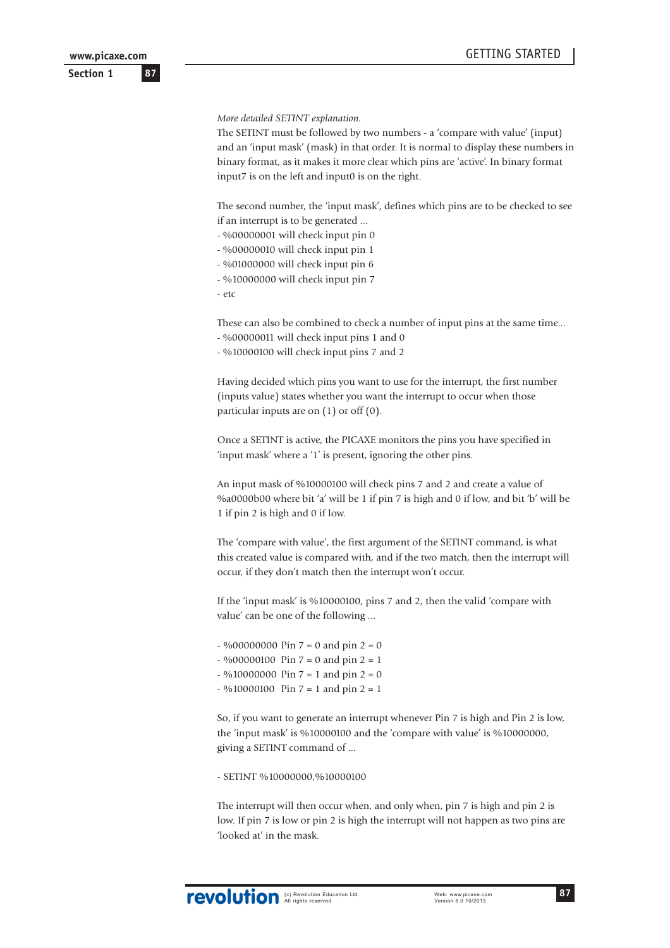**Section 1**

*More detailed SETINT explanation.*

The SETINT must be followed by two numbers - a 'compare with value' (input) and an 'input mask' (mask) in that order. It is normal to display these numbers in binary format, as it makes it more clear which pins are 'active'. In binary format input7 is on the left and input0 is on the right.

The second number, the 'input mask', defines which pins are to be checked to see if an interrupt is to be generated ...

- %00000001 will check input pin 0

- %00000010 will check input pin 1

- %01000000 will check input pin 6

- %10000000 will check input pin 7

 $-$  etc

These can also be combined to check a number of input pins at the same time...

- %00000011 will check input pins 1 and 0

- %10000100 will check input pins 7 and 2

Having decided which pins you want to use for the interrupt, the first number (inputs value) states whether you want the interrupt to occur when those particular inputs are on (1) or off (0).

Once a SETINT is active, the PICAXE monitors the pins you have specified in 'input mask' where a '1' is present, ignoring the other pins.

An input mask of %10000100 will check pins 7 and 2 and create a value of %a0000b00 where bit 'a' will be 1 if pin 7 is high and 0 if low, and bit 'b' will be 1 if pin 2 is high and 0 if low.

The 'compare with value', the first argument of the SETINT command, is what this created value is compared with, and if the two match, then the interrupt will occur, if they don't match then the interrupt won't occur.

If the 'input mask' is %10000100, pins 7 and 2, then the valid 'compare with value' can be one of the following ...

 $-$  %00000000 Pin  $7 = 0$  and pin  $2 = 0$  $-$  %00000100 Pin 7 = 0 and pin 2 = 1  $-$  %10000000 Pin  $7 = 1$  and pin  $2 = 0$  $-$  %10000100 Pin  $7 = 1$  and pin  $2 = 1$ 

So, if you want to generate an interrupt whenever Pin 7 is high and Pin 2 is low, the 'input mask' is %10000100 and the 'compare with value' is %10000000, giving a SETINT command of ...

- SETINT %10000000,%10000100

The interrupt will then occur when, and only when, pin 7 is high and pin 2 is low. If pin 7 is low or pin 2 is high the interrupt will not happen as two pins are 'looked at' in the mask.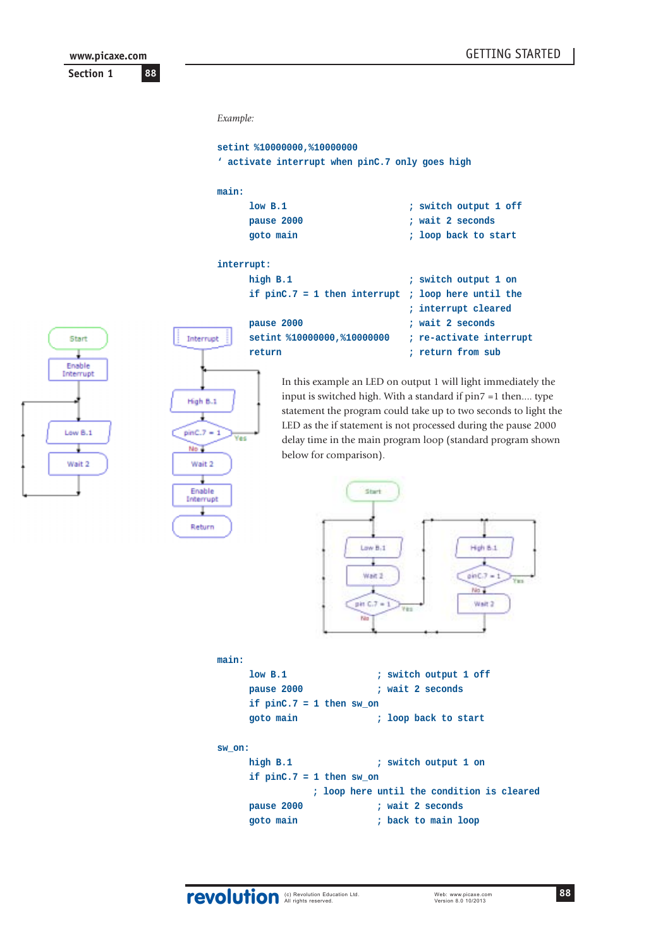**Section 1 88 www.picaxe.com**

Start

Enable Interrupt

Low B.1

Wait 2

```
Example:
    setint %10000000,%10000000
    ' activate interrupt when pinC.7 only goes high
    main:
         low B.1 ; switch output 1 off
         pause 2000 ; wait 2 seconds
         goto main ; loop back to start
    interrupt:
         high B.1 ; switch output 1 on
         if pinC.7 = 1 then interrupt ; loop here until the
                                  ; interrupt cleared
         pause 2000 ; wait 2 seconds
Interrupt
         setint %10000000,%10000000 ; re-activate interrupt
         return  return return return return return return
```
In this example an LED on output 1 will light immediately the input is switched high. With a standard if pin7 =1 then.... type statement the program could take up to two seconds to light the LED as the if statement is not processed during the pause 2000 delay time in the main program loop (standard program shown below for comparison).



| low B.1                    | ; switch output 1 off |
|----------------------------|-----------------------|
| pause 2000                 | ; wait 2 seconds      |
| if $pinC.7 = 1$ then sw on |                       |
| goto main                  | ; loop back to start  |
|                            |                       |
| sw on:                     |                       |

**high B.1 ; switch output 1 on if pinC.7 = 1 then sw\_on ; loop here until the condition is cleared pause 2000 ; wait 2 seconds goto main ; back to main loop**

**main:**

High B.1 ł

 $pinC.7 - 1$ 

Wait 2

Frahle

Interrupt ÷ Return

No.

Yes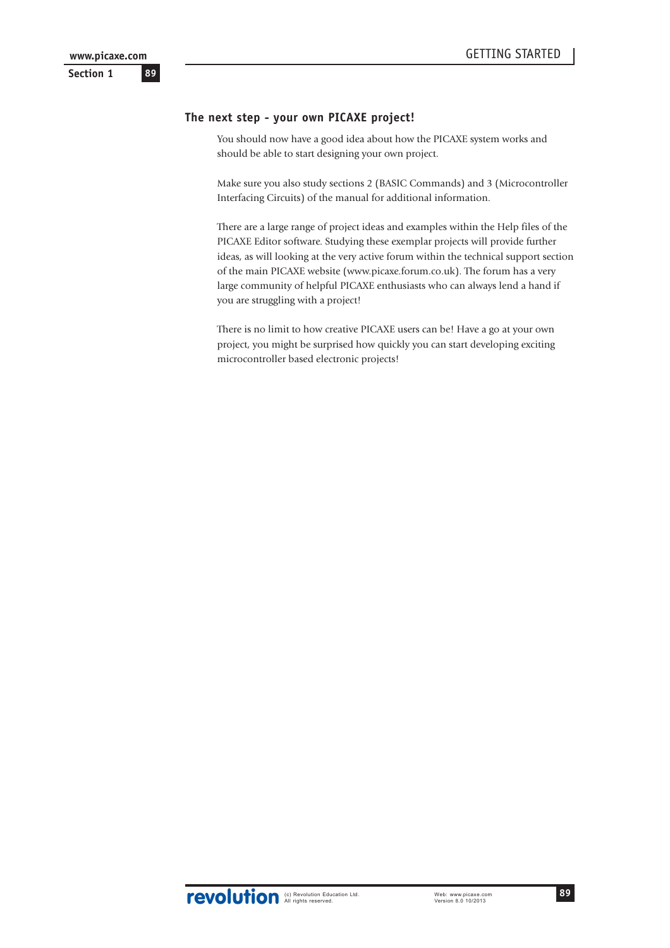# **The next step - your own PICAXE project!**

You should now have a good idea about how the PICAXE system works and should be able to start designing your own project.

Make sure you also study sections 2 (BASIC Commands) and 3 (Microcontroller Interfacing Circuits) of the manual for additional information.

There are a large range of project ideas and examples within the Help files of the PICAXE Editor software. Studying these exemplar projects will provide further ideas, as will looking at the very active forum within the technical support section of the main PICAXE website (www.picaxe.forum.co.uk). The forum has a very large community of helpful PICAXE enthusiasts who can always lend a hand if you are struggling with a project!

There is no limit to how creative PICAXE users can be! Have a go at your own project, you might be surprised how quickly you can start developing exciting microcontroller based electronic projects!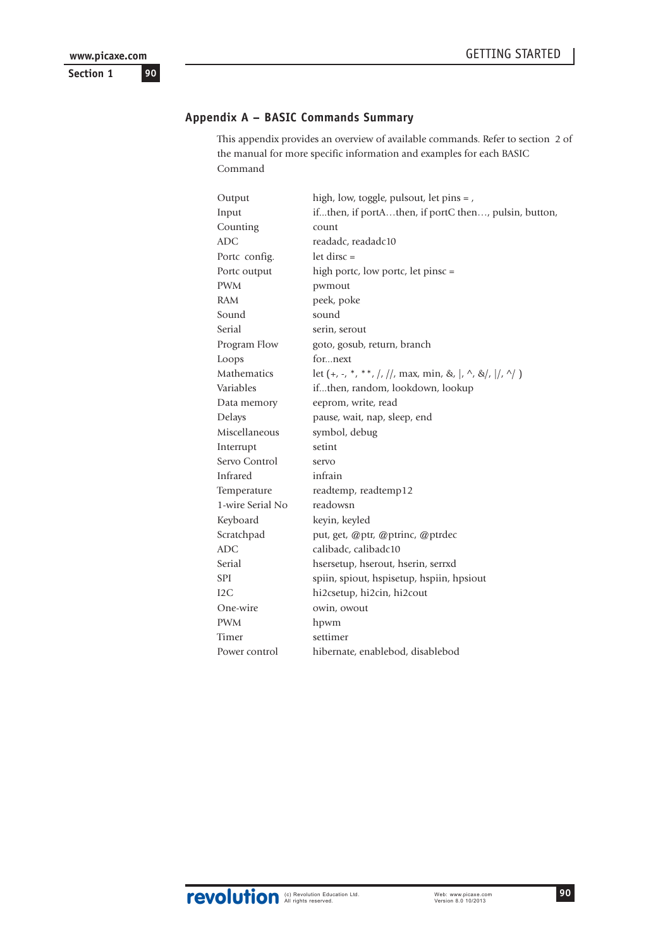# **Appendix A – BASIC Commands Summary**

This appendix provides an overview of available commands. Refer to section 2 of the manual for more specific information and examples for each BASIC Command

| Output           | high, low, toggle, pulsout, let pins = ,                                |
|------------------|-------------------------------------------------------------------------|
| Input            | ifthen, if portAthen, if portC then, pulsin, button,                    |
| Counting         | count                                                                   |
| <b>ADC</b>       | readadc, readadc10                                                      |
| Portc config.    | $let$ dirsc =                                                           |
| Portc output     | high portc, low portc, let pinsc =                                      |
| <b>PWM</b>       | pwmout                                                                  |
| RAM              | peek, poke                                                              |
| Sound            | sound                                                                   |
| Serial           | serin, serout                                                           |
| Program Flow     | goto, gosub, return, branch                                             |
| Loops            | fornext                                                                 |
| Mathematics      | let $(+, -, *, **, /, //, max, min, &,  , \land, & \rangle,  /, \land)$ |
| Variables        | ifthen, random, lookdown, lookup                                        |
| Data memory      | eeprom, write, read                                                     |
| Delays           | pause, wait, nap, sleep, end                                            |
| Miscellaneous    | symbol, debug                                                           |
| Interrupt        | setint                                                                  |
| Servo Control    | servo                                                                   |
| Infrared         | infrain                                                                 |
| Temperature      | readtemp, readtemp12                                                    |
| 1-wire Serial No | readowsn                                                                |
| Keyboard         | keyin, keyled                                                           |
| Scratchpad       | put, get, @ptr, @ptrinc, @ptrdec                                        |
| <b>ADC</b>       | calibadc, calibadc10                                                    |
| Serial           | hsersetup, hserout, hserin, serrxd                                      |
| SPI              | spiin, spiout, hspisetup, hspiin, hpsiout                               |
| 12C              | hi2csetup, hi2cin, hi2cout                                              |
| One-wire         | owin, owout                                                             |
| <b>PWM</b>       | hpwm                                                                    |
| Timer            | settimer                                                                |
| Power control    | hibernate, enablebod, disablebod                                        |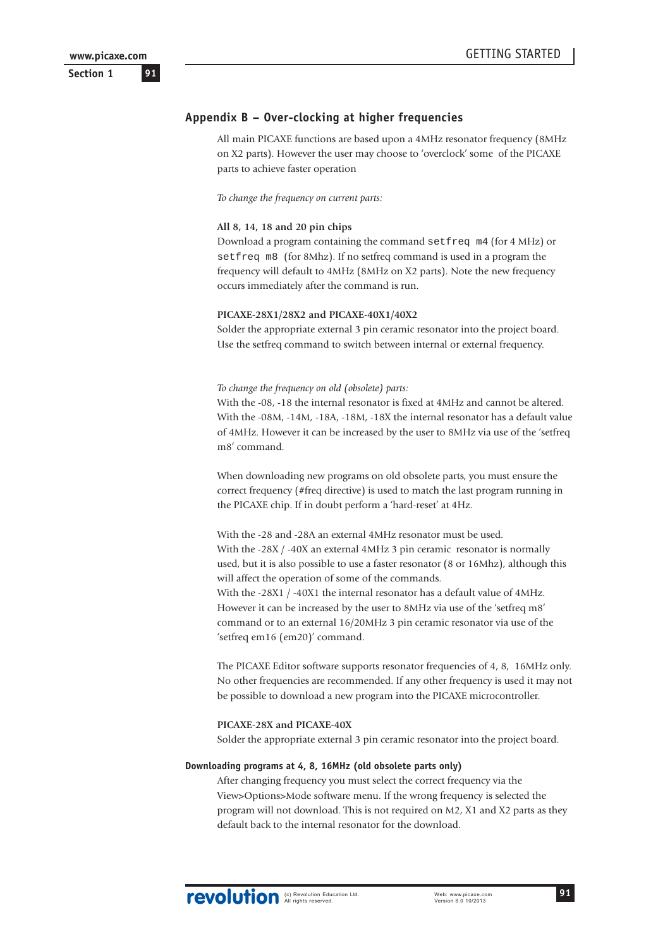# **Appendix B – Over-clocking at higher frequencies**

All main PICAXE functions are based upon a 4MHz resonator frequency (8MHz on X2 parts). However the user may choose to 'overclock' some of the PICAXE parts to achieve faster operation

*To change the frequency on current parts:*

#### **All 8, 14, 18 and 20 pin chips**

Download a program containing the command setfreq m4 (for 4 MHz) or setfreq m8 (for 8Mhz). If no setfreq command is used in a program the frequency will default to 4MHz (8MHz on X2 parts). Note the new frequency occurs immediately after the command is run.

#### **PICAXE-28X1/28X2 and PICAXE-40X1/40X2**

Solder the appropriate external 3 pin ceramic resonator into the project board. Use the setfreq command to switch between internal or external frequency.

#### *To change the frequency on old (obsolete) parts:*

With the -08, -18 the internal resonator is fixed at 4MHz and cannot be altered. With the -08M, -14M, -18A, -18M, -18X the internal resonator has a default value of 4MHz. However it can be increased by the user to 8MHz via use of the 'setfreq m8' command.

When downloading new programs on old obsolete parts, you must ensure the correct frequency (#freq directive) is used to match the last program running in the PICAXE chip. If in doubt perform a 'hard-reset' at 4Hz.

With the -28 and -28A an external 4MHz resonator must be used. With the -28X / -40X an external 4MHz 3 pin ceramic resonator is normally used, but it is also possible to use a faster resonator (8 or 16Mhz), although this will affect the operation of some of the commands. With the -28X1 / -40X1 the internal resonator has a default value of 4MHz. However it can be increased by the user to 8MHz via use of the 'setfreq m8' command or to an external 16/20MHz 3 pin ceramic resonator via use of the 'setfreq em16 (em20)' command.

The PICAXE Editor software supports resonator frequencies of 4, 8, 16MHz only. No other frequencies are recommended. If any other frequency is used it may not be possible to download a new program into the PICAXE microcontroller.

#### **PICAXE-28X and PICAXE-40X**

Solder the appropriate external 3 pin ceramic resonator into the project board.

#### **Downloading programs at 4, 8, 16MHz (old obsolete parts only)**

After changing frequency you must select the correct frequency via the View>Options>Mode software menu. If the wrong frequency is selected the program will not download. This is not required on M2, X1 and X2 parts as they default back to the internal resonator for the download.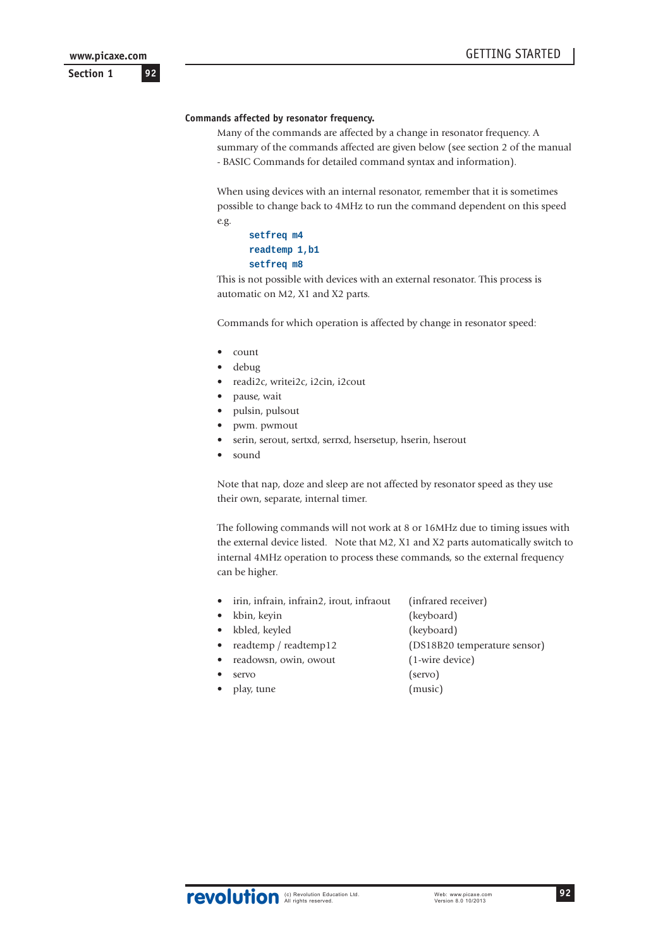**Section 1**

# **Commands affected by resonator frequency.**

Many of the commands are affected by a change in resonator frequency. A summary of the commands affected are given below (see section 2 of the manual - BASIC Commands for detailed command syntax and information).

When using devices with an internal resonator, remember that it is sometimes possible to change back to 4MHz to run the command dependent on this speed e.g.

```
setfreq m4
readtemp 1,b1
setfreq m8
```
This is not possible with devices with an external resonator. This process is automatic on M2, X1 and X2 parts.

Commands for which operation is affected by change in resonator speed:

- count
- debug
- readi2c, writei2c, i2cin, i2cout
- pause, wait
- pulsin, pulsout
- pwm. pwmout
- serin, serout, sertxd, serrxd, hsersetup, hserin, hserout
- sound

Note that nap, doze and sleep are not affected by resonator speed as they use their own, separate, internal timer.

The following commands will not work at 8 or 16MHz due to timing issues with the external device listed. Note that M2, X1 and X2 parts automatically switch to internal 4MHz operation to process these commands, so the external frequency can be higher.

- irin, infrain, infrain2, irout, infraout (infrared receiver)
- kbin, keyin (keyboard)
- kbled, keyled (keyboard)
	- readtemp / readtemp12 (DS18B20 temperature sensor)
- readowsn, owin, owout (1-wire device)
- servo (servo)
- play, tune (music)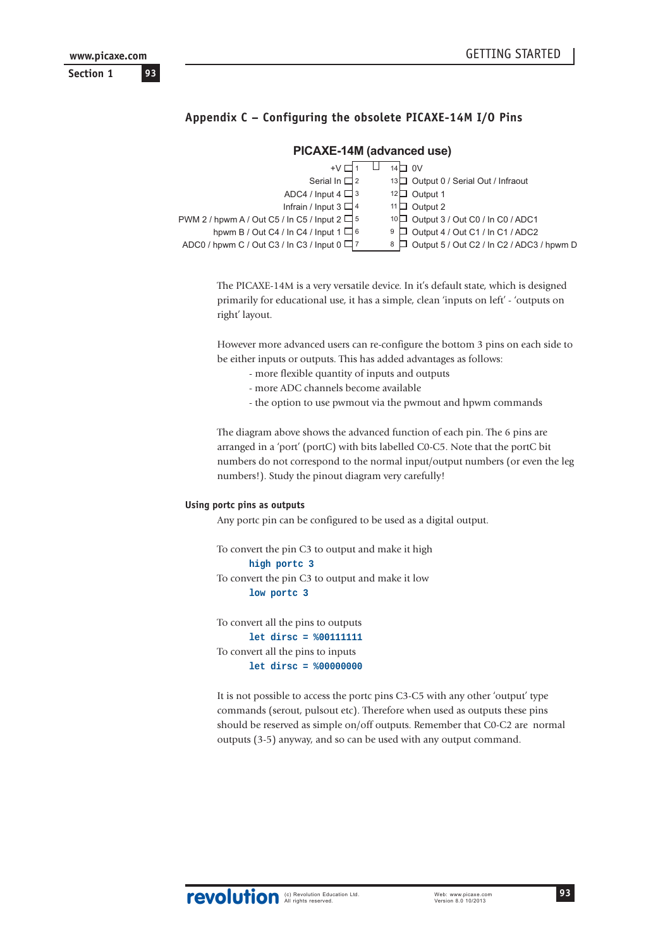# **Appendix C – Configuring the obsolete PICAXE-14M I/O Pins**

#### $\mathbb T$ +∨ ロ1 14□ 0V Serial In  $\Box$  2 13 $\Box$  Output 0 / Serial Out / Infraout ADC4 / Input 4  $\Box$  3 12 $\Box$  Output 1 Infrain / Input 3  $\Box$  4 11 $\Box$  Output 2 PWM 2 / hpwm A / Out C5 / In C5 / Input 2  $\Box$  5  $10\Box$  Output 3 / Out C0 / In C0 / ADC1 hpwm B / Out C4 / In C4 / Input 1  $\Box$  6  $9 \Box$  Output 4 / Out C1 / In C1 / ADC2 ADC0 / hpwm C / Out C3 / In C3 / Input 0  $\Box$  7  $8 \Box$  Output 5 / Out C2 / In C2 / ADC3 / hpwm D

# **PICAXE-14M (advanced use)**

The PICAXE-14M is a very versatile device. In it's default state, which is designed primarily for educational use, it has a simple, clean 'inputs on left' - 'outputs on right' layout.

However more advanced users can re-configure the bottom 3 pins on each side to be either inputs or outputs. This has added advantages as follows:

- more flexible quantity of inputs and outputs
- more ADC channels become available
- the option to use pwmout via the pwmout and hpwm commands

The diagram above shows the advanced function of each pin. The 6 pins are arranged in a 'port' (portC) with bits labelled C0-C5. Note that the portC bit numbers do not correspond to the normal input/output numbers (or even the leg numbers!). Study the pinout diagram very carefully!

#### **Using portc pins as outputs**

Any portc pin can be configured to be used as a digital output.

```
To convert the pin C3 to output and make it high
      high portc 3
To convert the pin C3 to output and make it low
      low portc 3
```
To convert all the pins to outputs **let dirsc = %00111111** To convert all the pins to inputs **let dirsc = %00000000**

It is not possible to access the portc pins C3-C5 with any other 'output' type commands (serout, pulsout etc). Therefore when used as outputs these pins should be reserved as simple on/off outputs. Remember that C0-C2 are normal outputs (3-5) anyway, and so can be used with any output command.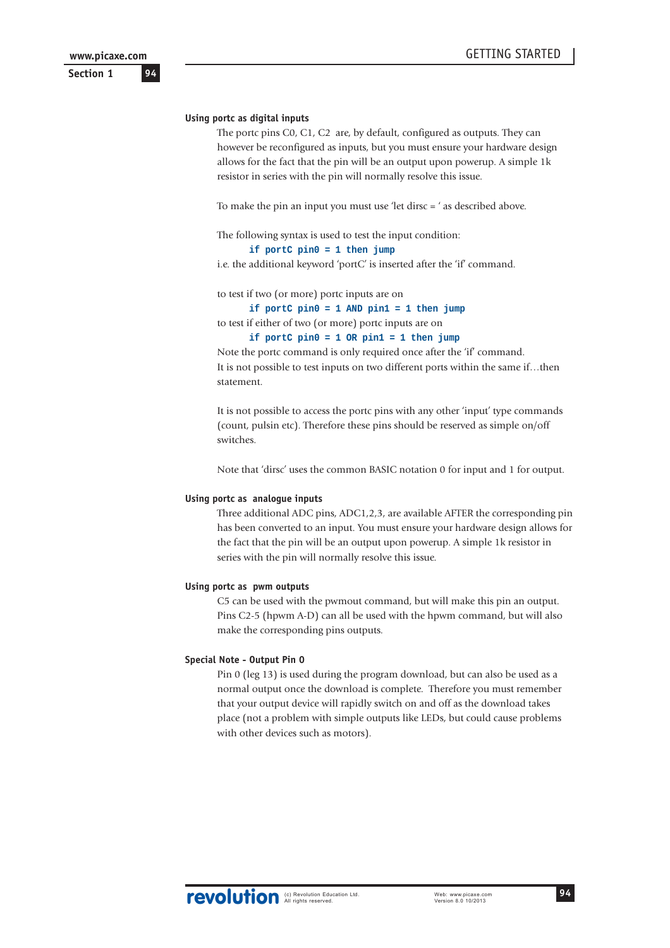**Section 1**

#### **Using portc as digital inputs**

The portc pins C0, C1, C2 are, by default, configured as outputs. They can however be reconfigured as inputs, but you must ensure your hardware design allows for the fact that the pin will be an output upon powerup. A simple 1k resistor in series with the pin will normally resolve this issue.

To make the pin an input you must use 'let dirsc = ' as described above.

The following syntax is used to test the input condition:

**if portC pin0 = 1 then jump**

i.e. the additional keyword 'portC' is inserted after the 'if' command.

to test if two (or more) portc inputs are on

**if portC pin0 = 1 AND pin1 = 1 then jump**

to test if either of two (or more) portc inputs are on

**if portC pin0 = 1 OR pin1 = 1 then jump**

Note the portc command is only required once after the 'if' command. It is not possible to test inputs on two different ports within the same if...then statement.

It is not possible to access the portc pins with any other 'input' type commands (count, pulsin etc). Therefore these pins should be reserved as simple on/off switches.

Note that 'dirsc' uses the common BASIC notation 0 for input and 1 for output.

#### **Using portc as analogue inputs**

Three additional ADC pins, ADC1,2,3, are available AFTER the corresponding pin has been converted to an input. You must ensure your hardware design allows for the fact that the pin will be an output upon powerup. A simple 1k resistor in series with the pin will normally resolve this issue.

#### **Using portc as pwm outputs**

C5 can be used with the pwmout command, but will make this pin an output. Pins C2-5 (hpwm A-D) can all be used with the hpwm command, but will also make the corresponding pins outputs.

#### **Special Note - Output Pin 0**

Pin 0 (leg 13) is used during the program download, but can also be used as a normal output once the download is complete. Therefore you must remember that your output device will rapidly switch on and off as the download takes place (not a problem with simple outputs like LEDs, but could cause problems with other devices such as motors).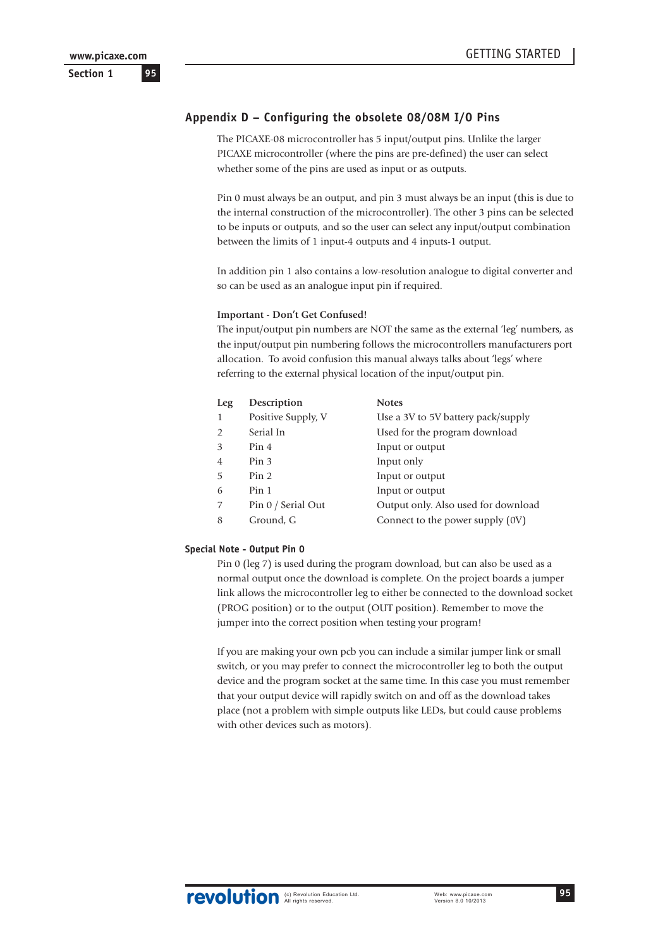# **Appendix D – Configuring the obsolete 08/08M I/O Pins**

The PICAXE-08 microcontroller has 5 input/output pins. Unlike the larger PICAXE microcontroller (where the pins are pre-defined) the user can select whether some of the pins are used as input or as outputs.

Pin 0 must always be an output, and pin 3 must always be an input (this is due to the internal construction of the microcontroller). The other 3 pins can be selected to be inputs or outputs, and so the user can select any input/output combination between the limits of 1 input-4 outputs and 4 inputs-1 output.

In addition pin 1 also contains a low-resolution analogue to digital converter and so can be used as an analogue input pin if required.

#### **Important - Don't Get Confused!**

The input/output pin numbers are NOT the same as the external 'leg' numbers, as the input/output pin numbering follows the microcontrollers manufacturers port allocation. To avoid confusion this manual always talks about 'legs' where referring to the external physical location of the input/output pin.

| Leg            | Description        | <b>Notes</b>                        |
|----------------|--------------------|-------------------------------------|
| 1              | Positive Supply, V | Use a 3V to 5V battery pack/supply  |
| $\mathfrak{D}$ | Serial In          | Used for the program download       |
| 3              | Pin 4              | Input or output                     |
| $\overline{4}$ | Pin <sub>3</sub>   | Input only                          |
| 5              | Pin <sub>2</sub>   | Input or output                     |
| 6              | Pin 1              | Input or output                     |
| 7              | Pin 0 / Serial Out | Output only. Also used for download |
| 8              | Ground, G          | Connect to the power supply (0V)    |

#### **Special Note - Output Pin 0**

Pin 0 (leg 7) is used during the program download, but can also be used as a normal output once the download is complete. On the project boards a jumper link allows the microcontroller leg to either be connected to the download socket (PROG position) or to the output (OUT position). Remember to move the jumper into the correct position when testing your program!

If you are making your own pcb you can include a similar jumper link or small switch, or you may prefer to connect the microcontroller leg to both the output device and the program socket at the same time. In this case you must remember that your output device will rapidly switch on and off as the download takes place (not a problem with simple outputs like LEDs, but could cause problems with other devices such as motors).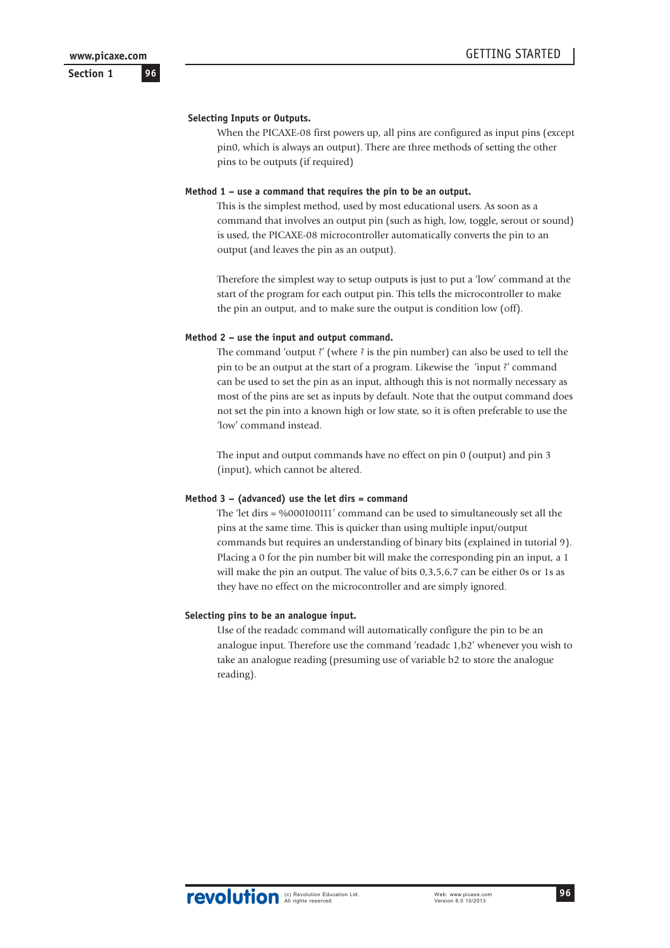**Section 1**

#### **Selecting Inputs or Outputs.**

When the PICAXE-08 first powers up, all pins are configured as input pins (except pin0, which is always an output). There are three methods of setting the other pins to be outputs (if required)

#### **Method 1 – use a command that requires the pin to be an output.**

This is the simplest method, used by most educational users. As soon as a command that involves an output pin (such as high, low, toggle, serout or sound) is used, the PICAXE-08 microcontroller automatically converts the pin to an output (and leaves the pin as an output).

Therefore the simplest way to setup outputs is just to put a 'low' command at the start of the program for each output pin. This tells the microcontroller to make the pin an output, and to make sure the output is condition low (off).

#### **Method 2 – use the input and output command.**

The command 'output ?' (where ? is the pin number) can also be used to tell the pin to be an output at the start of a program. Likewise the 'input ?' command can be used to set the pin as an input, although this is not normally necessary as most of the pins are set as inputs by default. Note that the output command does not set the pin into a known high or low state, so it is often preferable to use the 'low' command instead.

The input and output commands have no effect on pin 0 (output) and pin 3 (input), which cannot be altered.

#### **Method 3 – (advanced) use the let dirs = command**

The 'let dirs = %000100111' command can be used to simultaneously set all the pins at the same time. This is quicker than using multiple input/output commands but requires an understanding of binary bits (explained in tutorial 9). Placing a 0 for the pin number bit will make the corresponding pin an input, a 1 will make the pin an output. The value of bits 0,3,5,6,7 can be either 0s or 1s as they have no effect on the microcontroller and are simply ignored.

#### **Selecting pins to be an analogue input.**

Use of the readadc command will automatically configure the pin to be an analogue input. Therefore use the command 'readadc 1,b2' whenever you wish to take an analogue reading (presuming use of variable b2 to store the analogue reading).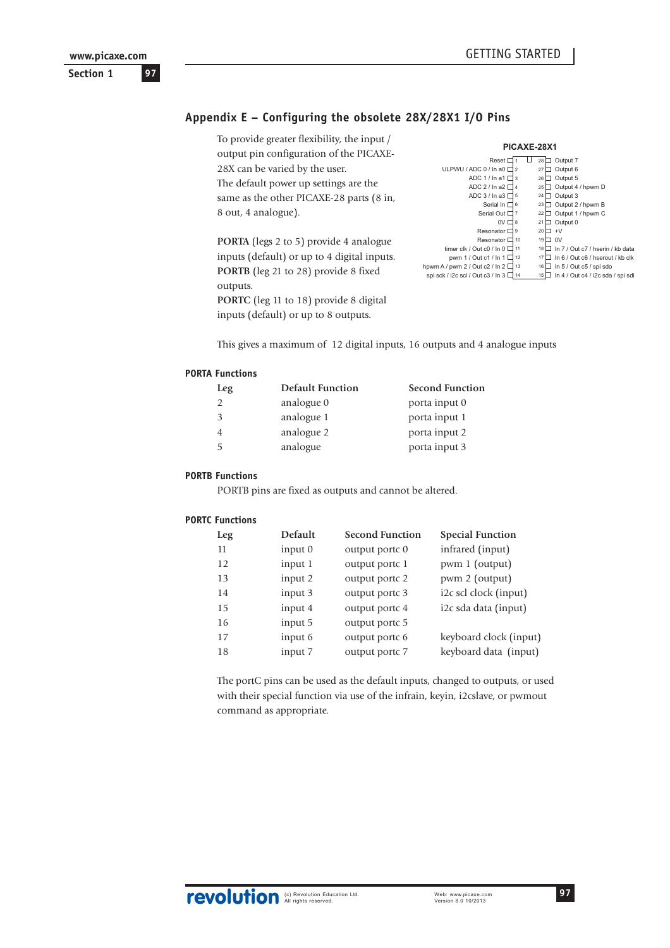**Section 1**

# **Appendix E – Configuring the obsolete 28X/28X1 I/O Pins**

To provide greater flexibility, the input / output pin configuration of the PICAXE-28X can be varied by the user. The default power up settings are the same as the other PICAXE-28 parts (8 in, 8 out, 4 analogue).

**PORTA** (legs 2 to 5) provide 4 analogue inputs (default) or up to 4 digital inputs. **PORTB** (leg 21 to 28) provide 8 fixed outputs.

**PORTC** (leg 11 to 18) provide 8 digital inputs (default) or up to 8 outputs.

| PICAXE-28X1                           |                |  |    |                                   |  |
|---------------------------------------|----------------|--|----|-----------------------------------|--|
| Reset                                 |                |  | 28 | Output 7                          |  |
| ULPWU / ADC 0 / In a0 D               | $\mathfrak{p}$ |  | 27 | Output 6                          |  |
| ADC 1 / In a1 D                       | 3              |  | 26 | Output 5                          |  |
| ADC 2 / In a2 D                       | $\overline{4}$ |  | 25 | Output 4 / hpwm D                 |  |
| ADC 3 / In a 3 $\Box$                 | 5              |  | 24 | Output 3                          |  |
| Serial In I                           | 6              |  | 23 | Output 2 / hpwm B                 |  |
| Serial Out D                          | $\overline{7}$ |  | 22 | Output 1 / hpwm C                 |  |
| $0V \Box$                             | 8              |  | 21 | Output 0                          |  |
| Resonator D                           | 9              |  | 20 | $+V$                              |  |
| Resonator D                           | 10             |  | 19 | 0V                                |  |
| timer clk / Out c0 / In 0 I           | 11             |  | 18 | In 7 / Out c7 / hserin / kb data  |  |
| pwm 1 / Out c1 / In 1 $\Box$          | 12             |  | 17 | In 6 / Out c6 / hserout / kb clk  |  |
| hpwm A / pwm 2 / Out c2 / In 2 $\Box$ | 13             |  | 16 | In 5 / Out c5 / spi sdo           |  |
| spi sck / i2c scl / Out c3 / In 3 I   | 14             |  | 15 | In 4 / Out c4 / i2c sda / spi sdi |  |
|                                       |                |  |    |                                   |  |

This gives a maximum of 12 digital inputs, 16 outputs and 4 analogue inputs

#### **PORTA Functions**

| Leg           | <b>Default Function</b> | <b>Second Function</b> |
|---------------|-------------------------|------------------------|
| $\mathcal{D}$ | analogue 0              | porta input 0          |
| 3             | analogue 1              | porta input 1          |
| 4             | analogue 2              | porta input 2          |
| 5             | analogue                | porta input 3          |
|               |                         |                        |

# **PORTB Functions**

PORTB pins are fixed as outputs and cannot be altered.

#### **PORTC Functions**

| Leg | <b>Default</b> | <b>Second Function</b> | <b>Special Function</b> |
|-----|----------------|------------------------|-------------------------|
| 11  | input 0        | output portc 0         | infrared (input)        |
| 12  | input 1        | output portc 1         | pwm 1 (output)          |
| 13  | input 2        | output portc 2         | pwm 2 (output)          |
| 14  | input 3        | output portc 3         | i2c scl clock (input)   |
| 15  | input 4        | output portc 4         | i2c sda data (input)    |
| 16  | input 5        | output portc 5         |                         |
| 17  | input 6        | output portc 6         | keyboard clock (input)  |
| 18  | input 7        | output portc 7         | keyboard data (input)   |
|     |                |                        |                         |

The portC pins can be used as the default inputs, changed to outputs, or used with their special function via use of the infrain, keyin, i2cslave, or pwmout command as appropriate.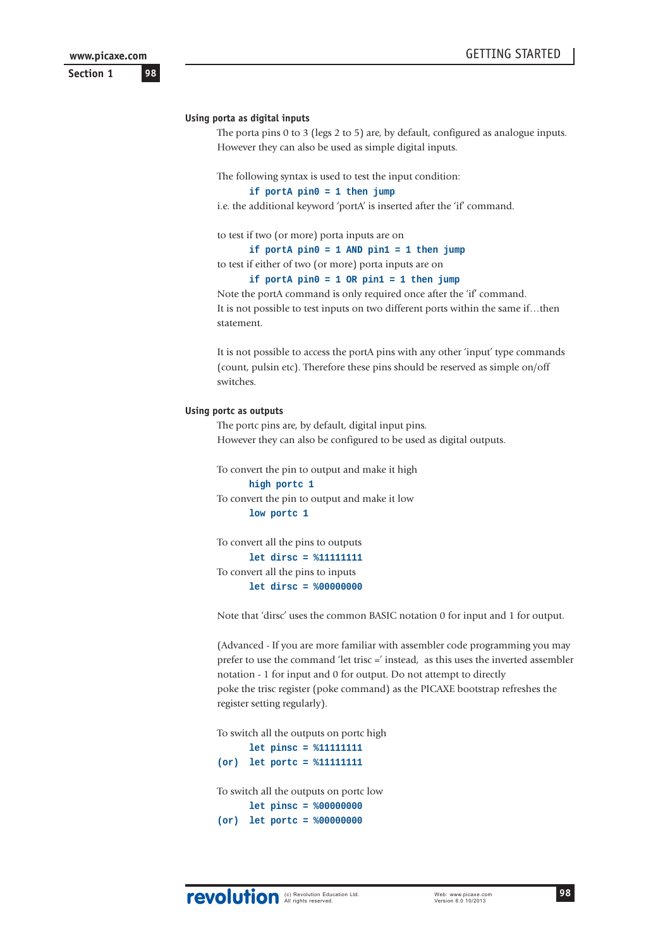**Section 1**

#### **Using porta as digital inputs**

The porta pins 0 to 3 (legs 2 to 5) are, by default, configured as analogue inputs. However they can also be used as simple digital inputs.

The following syntax is used to test the input condition:

#### **if portA pin0 = 1 then jump**

i.e. the additional keyword 'portA' is inserted after the 'if' command.

to test if two (or more) porta inputs are on

**if portA pin0 = 1 AND pin1 = 1 then jump**

to test if either of two (or more) porta inputs are on

**if portA pin0 = 1 OR pin1 = 1 then jump**

Note the portA command is only required once after the 'if' command. It is not possible to test inputs on two different ports within the same if...then statement.

It is not possible to access the portA pins with any other 'input' type commands (count, pulsin etc). Therefore these pins should be reserved as simple on/off switches.

#### **Using portc as outputs**

The portc pins are, by default, digital input pins. However they can also be configured to be used as digital outputs.

To convert the pin to output and make it high **high portc 1** To convert the pin to output and make it low

**low portc 1**

To convert all the pins to outputs **let dirsc = %11111111** To convert all the pins to inputs **let dirsc = %00000000**

Note that 'dirsc' uses the common BASIC notation 0 for input and 1 for output.

(Advanced - If you are more familiar with assembler code programming you may prefer to use the command 'let trisc =' instead, as this uses the inverted assembler notation - 1 for input and 0 for output. Do not attempt to directly poke the trisc register (poke command) as the PICAXE bootstrap refreshes the register setting regularly).

To switch all the outputs on portc high

**let pinsc = %11111111 (or) let portc = %11111111** To switch all the outputs on portc low **let pinsc = %00000000 (or) let portc = %00000000**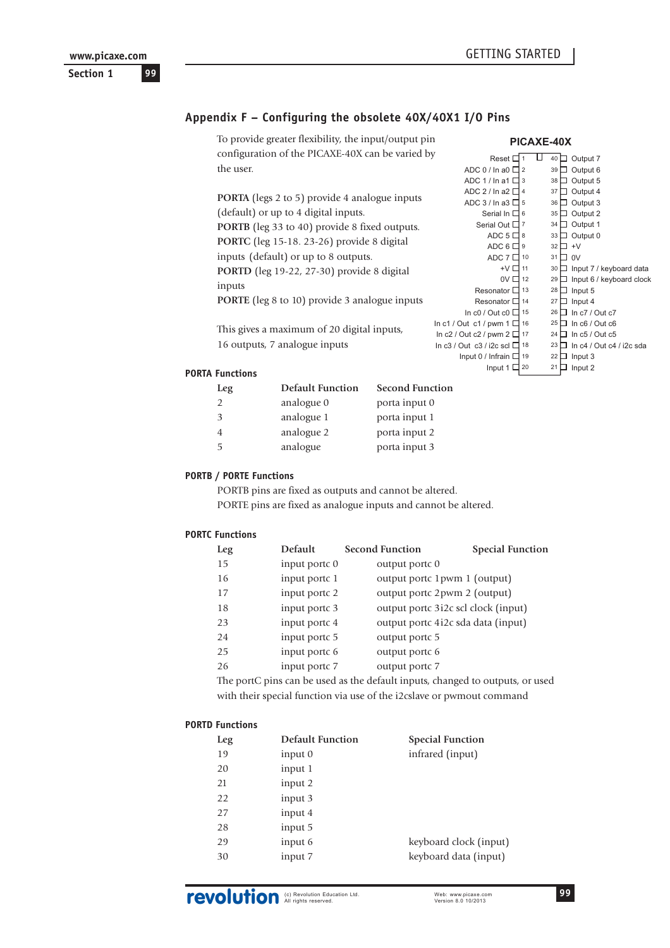# **Section 1**

# **Appendix F – Configuring the obsolete 40X/40X1 I/O Pins**

To provide greater flexibility, the input/output pin configuration of the PICAXE-40X can be varied by the user.

**PORTA** (legs 2 to 5) provide 4 analogue inputs (default) or up to 4 digital inputs. **PORTB** (leg 33 to 40) provide 8 fixed outputs. **PORTC** (leg 15-18. 23-26) provide 8 digital inputs (default) or up to 8 outputs. **PORTD** (leg 19-22, 27-30) provide 8 digital inputs **PORTE** (leg 8 to 10) provide 3 analogue inputs

This gives a maximum of 20 digital inputs, 16 outputs, 7 analogue inputs

|                                  | <b>PICAXE-40X</b> |    |                              |
|----------------------------------|-------------------|----|------------------------------|
| Reset I                          |                   | 40 | Output 7                     |
| ADC 0 / In a0 I                  | $\overline{2}$    | 39 | Output 6                     |
| ADC 1 / In a1 I                  | 3                 | 38 | Output 5                     |
| ADC 2 / In a2 I                  | $\Delta$          | 37 | Output 4                     |
| ADC 3 / In a3 I                  | 5                 | 36 | Output 3                     |
| Serial In D                      | 6                 | 35 | Output 2                     |
| Serial Out D                     | $\overline{7}$    | 34 | Output 1                     |
| ADC 5 D                          | 8                 | 33 | Output 0                     |
| ADC 6                            | 9                 | 32 | $+V$                         |
| ADC 7 I                          | 10                | 31 | 0V                           |
| +V [                             | 11                | 30 | Input 7 / keyboard data      |
| ov [                             | 12                | 29 | Input 6 / keyboard clock     |
| Resonator I                      | 13                | 28 | Input 5                      |
| Resonator I                      | 14                | 27 | Input 4                      |
| In $c0$ / Out $c0$ [             | 15                | 26 | In $c7$ / Out $c7$           |
| In c1 / Out c1 / pwm 1 $I$       | 16                | 25 | In $c6$ / Out $c6$           |
| In $c2$ / Out $c2$ / pwm 2 [     | 17                | 24 | In $c5/$ Out $c5$            |
| In $c3$ / Out $c3$ / i2c scl $I$ | 18                | 23 | In $c4$ / Out $c4$ / i2c sda |
| Input 0 / Infrain [              | 19                | 22 | Input 3                      |
| Input 1 [                        | 20                | 21 | Input 2                      |
|                                  |                   |    |                              |

#### **PORTA Functions**

| Leg            | <b>Default Function</b> | <b>Second Function</b> |
|----------------|-------------------------|------------------------|
| $\mathfrak{D}$ | analogue 0              | porta input 0          |
| 3              | analogue 1              | porta input 1          |
| 4              | analogue 2              | porta input 2          |
| 5              | analogue                | porta input 3          |
|                |                         |                        |

# **PORTB / PORTE Functions**

PORTB pins are fixed as outputs and cannot be altered. PORTE pins are fixed as analogue inputs and cannot be altered.

#### **PORTC Functions**

| Leg | <b>Default</b> | <b>Second Function</b>              | <b>Special Function</b> |
|-----|----------------|-------------------------------------|-------------------------|
| 15  | input portc 0  | output portc 0                      |                         |
| 16  | input port c1  | output portc 1 pwm 1 (output)       |                         |
| 17  | input portc 2  | output portc 2pwm 2 (output)        |                         |
| 18  | input portc 3  | output portc 3i2c scl clock (input) |                         |
| 23  | input port 4   | output portc 4i2c sda data (input)  |                         |
| 24  | input port t5  | output portc 5                      |                         |
| 25  | input portc 6  | output portc 6                      |                         |
| 26  | input portc 7  | output portc 7                      |                         |

The portC pins can be used as the default inputs, changed to outputs, or used with their special function via use of the i2cslave or pwmout command

#### **PORTD Functions**

| Leg | <b>Default Function</b> | <b>Special Function</b> |
|-----|-------------------------|-------------------------|
| 19  | input 0                 | infrared (input)        |
| 20  | input 1                 |                         |
| 21  | input 2                 |                         |
| 22  | input 3                 |                         |
| 27  | input 4                 |                         |
| 28  | input 5                 |                         |
| 29  | input 6                 | keyboard clock (input)  |
| 30  | input 7                 | keyboard data (input)   |
|     |                         |                         |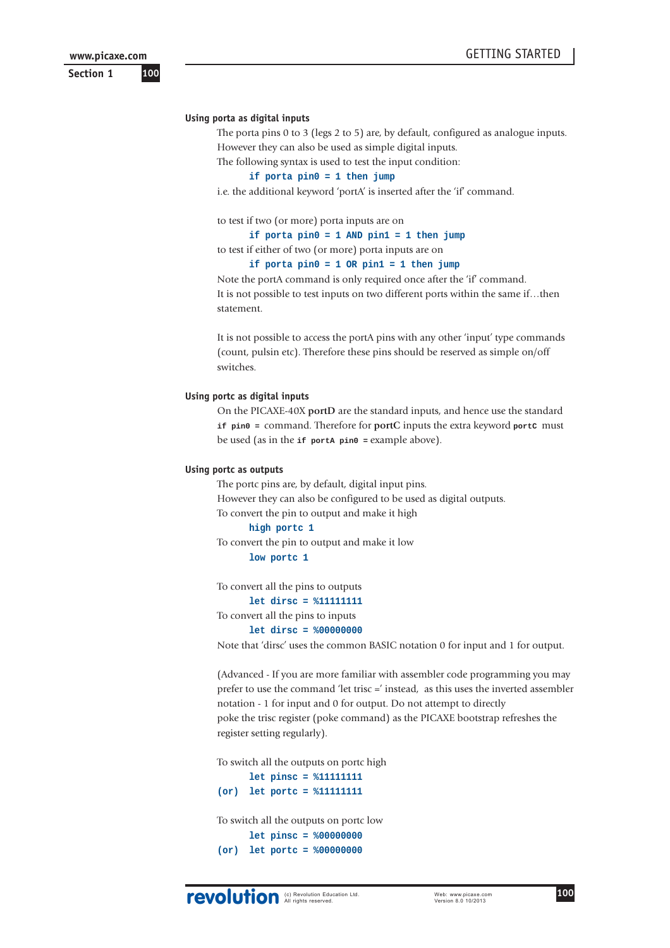**Section 1**

#### **Using porta as digital inputs**

The porta pins 0 to 3 (legs 2 to 5) are, by default, configured as analogue inputs. However they can also be used as simple digital inputs.

The following syntax is used to test the input condition:

#### **if porta pin0 = 1 then jump**

i.e. the additional keyword 'portA' is inserted after the 'if' command.

to test if two (or more) porta inputs are on

**if porta pin0 = 1 AND pin1 = 1 then jump**

to test if either of two (or more) porta inputs are on

# **if porta pin0 = 1 OR pin1 = 1 then jump**

Note the portA command is only required once after the 'if' command. It is not possible to test inputs on two different ports within the same if...then statement.

It is not possible to access the portA pins with any other 'input' type commands (count, pulsin etc). Therefore these pins should be reserved as simple on/off switches.

#### **Using portc as digital inputs**

On the PICAXE-40X **portD** are the standard inputs, and hence use the standard **if pin0 =** command. Therefore for **portC** inputs the extra keyword **portC** must be used (as in the **if portA pin0 =** example above).

#### **Using portc as outputs**

The portc pins are, by default, digital input pins. However they can also be configured to be used as digital outputs. To convert the pin to output and make it high

#### **high portc 1**

To convert the pin to output and make it low

### **low portc 1**

To convert all the pins to outputs

**let dirsc = %11111111**

To convert all the pins to inputs

#### **let dirsc = %00000000**

Note that 'dirsc' uses the common BASIC notation 0 for input and 1 for output.

(Advanced - If you are more familiar with assembler code programming you may prefer to use the command 'let trisc =' instead, as this uses the inverted assembler notation - 1 for input and 0 for output. Do not attempt to directly poke the trisc register (poke command) as the PICAXE bootstrap refreshes the register setting regularly).

To switch all the outputs on portc high

**let pinsc = %11111111 (or) let portc = %11111111**

To switch all the outputs on portc low **let pinsc = %00000000 (or) let portc = %00000000**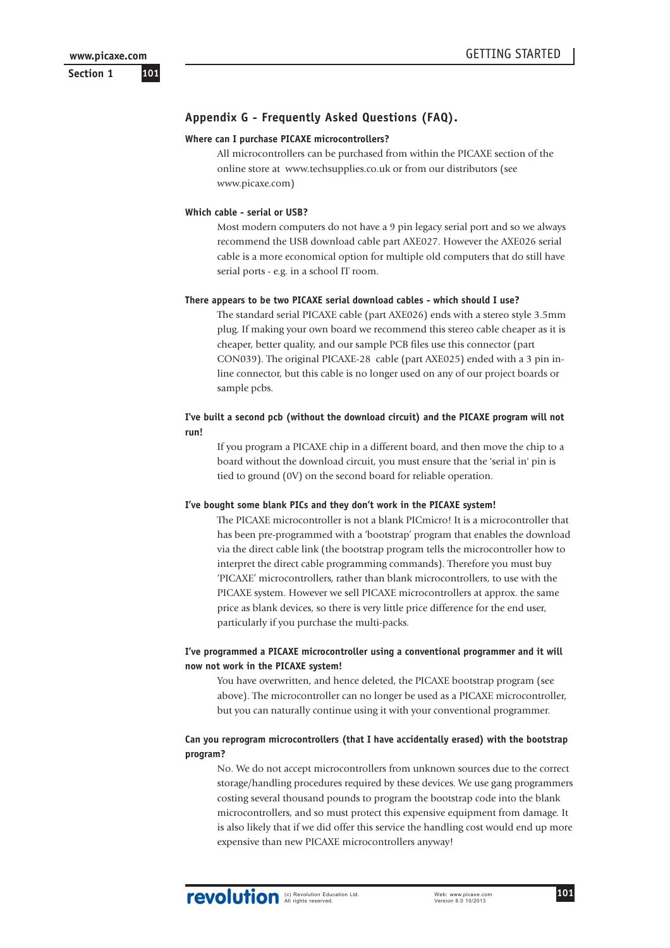**Section 1**

# **Appendix G - Frequently Asked Questions (FAQ).**

#### **Where can I purchase PICAXE microcontrollers?**

All microcontrollers can be purchased from within the PICAXE section of the online store at www.techsupplies.co.uk or from our distributors (see www.picaxe.com)

#### **Which cable - serial or USB?**

Most modern computers do not have a 9 pin legacy serial port and so we always recommend the USB download cable part AXE027. However the AXE026 serial cable is a more economical option for multiple old computers that do still have serial ports - e.g. in a school IT room.

#### **There appears to be two PICAXE serial download cables - which should I use?**

The standard serial PICAXE cable (part AXE026) ends with a stereo style 3.5mm plug. If making your own board we recommend this stereo cable cheaper as it is cheaper, better quality, and our sample PCB files use this connector (part CON039). The original PICAXE-28 cable (part AXE025) ended with a 3 pin inline connector, but this cable is no longer used on any of our project boards or sample pcbs.

#### **I've built a second pcb (without the download circuit) and the PICAXE program will not run!**

If you program a PICAXE chip in a different board, and then move the chip to a board without the download circuit, you must ensure that the 'serial in' pin is tied to ground (0V) on the second board for reliable operation.

#### **I've bought some blank PICs and they don't work in the PICAXE system!**

The PICAXE microcontroller is not a blank PICmicro! It is a microcontroller that has been pre-programmed with a 'bootstrap' program that enables the download via the direct cable link (the bootstrap program tells the microcontroller how to interpret the direct cable programming commands). Therefore you must buy 'PICAXE' microcontrollers, rather than blank microcontrollers, to use with the PICAXE system. However we sell PICAXE microcontrollers at approx. the same price as blank devices, so there is very little price difference for the end user, particularly if you purchase the multi-packs.

#### **I've programmed a PICAXE microcontroller using a conventional programmer and it will now not work in the PICAXE system!**

You have overwritten, and hence deleted, the PICAXE bootstrap program (see above). The microcontroller can no longer be used as a PICAXE microcontroller, but you can naturally continue using it with your conventional programmer.

#### **Can you reprogram microcontrollers (that I have accidentally erased) with the bootstrap program?**

No. We do not accept microcontrollers from unknown sources due to the correct storage/handling procedures required by these devices. We use gang programmers costing several thousand pounds to program the bootstrap code into the blank microcontrollers, and so must protect this expensive equipment from damage. It is also likely that if we did offer this service the handling cost would end up more expensive than new PICAXE microcontrollers anyway!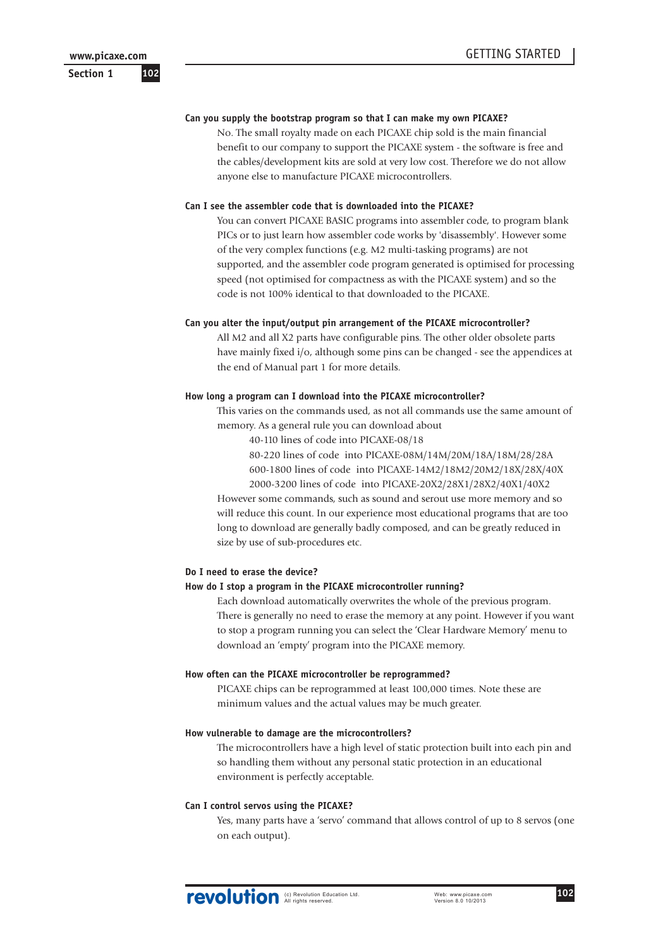**Section 1**

#### **Can you supply the bootstrap program so that I can make my own PICAXE?**

No. The small royalty made on each PICAXE chip sold is the main financial benefit to our company to support the PICAXE system - the software is free and the cables/development kits are sold at very low cost. Therefore we do not allow anyone else to manufacture PICAXE microcontrollers.

#### **Can I see the assembler code that is downloaded into the PICAXE?**

You can convert PICAXE BASIC programs into assembler code, to program blank PICs or to just learn how assembler code works by 'disassembly'. However some of the very complex functions (e.g. M2 multi-tasking programs) are not supported, and the assembler code program generated is optimised for processing speed (not optimised for compactness as with the PICAXE system) and so the code is not 100% identical to that downloaded to the PICAXE.

#### **Can you alter the input/output pin arrangement of the PICAXE microcontroller?**

All M2 and all X2 parts have configurable pins. The other older obsolete parts have mainly fixed i/o, although some pins can be changed - see the appendices at the end of Manual part 1 for more details.

#### **How long a program can I download into the PICAXE microcontroller?**

This varies on the commands used, as not all commands use the same amount of memory. As a general rule you can download about

40-110 lines of code into PICAXE-08/18

80-220 lines of code into PICAXE-08M/14M/20M/18A/18M/28/28A 600-1800 lines of code into PICAXE-14M2/18M2/20M2/18X/28X/40X 2000-3200 lines of code into PICAXE-20X2/28X1/28X2/40X1/40X2

However some commands, such as sound and serout use more memory and so will reduce this count. In our experience most educational programs that are too long to download are generally badly composed, and can be greatly reduced in size by use of sub-procedures etc.

#### **Do I need to erase the device?**

#### **How do I stop a program in the PICAXE microcontroller running?**

Each download automatically overwrites the whole of the previous program. There is generally no need to erase the memory at any point. However if you want to stop a program running you can select the 'Clear Hardware Memory' menu to download an 'empty' program into the PICAXE memory.

#### **How often can the PICAXE microcontroller be reprogrammed?**

PICAXE chips can be reprogrammed at least 100,000 times. Note these are minimum values and the actual values may be much greater.

#### **How vulnerable to damage are the microcontrollers?**

The microcontrollers have a high level of static protection built into each pin and so handling them without any personal static protection in an educational environment is perfectly acceptable.

#### **Can I control servos using the PICAXE?**

Yes, many parts have a 'servo' command that allows control of up to 8 servos (one on each output).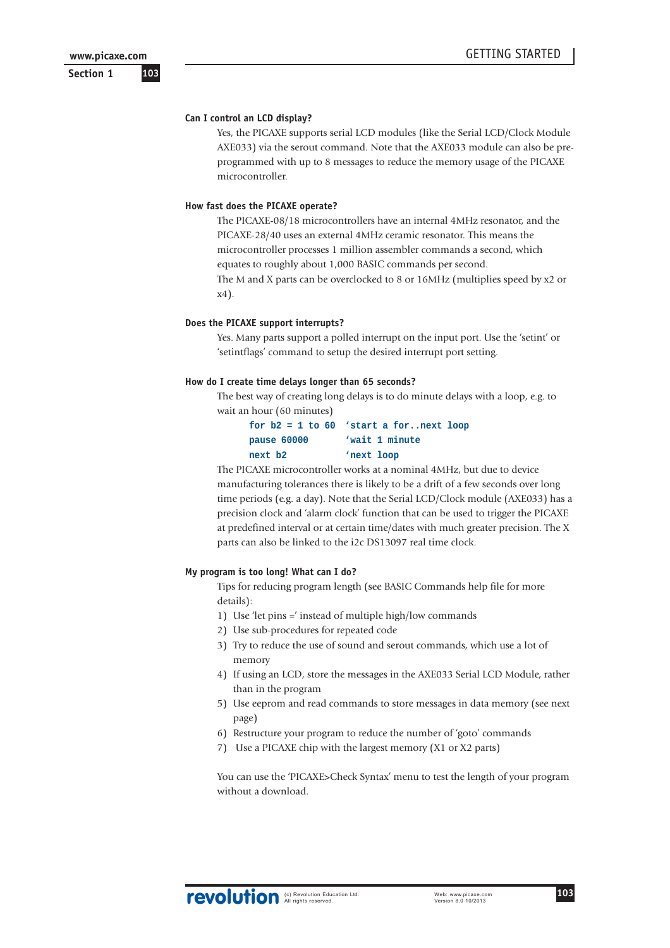**Section 1**

#### **Can I control an LCD display?**

Yes, the PICAXE supports serial LCD modules (like the Serial LCD/Clock Module AXE033) via the serout command. Note that the AXE033 module can also be preprogrammed with up to 8 messages to reduce the memory usage of the PICAXE microcontroller.

#### **How fast does the PICAXE operate?**

The PICAXE-08/18 microcontrollers have an internal 4MHz resonator, and the PICAXE-28/40 uses an external 4MHz ceramic resonator. This means the microcontroller processes 1 million assembler commands a second, which equates to roughly about 1,000 BASIC commands per second. The M and X parts can be overclocked to 8 or 16MHz (multiplies speed by x2 or x4).

#### **Does the PICAXE support interrupts?**

Yes. Many parts support a polled interrupt on the input port. Use the 'setint' or 'setintflags' command to setup the desired interrupt port setting.

#### **How do I create time delays longer than 65 seconds?**

The best way of creating long delays is to do minute delays with a loop, e.g. to wait an hour (60 minutes)

|             | for $b2 = 1$ to $60$ 'start a fornext loop |  |
|-------------|--------------------------------------------|--|
| pause 60000 | 'wait 1 minute                             |  |
| next b2     | 'next loop                                 |  |

The PICAXE microcontroller works at a nominal 4MHz, but due to device manufacturing tolerances there is likely to be a drift of a few seconds over long time periods (e.g. a day). Note that the Serial LCD/Clock module (AXE033) has a precision clock and 'alarm clock' function that can be used to trigger the PICAXE at predefined interval or at certain time/dates with much greater precision. The X parts can also be linked to the i2c DS13097 real time clock.

#### **My program is too long! What can I do?**

Tips for reducing program length (see BASIC Commands help file for more details):

- 1) Use 'let pins =' instead of multiple high/low commands
- 2) Use sub-procedures for repeated code
- 3) Try to reduce the use of sound and serout commands, which use a lot of memory
- 4) If using an LCD, store the messages in the AXE033 Serial LCD Module, rather than in the program
- 5) Use eeprom and read commands to store messages in data memory (see next page)
- 6) Restructure your program to reduce the number of 'goto' commands
- 7) Use a PICAXE chip with the largest memory (X1 or X2 parts)

You can use the 'PICAXE>Check Syntax' menu to test the length of your program without a download.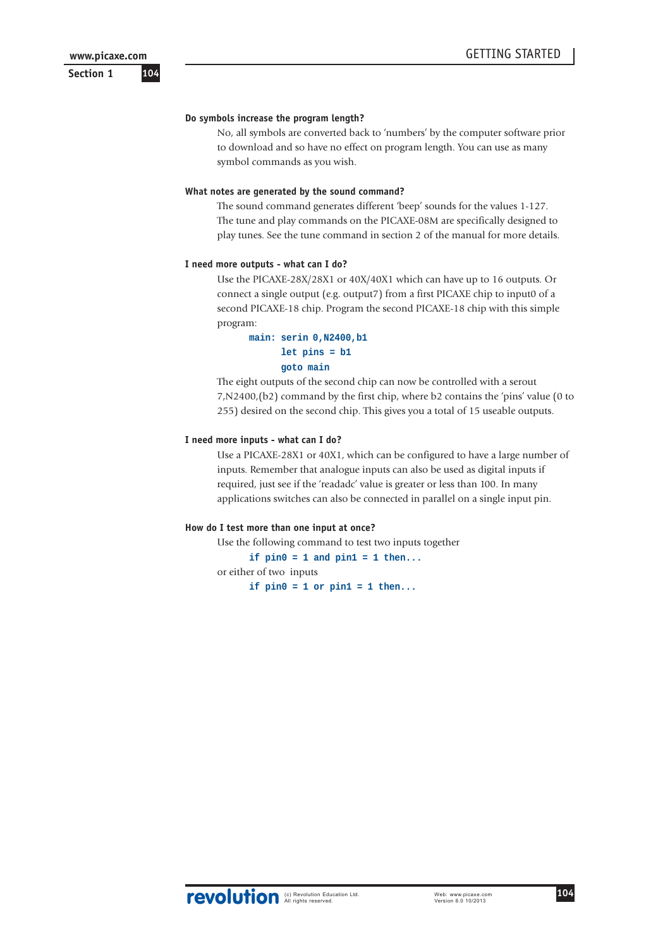**Section 1**

#### **Do symbols increase the program length?**

No, all symbols are converted back to 'numbers' by the computer software prior to download and so have no effect on program length. You can use as many symbol commands as you wish.

#### **What notes are generated by the sound command?**

The sound command generates different 'beep' sounds for the values 1-127. The tune and play commands on the PICAXE-08M are specifically designed to play tunes. See the tune command in section 2 of the manual for more details.

#### **I need more outputs - what can I do?**

Use the PICAXE-28X/28X1 or 40X/40X1 which can have up to 16 outputs. Or connect a single output (e.g. output7) from a first PICAXE chip to input0 of a second PICAXE-18 chip. Program the second PICAXE-18 chip with this simple program:

### **main: serin 0,N2400,b1 let pins = b1 goto main**

The eight outputs of the second chip can now be controlled with a serout 7,N2400,(b2) command by the first chip, where b2 contains the 'pins' value (0 to 255) desired on the second chip. This gives you a total of 15 useable outputs.

#### **I need more inputs - what can I do?**

Use a PICAXE-28X1 or 40X1, which can be configured to have a large number of inputs. Remember that analogue inputs can also be used as digital inputs if required, just see if the 'readadc' value is greater or less than 100. In many applications switches can also be connected in parallel on a single input pin.

#### **How do I test more than one input at once?**

Use the following command to test two inputs together

**if pin0 = 1 and pin1 = 1 then...** or either of two inputs if  $pin0 = 1$  or  $pin1 = 1$  then...

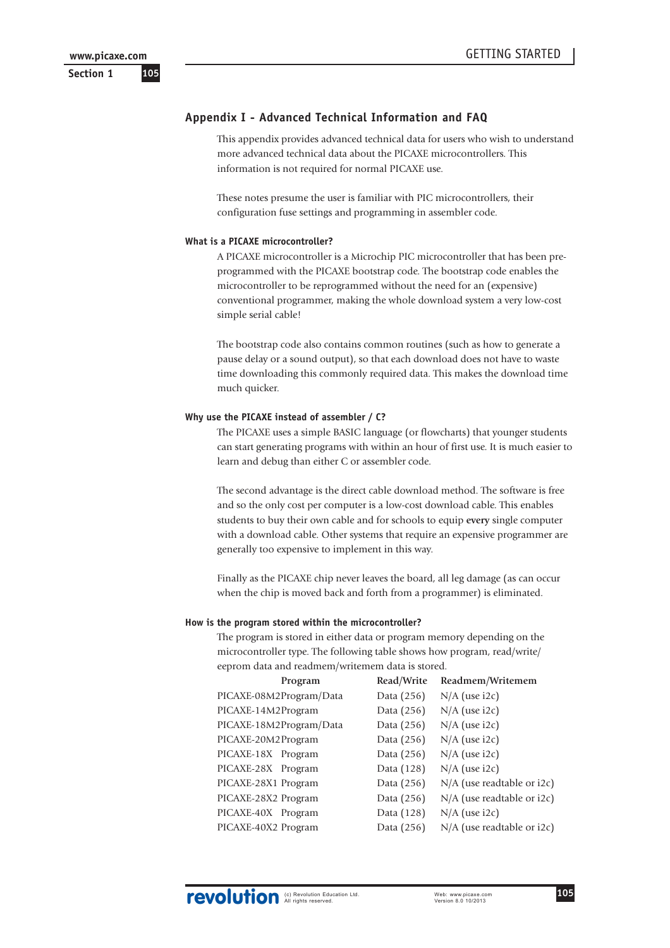# **Appendix I - Advanced Technical Information and FAQ**

This appendix provides advanced technical data for users who wish to understand more advanced technical data about the PICAXE microcontrollers. This information is not required for normal PICAXE use.

These notes presume the user is familiar with PIC microcontrollers, their configuration fuse settings and programming in assembler code.

#### **What is a PICAXE microcontroller?**

A PICAXE microcontroller is a Microchip PIC microcontroller that has been preprogrammed with the PICAXE bootstrap code. The bootstrap code enables the microcontroller to be reprogrammed without the need for an (expensive) conventional programmer, making the whole download system a very low-cost simple serial cable!

The bootstrap code also contains common routines (such as how to generate a pause delay or a sound output), so that each download does not have to waste time downloading this commonly required data. This makes the download time much quicker.

#### **Why use the PICAXE instead of assembler / C?**

The PICAXE uses a simple BASIC language (or flowcharts) that younger students can start generating programs with within an hour of first use. It is much easier to learn and debug than either C or assembler code.

The second advantage is the direct cable download method. The software is free and so the only cost per computer is a low-cost download cable. This enables students to buy their own cable and for schools to equip **every** single computer with a download cable. Other systems that require an expensive programmer are generally too expensive to implement in this way.

Finally as the PICAXE chip never leaves the board, all leg damage (as can occur when the chip is moved back and forth from a programmer) is eliminated.

#### **How is the program stored within the microcontroller?**

The program is stored in either data or program memory depending on the microcontroller type. The following table shows how program, read/write/ eeprom data and readmem/writemem data is stored.

| Program                 | Read/Write | Readmem/Writemem             |
|-------------------------|------------|------------------------------|
| PICAXE-08M2Program/Data | Data (256) | $N/A$ (use i2c)              |
| PICAXE-14M2Program      | Data (256) | $N/A$ (use i2c)              |
| PICAXE-18M2Program/Data | Data (256) | $N/A$ (use i2c)              |
| PICAXE-20M2Program      | Data (256) | $N/A$ (use i2c)              |
| PICAXE-18X Program      | Data (256) | $N/A$ (use i2c)              |
| PICAXE-28X Program      | Data (128) | $N/A$ (use i2c)              |
| PICAXE-28X1 Program     | Data (256) | $N/A$ (use readtable or i2c) |
| PICAXE-28X2 Program     | Data (256) | $N/A$ (use readtable or i2c) |
| PICAXE-40X Program      | Data (128) | $N/A$ (use i2c)              |
| PICAXE-40X2 Program     | Data (256) | N/A (use readtable or i2c)   |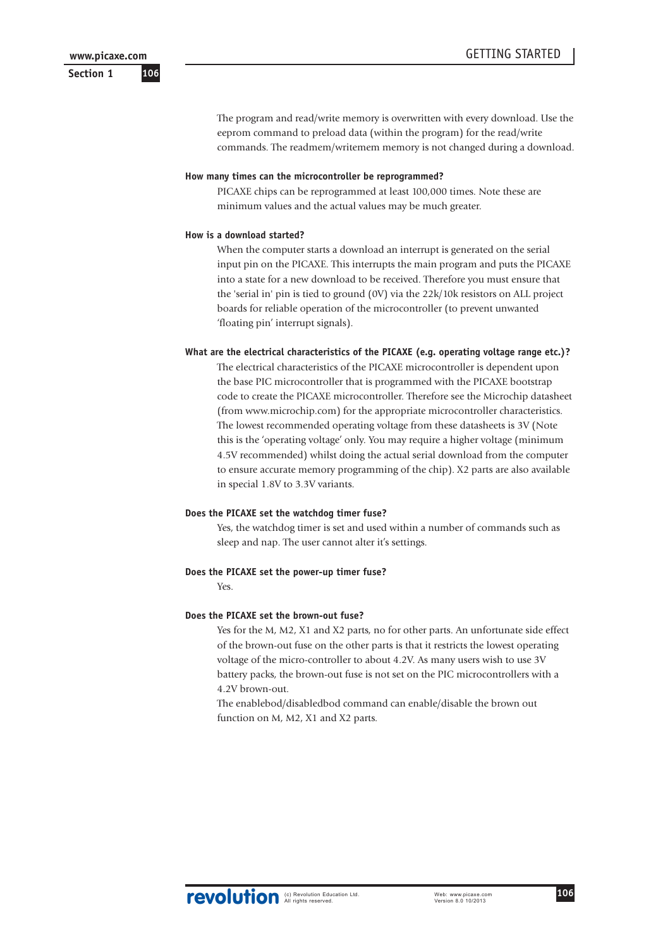The program and read/write memory is overwritten with every download. Use the eeprom command to preload data (within the program) for the read/write commands. The readmem/writemem memory is not changed during a download.

#### **How many times can the microcontroller be reprogrammed?**

PICAXE chips can be reprogrammed at least 100,000 times. Note these are minimum values and the actual values may be much greater.

#### **How is a download started?**

When the computer starts a download an interrupt is generated on the serial input pin on the PICAXE. This interrupts the main program and puts the PICAXE into a state for a new download to be received. Therefore you must ensure that the 'serial in' pin is tied to ground (0V) via the 22k/10k resistors on ALL project boards for reliable operation of the microcontroller (to prevent unwanted 'floating pin' interrupt signals).

#### **What are the electrical characteristics of the PICAXE (e.g. operating voltage range etc.)?**

The electrical characteristics of the PICAXE microcontroller is dependent upon the base PIC microcontroller that is programmed with the PICAXE bootstrap code to create the PICAXE microcontroller. Therefore see the Microchip datasheet (from www.microchip.com) for the appropriate microcontroller characteristics. The lowest recommended operating voltage from these datasheets is 3V (Note this is the 'operating voltage' only. You may require a higher voltage (minimum 4.5V recommended) whilst doing the actual serial download from the computer to ensure accurate memory programming of the chip). X2 parts are also available in special 1.8V to 3.3V variants.

#### **Does the PICAXE set the watchdog timer fuse?**

Yes, the watchdog timer is set and used within a number of commands such as sleep and nap. The user cannot alter it's settings.

#### **Does the PICAXE set the power-up timer fuse?**

Yes.

#### **Does the PICAXE set the brown-out fuse?**

Yes for the M, M2, X1 and X2 parts, no for other parts. An unfortunate side effect of the brown-out fuse on the other parts is that it restricts the lowest operating voltage of the micro-controller to about 4.2V. As many users wish to use 3V battery packs, the brown-out fuse is not set on the PIC microcontrollers with a 4.2V brown-out.

The enablebod/disabledbod command can enable/disable the brown out function on M, M2, X1 and X2 parts.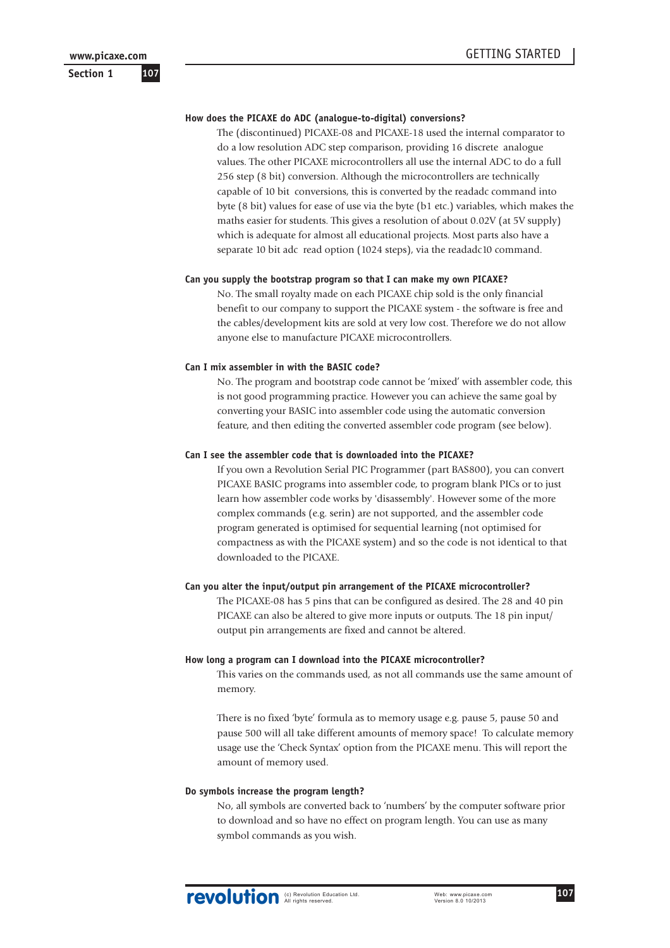# **Section 1**

#### **How does the PICAXE do ADC (analogue-to-digital) conversions?**

The (discontinued) PICAXE-08 and PICAXE-18 used the internal comparator to do a low resolution ADC step comparison, providing 16 discrete analogue values. The other PICAXE microcontrollers all use the internal ADC to do a full 256 step (8 bit) conversion. Although the microcontrollers are technically capable of 10 bit conversions, this is converted by the readadc command into byte (8 bit) values for ease of use via the byte (b1 etc.) variables, which makes the maths easier for students. This gives a resolution of about 0.02V (at 5V supply) which is adequate for almost all educational projects. Most parts also have a separate 10 bit adc read option (1024 steps), via the readadc10 command.

#### **Can you supply the bootstrap program so that I can make my own PICAXE?**

No. The small royalty made on each PICAXE chip sold is the only financial benefit to our company to support the PICAXE system - the software is free and the cables/development kits are sold at very low cost. Therefore we do not allow anyone else to manufacture PICAXE microcontrollers.

#### **Can I mix assembler in with the BASIC code?**

No. The program and bootstrap code cannot be 'mixed' with assembler code, this is not good programming practice. However you can achieve the same goal by converting your BASIC into assembler code using the automatic conversion feature, and then editing the converted assembler code program (see below).

#### **Can I see the assembler code that is downloaded into the PICAXE?**

If you own a Revolution Serial PIC Programmer (part BAS800), you can convert PICAXE BASIC programs into assembler code, to program blank PICs or to just learn how assembler code works by 'disassembly'. However some of the more complex commands (e.g. serin) are not supported, and the assembler code program generated is optimised for sequential learning (not optimised for compactness as with the PICAXE system) and so the code is not identical to that downloaded to the PICAXE.

#### **Can you alter the input/output pin arrangement of the PICAXE microcontroller?**

The PICAXE-08 has 5 pins that can be configured as desired. The 28 and 40 pin PICAXE can also be altered to give more inputs or outputs. The 18 pin input/ output pin arrangements are fixed and cannot be altered.

#### **How long a program can I download into the PICAXE microcontroller?**

This varies on the commands used, as not all commands use the same amount of memory.

There is no fixed 'byte' formula as to memory usage e.g. pause 5, pause 50 and pause 500 will all take different amounts of memory space! To calculate memory usage use the 'Check Syntax' option from the PICAXE menu. This will report the amount of memory used.

#### **Do symbols increase the program length?**

No, all symbols are converted back to 'numbers' by the computer software prior to download and so have no effect on program length. You can use as many symbol commands as you wish.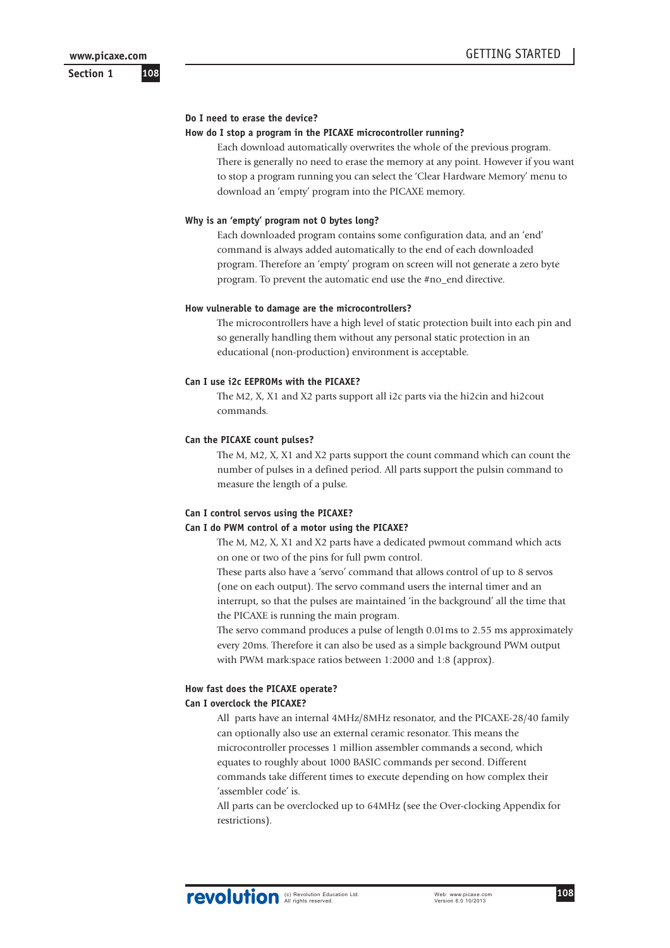**Section 1**

#### **Do I need to erase the device?**

#### **How do I stop a program in the PICAXE microcontroller running?**

Each download automatically overwrites the whole of the previous program. There is generally no need to erase the memory at any point. However if you want to stop a program running you can select the 'Clear Hardware Memory' menu to download an 'empty' program into the PICAXE memory.

#### **Why is an 'empty' program not 0 bytes long?**

Each downloaded program contains some configuration data, and an 'end' command is always added automatically to the end of each downloaded program. Therefore an 'empty' program on screen will not generate a zero byte program. To prevent the automatic end use the #no\_end directive.

#### **How vulnerable to damage are the microcontrollers?**

The microcontrollers have a high level of static protection built into each pin and so generally handling them without any personal static protection in an educational (non-production) environment is acceptable.

#### **Can I use i2c EEPROMs with the PICAXE?**

The M2, X, X1 and X2 parts support all i2c parts via the hi2cin and hi2cout commands.

#### **Can the PICAXE count pulses?**

The M, M2, X, X1 and X2 parts support the count command which can count the number of pulses in a defined period. All parts support the pulsin command to measure the length of a pulse.

#### **Can I control servos using the PICAXE?**

#### **Can I do PWM control of a motor using the PICAXE?**

The M, M2, X, X1 and X2 parts have a dedicated pwmout command which acts on one or two of the pins for full pwm control.

These parts also have a 'servo' command that allows control of up to 8 servos (one on each output). The servo command users the internal timer and an interrupt, so that the pulses are maintained 'in the background' all the time that the PICAXE is running the main program.

The servo command produces a pulse of length 0.01ms to 2.55 ms approximately every 20ms. Therefore it can also be used as a simple background PWM output with PWM mark:space ratios between 1:2000 and 1:8 (approx).

#### **How fast does the PICAXE operate? Can I overclock the PICAXE?**

All parts have an internal 4MHz/8MHz resonator, and the PICAXE-28/40 family can optionally also use an external ceramic resonator. This means the microcontroller processes 1 million assembler commands a second, which equates to roughly about 1000 BASIC commands per second. Different commands take different times to execute depending on how complex their 'assembler code' is.

All parts can be overclocked up to 64MHz (see the Over-clocking Appendix for restrictions).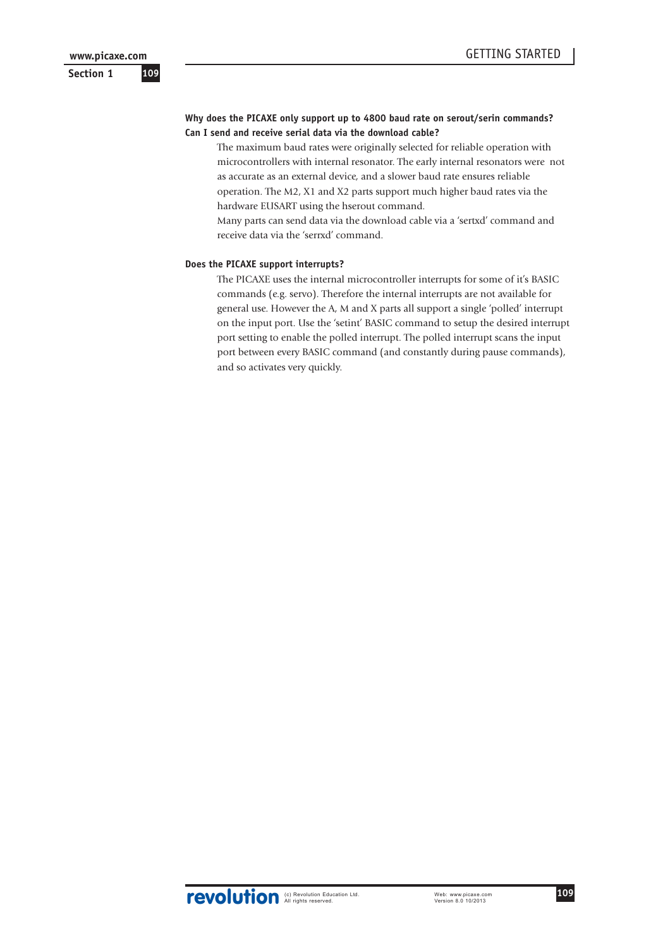## **Why does the PICAXE only support up to 4800 baud rate on serout/serin commands? Can I send and receive serial data via the download cable?**

The maximum baud rates were originally selected for reliable operation with microcontrollers with internal resonator. The early internal resonators were not as accurate as an external device, and a slower baud rate ensures reliable operation. The M2, X1 and X2 parts support much higher baud rates via the hardware EUSART using the hserout command.

Many parts can send data via the download cable via a 'sertxd' command and receive data via the 'serrxd' command.

## **Does the PICAXE support interrupts?**

The PICAXE uses the internal microcontroller interrupts for some of it's BASIC commands (e.g. servo). Therefore the internal interrupts are not available for general use. However the A, M and X parts all support a single 'polled' interrupt on the input port. Use the 'setint' BASIC command to setup the desired interrupt port setting to enable the polled interrupt. The polled interrupt scans the input port between every BASIC command (and constantly during pause commands), and so activates very quickly.